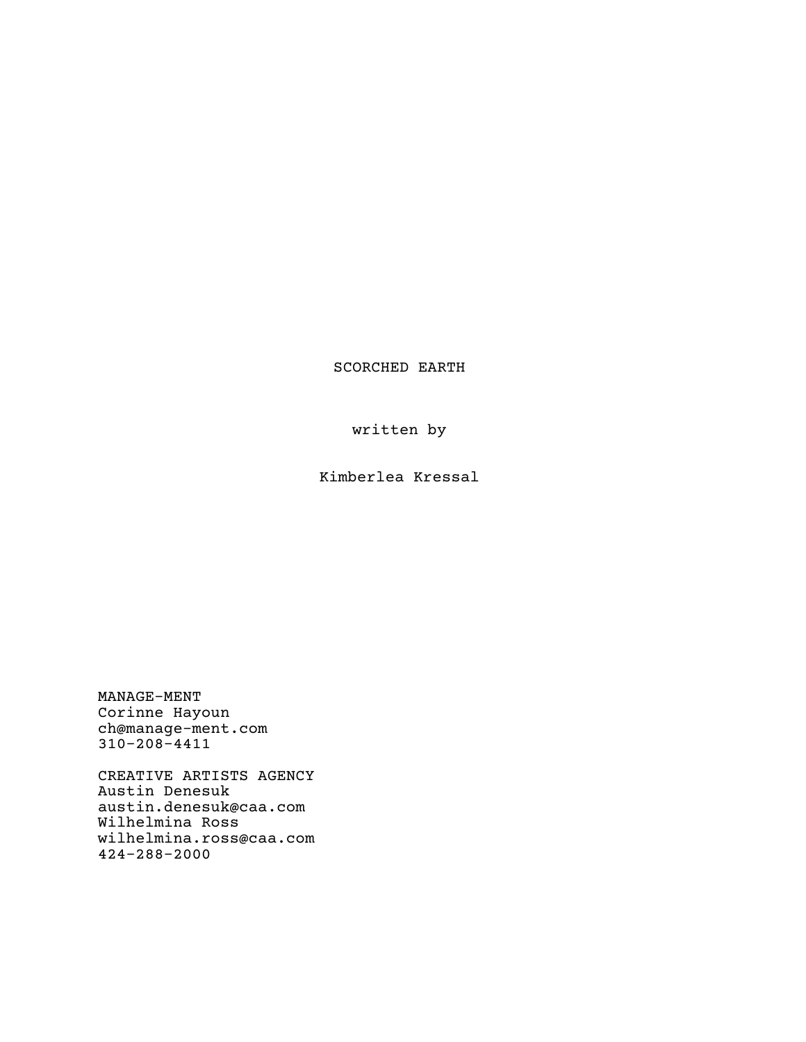SCORCHED EARTH

written by

Kimberlea Kressal

MANAGE-MENT Corinne Hayoun ch@manage-ment.com 310-208-4411

CREATIVE ARTISTS AGENCY Austin Denesuk austin.denesuk@caa.com Wilhelmina Ross wilhelmina.ross@caa.com 424-288-2000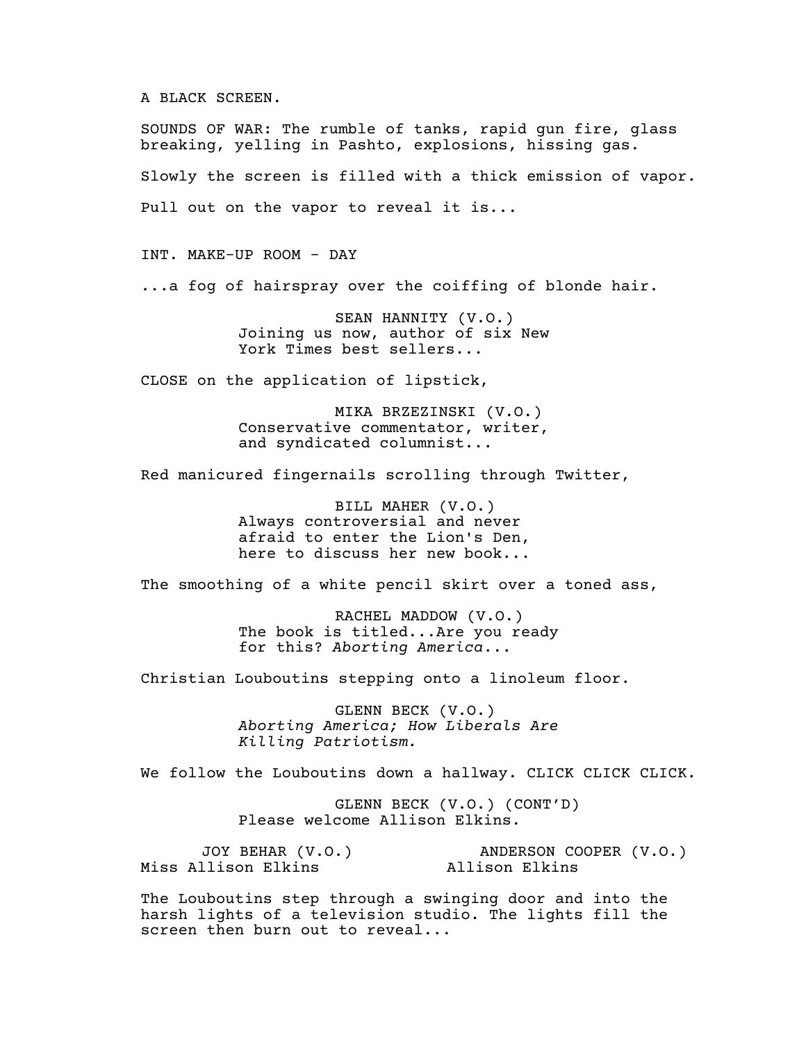# A BLACK SCREEN.

SOUNDS OF WAR: The rumble of tanks, rapid gun fire, glass breaking, yelling in Pashto, explosions, hissing gas. Slowly the screen is filled with a thick emission of vapor. Pull out on the vapor to reveal it is...

INT. MAKE-UP ROOM - DAY

...a fog of hairspray over the coiffing of blonde hair.

SEAN HANNITY (V.O.) Joining us now, author of six New York Times best sellers...

CLOSE on the application of lipstick,

MIKA BRZEZINSKI (V.O.) Conservative commentator, writer, and syndicated columnist...

Red manicured fingernails scrolling through Twitter,

BILL MAHER (V.O.) Always controversial and never afraid to enter the Lion's Den, here to discuss her new book...

The smoothing of a white pencil skirt over a toned ass,

RACHEL MADDOW (V.O.) The book is titled...Are you ready for this? *Aborting America*...

Christian Louboutins stepping onto a linoleum floor.

GLENN BECK (V.O.) *Aborting America; How Liberals Are Killing Patriotism.*

We follow the Louboutins down a hallway. CLICK CLICK CLICK.

GLENN BECK (V.O.) (CONT'D) Please welcome Allison Elkins.

JOY BEHAR (V.O.) Miss Allison Elkins ANDERSON COOPER (V.O.) Allison Elkins

The Louboutins step through a swinging door and into the harsh lights of a television studio. The lights fill the screen then burn out to reveal...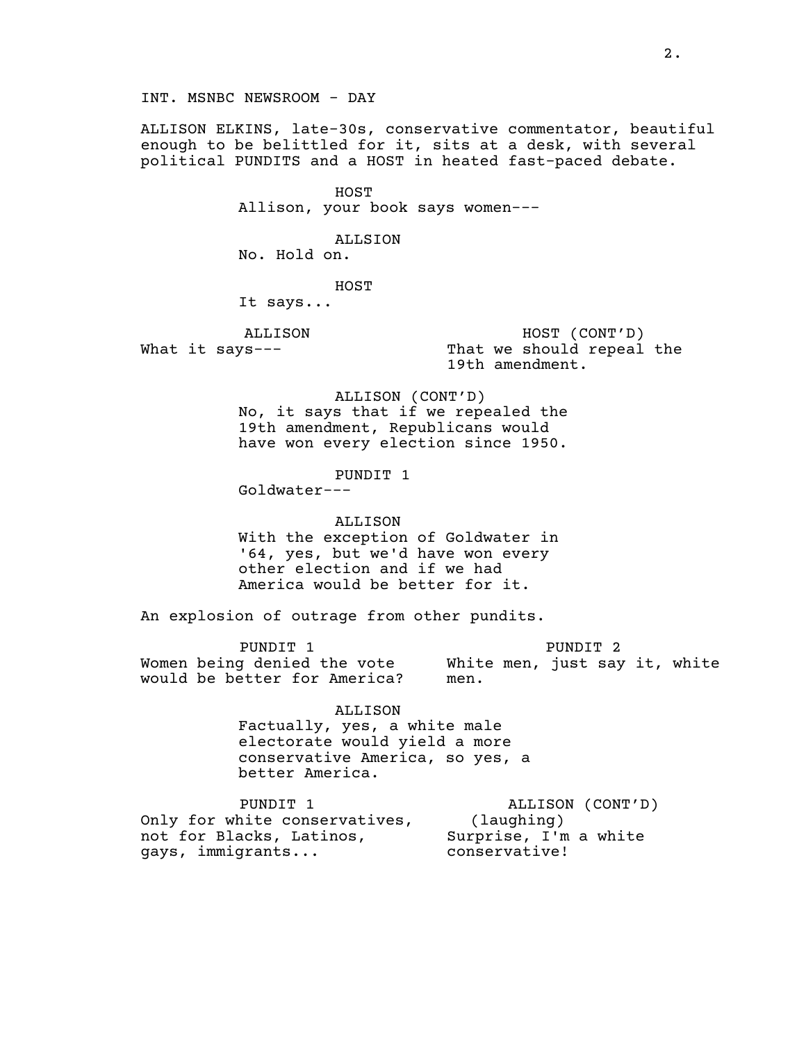INT. MSNBC NEWSROOM - DAY

ALLISON ELKINS, late-30s, conservative commentator, beautiful enough to be belittled for it, sits at a desk, with several political PUNDITS and a HOST in heated fast-paced debate.

> HOST Allison, your book says women---

ALLSION No. Hold on.

HOST

It says...

ALLISON What it says---

HOST (CONT'D) That we should repeal the 19th amendment.

ALLISON (CONT'D) No, it says that if we repealed the 19th amendment, Republicans would have won every election since 1950.

PUNDIT 1

Goldwater---

#### ALLISON

With the exception of Goldwater in '64, yes, but we'd have won every other election and if we had America would be better for it.

An explosion of outrage from other pundits.

PUNDIT 1 Women being denied the vote White men, just say it, white would be better for America? PUNDIT 2 men.

> ALLISON Factually, yes, a white male electorate would yield a more conservative America, so yes, a better America.

PUNDIT 1 Only for white conservatives, not for Blacks, Latinos, Surprise, I'm a white gays, immigrants... ALLISON (CONT'D) (laughing) conservative!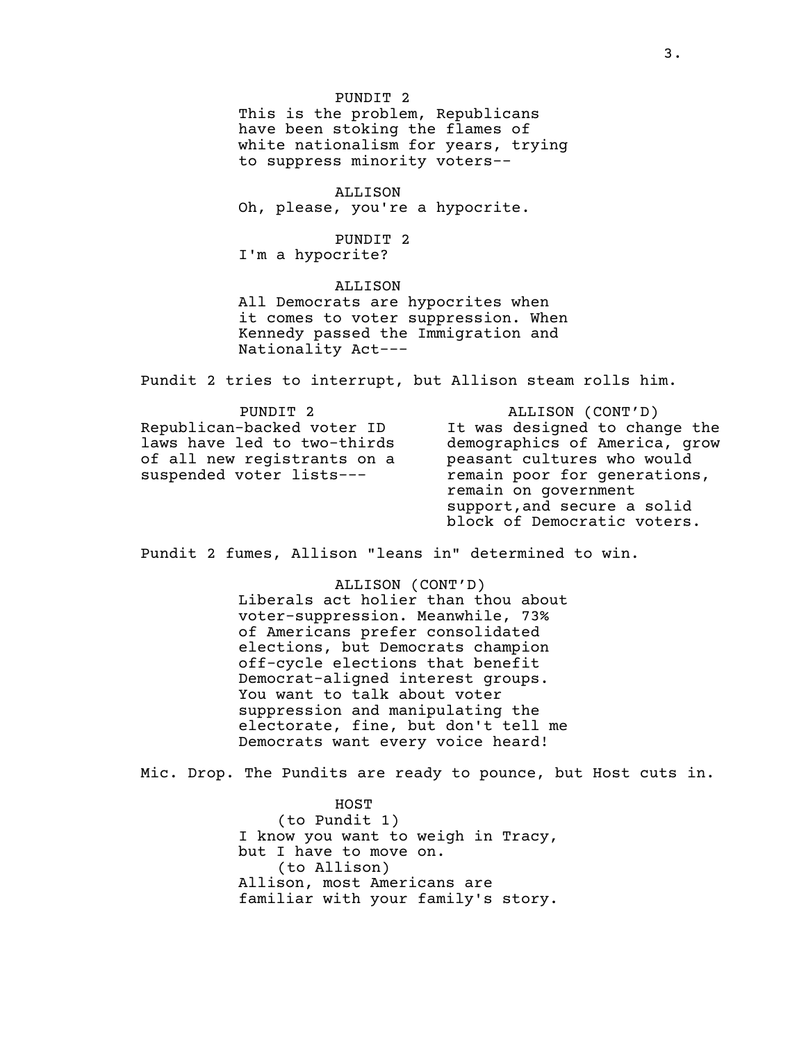PUNDIT 2 This is the problem, Republicans have been stoking the flames of white nationalism for years, trying to suppress minority voters--

ALLISON Oh, please, you're a hypocrite.

PUNDIT 2 I'm a hypocrite?

ALLISON All Democrats are hypocrites when it comes to voter suppression. When Kennedy passed the Immigration and Nationality Act---

Pundit 2 tries to interrupt, but Allison steam rolls him.

| PUNDIT <sub>2</sub>         | ALLISON (CONT'D)              |
|-----------------------------|-------------------------------|
| Republican-backed voter ID  | It was designed to change the |
| laws have led to two-thirds | demographics of America, grow |
| of all new registrants on a | peasant cultures who would    |
| suspended voter lists---    | remain poor for generations,  |
|                             | remain on government          |
|                             | support, and secure a solid   |
|                             | block of Democratic voters.   |

Pundit 2 fumes, Allison "leans in" determined to win.

ALLISON (CONT'D) Liberals act holier than thou about

voter-suppression. Meanwhile, 73% of Americans prefer consolidated elections, but Democrats champion off-cycle elections that benefit Democrat-aligned interest groups. You want to talk about voter suppression and manipulating the electorate, fine, but don't tell me Democrats want every voice heard!

Mic. Drop. The Pundits are ready to pounce, but Host cuts in.

HOST (to Pundit 1) I know you want to weigh in Tracy, but I have to move on. (to Allison) Allison, most Americans are familiar with your family's story.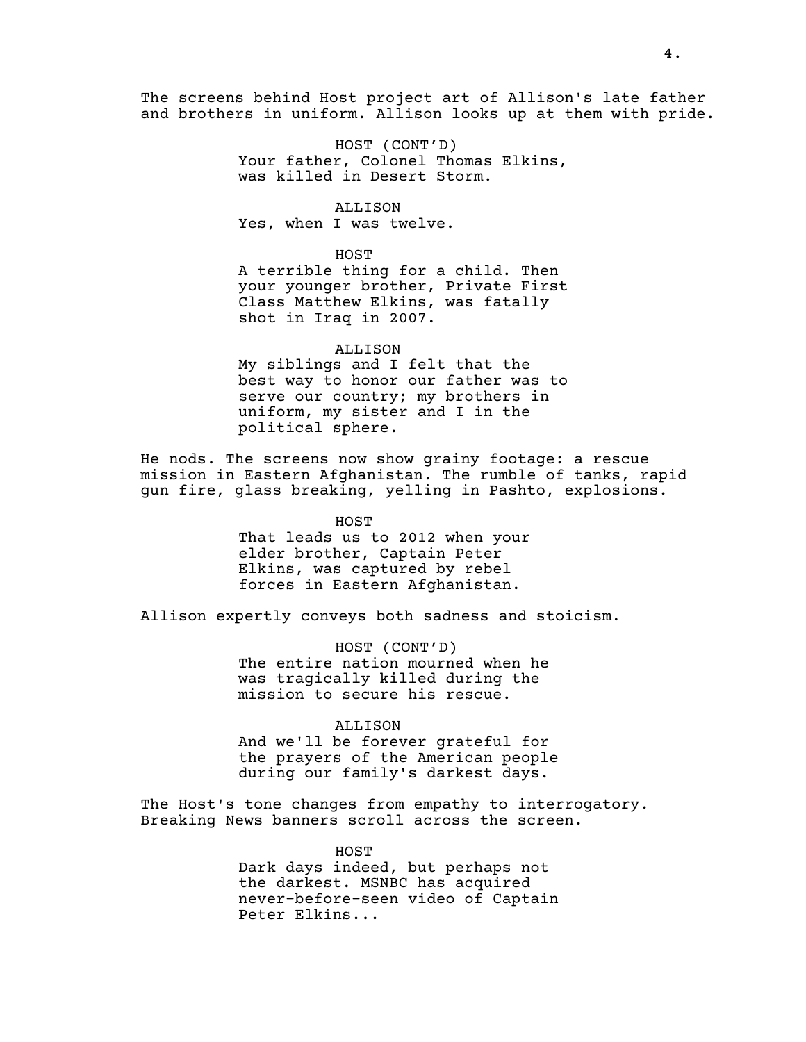The screens behind Host project art of Allison's late father and brothers in uniform. Allison looks up at them with pride.

> HOST (CONT'D) Your father, Colonel Thomas Elkins, was killed in Desert Storm.

ALLISON Yes, when I was twelve.

### HOST

A terrible thing for a child. Then your younger brother, Private First Class Matthew Elkins, was fatally shot in Iraq in 2007.

#### ALLISON

My siblings and I felt that the best way to honor our father was to serve our country; my brothers in uniform, my sister and I in the political sphere.

He nods. The screens now show grainy footage: a rescue mission in Eastern Afghanistan. The rumble of tanks, rapid gun fire, glass breaking, yelling in Pashto, explosions.

> HOST That leads us to 2012 when your elder brother, Captain Peter Elkins, was captured by rebel forces in Eastern Afghanistan.

Allison expertly conveys both sadness and stoicism.

HOST (CONT'D) The entire nation mourned when he was tragically killed during the mission to secure his rescue.

# ALLISON

And we'll be forever grateful for the prayers of the American people during our family's darkest days.

The Host's tone changes from empathy to interrogatory. Breaking News banners scroll across the screen.

> HOST Dark days indeed, but perhaps not the darkest. MSNBC has acquired never-before-seen video of Captain Peter Elkins...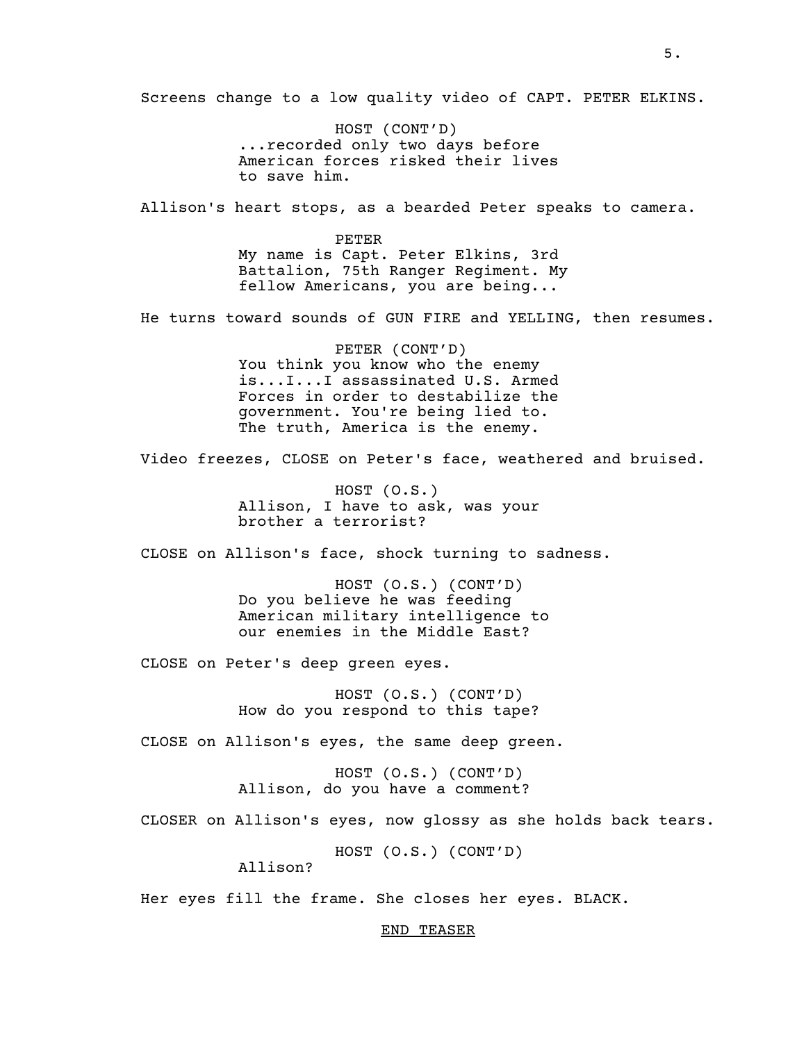Screens change to a low quality video of CAPT. PETER ELKINS.

HOST (CONT'D) ...recorded only two days before American forces risked their lives to save him.

Allison's heart stops, as a bearded Peter speaks to camera.

PETER My name is Capt. Peter Elkins, 3rd Battalion, 75th Ranger Regiment. My fellow Americans, you are being...

He turns toward sounds of GUN FIRE and YELLING, then resumes.

PETER (CONT'D) You think you know who the enemy is...I...I assassinated U.S. Armed Forces in order to destabilize the government. You're being lied to. The truth, America is the enemy.

Video freezes, CLOSE on Peter's face, weathered and bruised.

HOST (O.S.) Allison, I have to ask, was your brother a terrorist?

CLOSE on Allison's face, shock turning to sadness.

HOST (O.S.) (CONT'D) Do you believe he was feeding American military intelligence to our enemies in the Middle East?

CLOSE on Peter's deep green eyes.

HOST (O.S.) (CONT'D) How do you respond to this tape?

CLOSE on Allison's eyes, the same deep green.

HOST (O.S.) (CONT'D) Allison, do you have a comment?

CLOSER on Allison's eyes, now glossy as she holds back tears.

HOST (O.S.) (CONT'D)

Allison?

Her eyes fill the frame. She closes her eyes. BLACK.

# END TEASER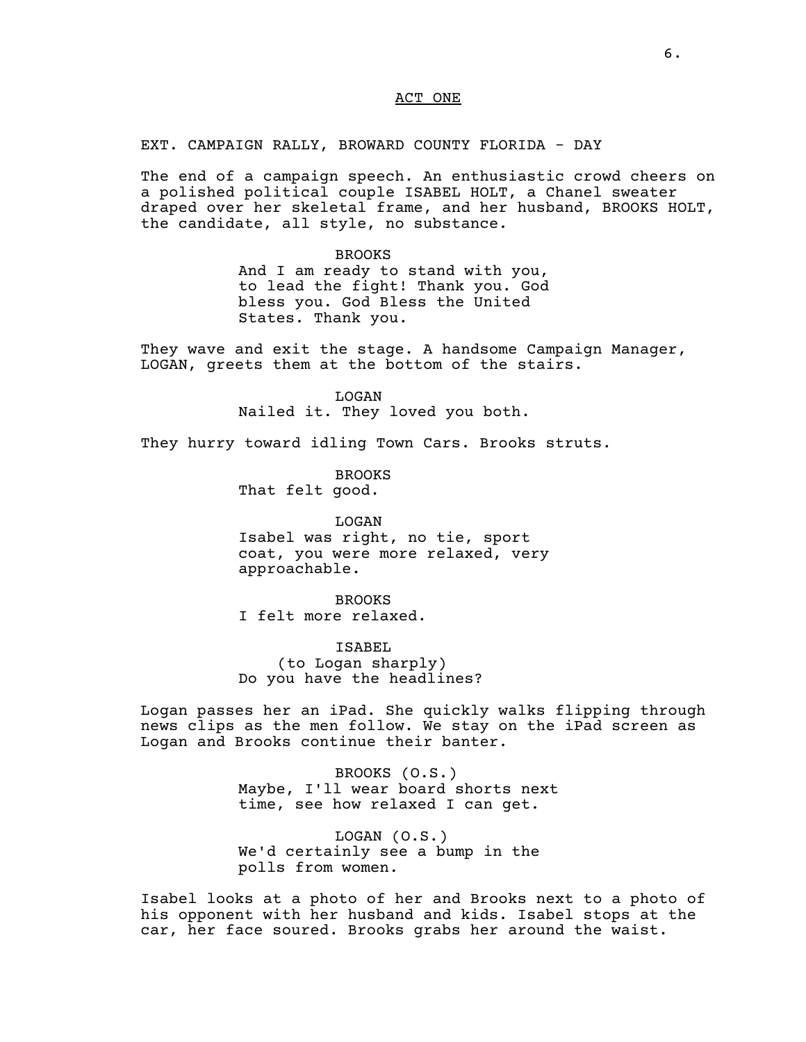# ACT ONE

# EXT. CAMPAIGN RALLY, BROWARD COUNTY FLORIDA - DAY

The end of a campaign speech. An enthusiastic crowd cheers on a polished political couple ISABEL HOLT, a Chanel sweater draped over her skeletal frame, and her husband, BROOKS HOLT, the candidate, all style, no substance.

### BROOKS

And I am ready to stand with you, to lead the fight! Thank you. God bless you. God Bless the United States. Thank you.

They wave and exit the stage. A handsome Campaign Manager, LOGAN, greets them at the bottom of the stairs.

> LOGAN Nailed it. They loved you both.

They hurry toward idling Town Cars. Brooks struts.

BROOKS That felt good.

LOGAN Isabel was right, no tie, sport coat, you were more relaxed, very approachable.

BROOKS

I felt more relaxed.

ISABEL (to Logan sharply) Do you have the headlines?

Logan passes her an iPad. She quickly walks flipping through news clips as the men follow. We stay on the iPad screen as Logan and Brooks continue their banter.

> BROOKS (O.S.) Maybe, I'll wear board shorts next time, see how relaxed I can get.

LOGAN (O.S.) We'd certainly see a bump in the polls from women.

Isabel looks at a photo of her and Brooks next to a photo of his opponent with her husband and kids. Isabel stops at the car, her face soured. Brooks grabs her around the waist.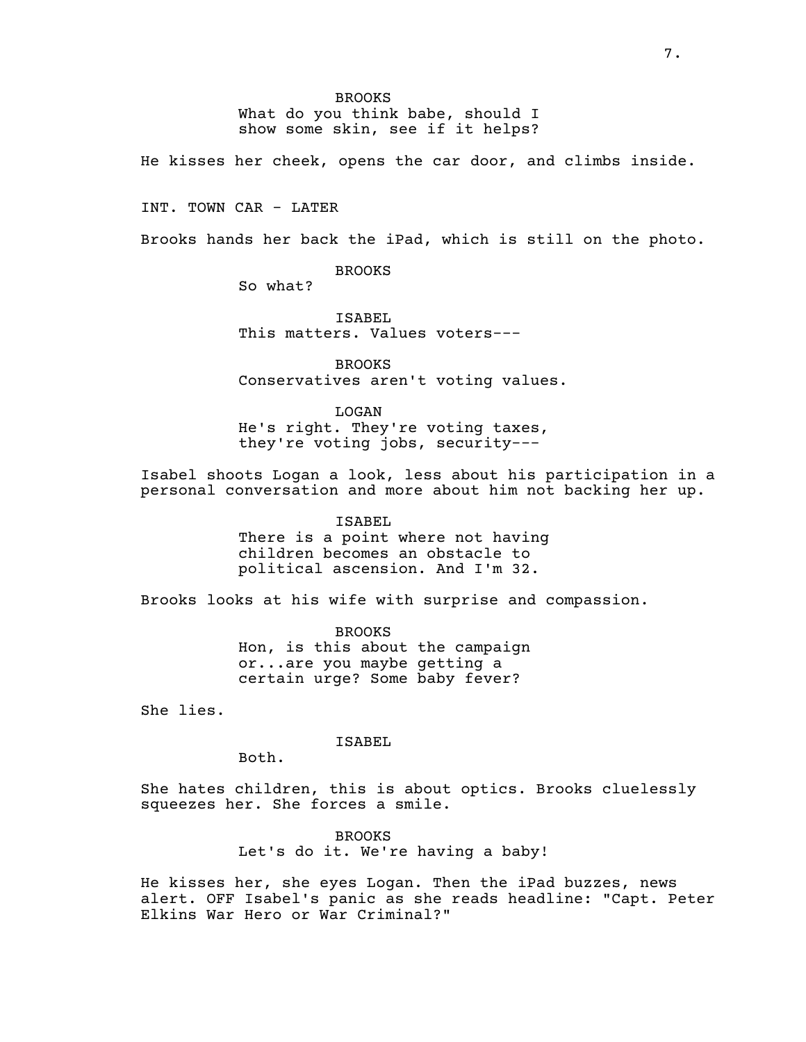What do you think babe, should I show some skin, see if it helps?

He kisses her cheek, opens the car door, and climbs inside.

INT. TOWN CAR - LATER

Brooks hands her back the iPad, which is still on the photo.

BROOKS

So what?

ISABEL This matters. Values voters---

BROOKS Conservatives aren't voting values.

LOGAN

He's right. They're voting taxes, they're voting jobs, security---

Isabel shoots Logan a look, less about his participation in a personal conversation and more about him not backing her up.

ISABEL

There is a point where not having children becomes an obstacle to political ascension. And I'm 32.

Brooks looks at his wife with surprise and compassion.

BROOKS Hon, is this about the campaign or...are you maybe getting a certain urge? Some baby fever?

She lies.

ISABEL

Both.

She hates children, this is about optics. Brooks cluelessly squeezes her. She forces a smile.

> BROOKS Let's do it. We're having a baby!

He kisses her, she eyes Logan. Then the iPad buzzes, news alert. OFF Isabel's panic as she reads headline: "Capt. Peter Elkins War Hero or War Criminal?"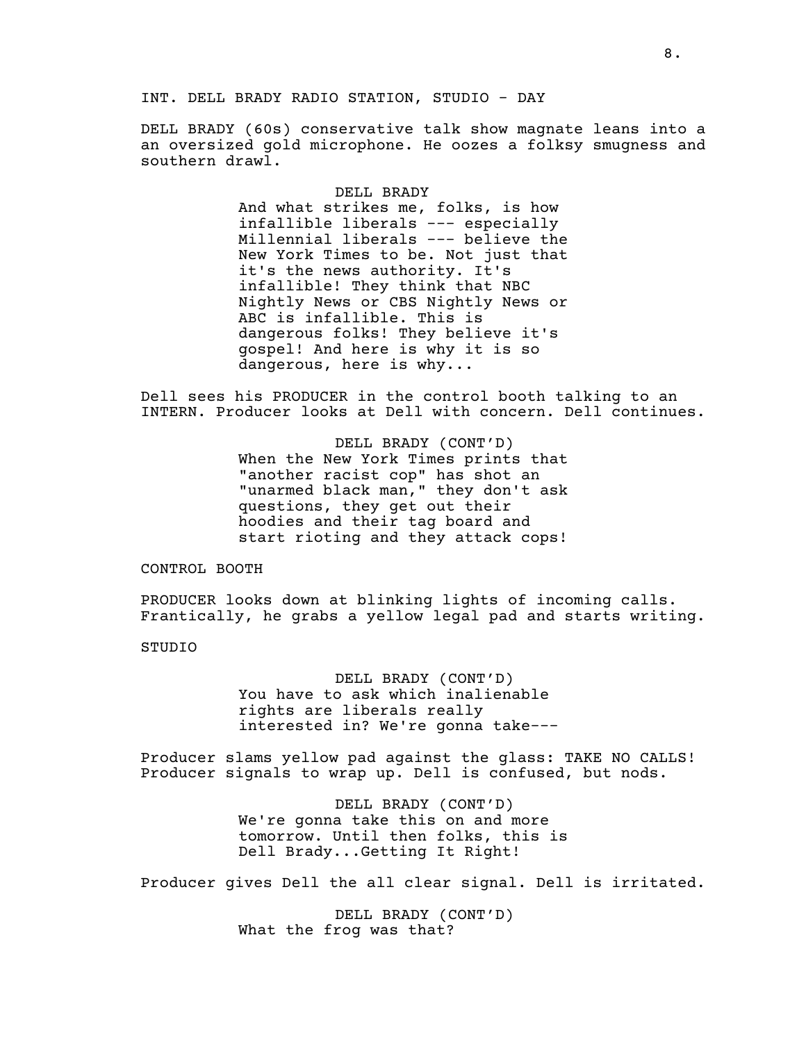DELL BRADY (60s) conservative talk show magnate leans into a an oversized gold microphone. He oozes a folksy smugness and southern drawl.

### DELL BRADY

And what strikes me, folks, is how infallible liberals --- especially Millennial liberals --- believe the New York Times to be. Not just that it's the news authority. It's infallible! They think that NBC Nightly News or CBS Nightly News or ABC is infallible. This is dangerous folks! They believe it's gospel! And here is why it is so dangerous, here is why...

Dell sees his PRODUCER in the control booth talking to an INTERN. Producer looks at Dell with concern. Dell continues.

> DELL BRADY (CONT'D) When the New York Times prints that "another racist cop" has shot an "unarmed black man," they don't ask questions, they get out their hoodies and their tag board and start rioting and they attack cops!

CONTROL BOOTH

PRODUCER looks down at blinking lights of incoming calls. Frantically, he grabs a yellow legal pad and starts writing.

STUDIO

DELL BRADY (CONT'D) You have to ask which inalienable rights are liberals really interested in? We're gonna take---

Producer slams yellow pad against the glass: TAKE NO CALLS! Producer signals to wrap up. Dell is confused, but nods.

> DELL BRADY (CONT'D) We're gonna take this on and more tomorrow. Until then folks, this is Dell Brady...Getting It Right!

Producer gives Dell the all clear signal. Dell is irritated.

DELL BRADY (CONT'D) What the frog was that?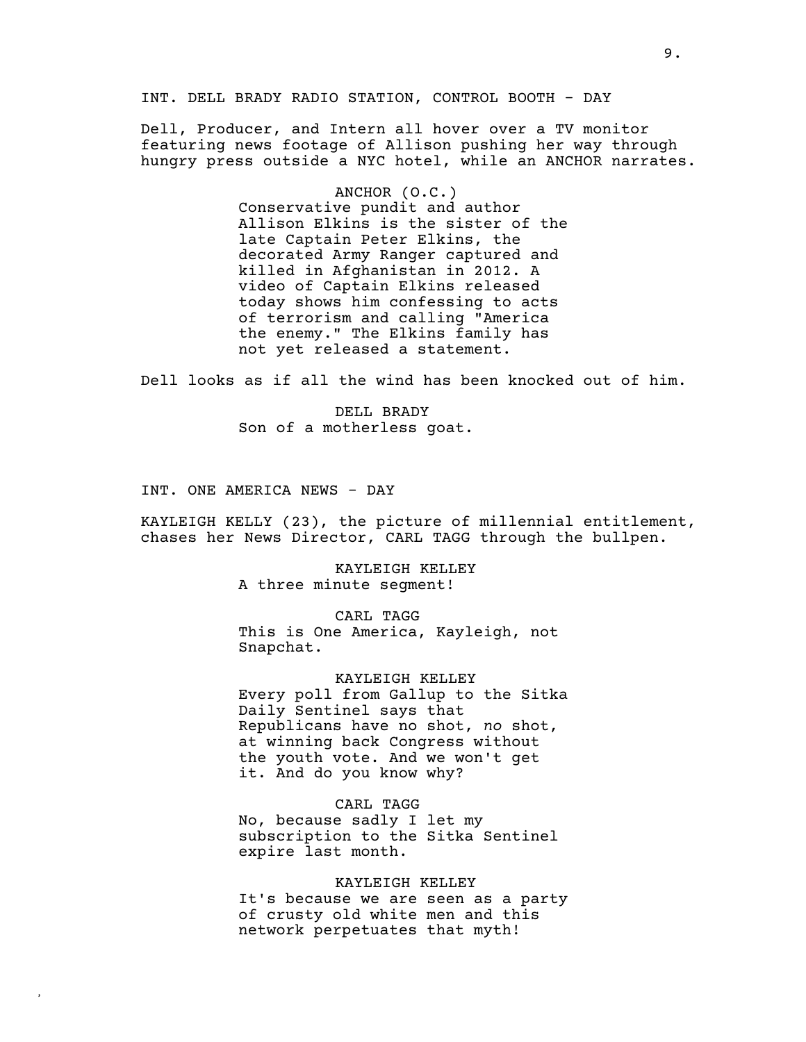INT. DELL BRADY RADIO STATION, CONTROL BOOTH - DAY

Dell, Producer, and Intern all hover over a TV monitor featuring news footage of Allison pushing her way through hungry press outside a NYC hotel, while an ANCHOR narrates.

> ANCHOR (O.C.) Conservative pundit and author Allison Elkins is the sister of the late Captain Peter Elkins, the decorated Army Ranger captured and killed in Afghanistan in 2012. A video of Captain Elkins released today shows him confessing to acts of terrorism and calling "America the enemy." The Elkins family has not yet released a statement.

Dell looks as if all the wind has been knocked out of him.

DELL BRADY Son of a motherless goat.

INT. ONE AMERICA NEWS - DAY

**,**

KAYLEIGH KELLY (23), the picture of millennial entitlement, chases her News Director, CARL TAGG through the bullpen.

> KAYLEIGH KELLEY A three minute segment!

CARL TAGG This is One America, Kayleigh, not Snapchat.

KAYLEIGH KELLEY Every poll from Gallup to the Sitka Daily Sentinel says that Republicans have no shot, *no* shot, at winning back Congress without the youth vote. And we won't get it. And do you know why?

CARL TAGG

No, because sadly I let my subscription to the Sitka Sentinel expire last month.

#### KAYLEIGH KELLEY

It's because we are seen as a party of crusty old white men and this network perpetuates that myth!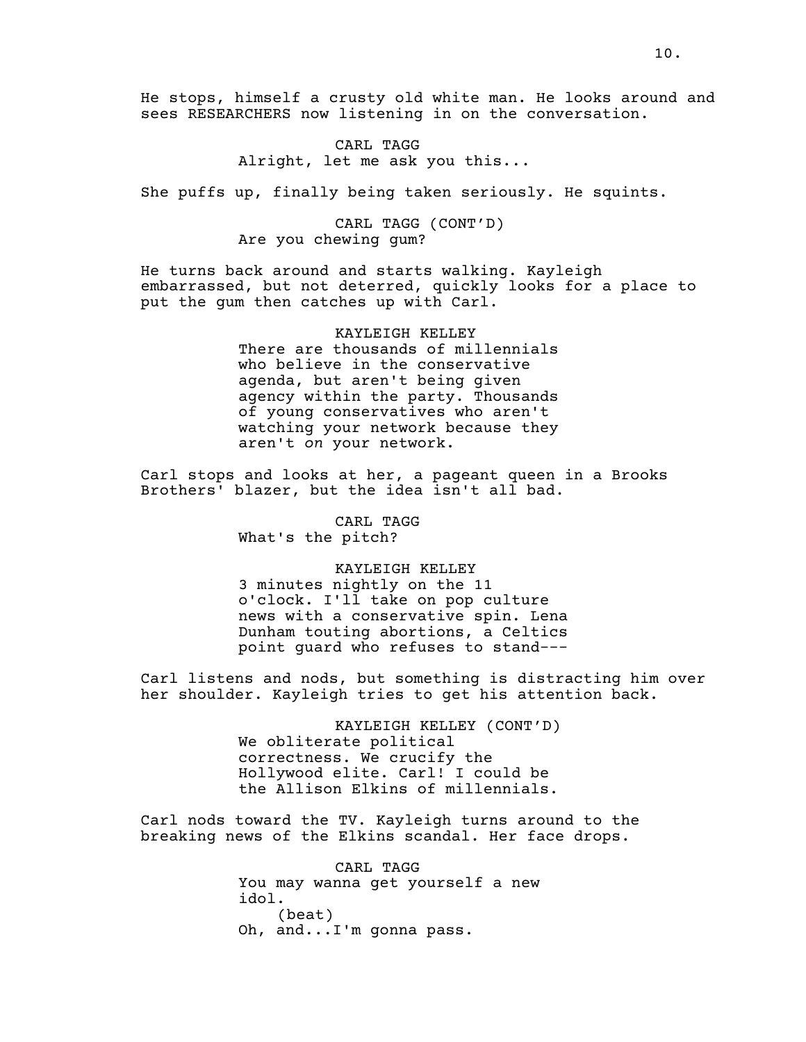He stops, himself a crusty old white man. He looks around and sees RESEARCHERS now listening in on the conversation.

> CARL TAGG Alright, let me ask you this...

She puffs up, finally being taken seriously. He squints.

# CARL TAGG (CONT'D) Are you chewing gum?

He turns back around and starts walking. Kayleigh embarrassed, but not deterred, quickly looks for a place to put the gum then catches up with Carl.

> KAYLEIGH KELLEY There are thousands of millennials who believe in the conservative agenda, but aren't being given agency within the party. Thousands of young conservatives who aren't watching your network because they aren't *on* your network.

Carl stops and looks at her, a pageant queen in a Brooks Brothers' blazer, but the idea isn't all bad.

> CARL TAGG What's the pitch?

> > KAYLEIGH KELLEY

3 minutes nightly on the 11 o'clock. I'll take on pop culture news with a conservative spin. Lena Dunham touting abortions, a Celtics point guard who refuses to stand---

Carl listens and nods, but something is distracting him over her shoulder. Kayleigh tries to get his attention back.

> KAYLEIGH KELLEY (CONT'D) We obliterate political correctness. We crucify the Hollywood elite. Carl! I could be the Allison Elkins of millennials.

Carl nods toward the TV. Kayleigh turns around to the breaking news of the Elkins scandal. Her face drops.

> CARL TAGG You may wanna get yourself a new idol. (beat) Oh, and...I'm gonna pass.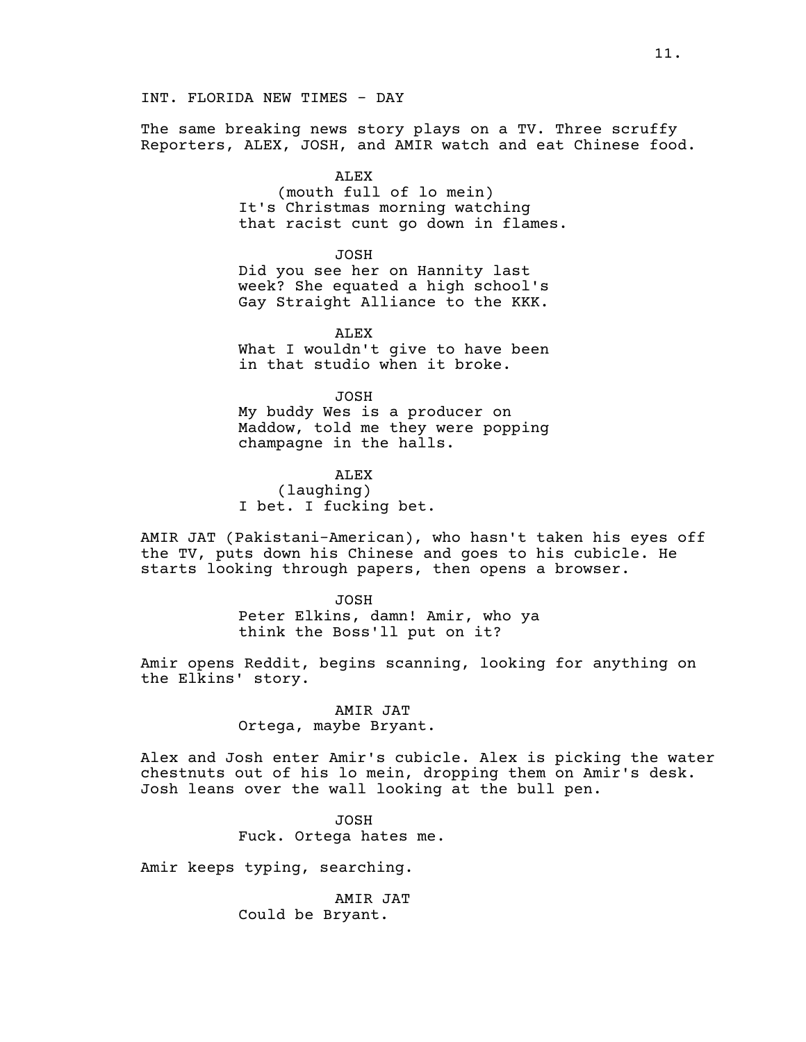The same breaking news story plays on a TV. Three scruffy Reporters, ALEX, JOSH, and AMIR watch and eat Chinese food.

ALEX

(mouth full of lo mein) It's Christmas morning watching that racist cunt go down in flames.

JOSH Did you see her on Hannity last week? She equated a high school's Gay Straight Alliance to the KKK.

ALEX What I wouldn't give to have been in that studio when it broke.

JOSH My buddy Wes is a producer on Maddow, told me they were popping champagne in the halls.

ALEX (laughing) I bet. I fucking bet.

AMIR JAT (Pakistani-American), who hasn't taken his eyes off the TV, puts down his Chinese and goes to his cubicle. He starts looking through papers, then opens a browser.

> JOSH Peter Elkins, damn! Amir, who ya think the Boss'll put on it?

Amir opens Reddit, begins scanning, looking for anything on the Elkins' story.

> AMIR JAT Ortega, maybe Bryant.

Alex and Josh enter Amir's cubicle. Alex is picking the water chestnuts out of his lo mein, dropping them on Amir's desk. Josh leans over the wall looking at the bull pen.

> JOSH Fuck. Ortega hates me.

Amir keeps typing, searching.

AMIR JAT Could be Bryant.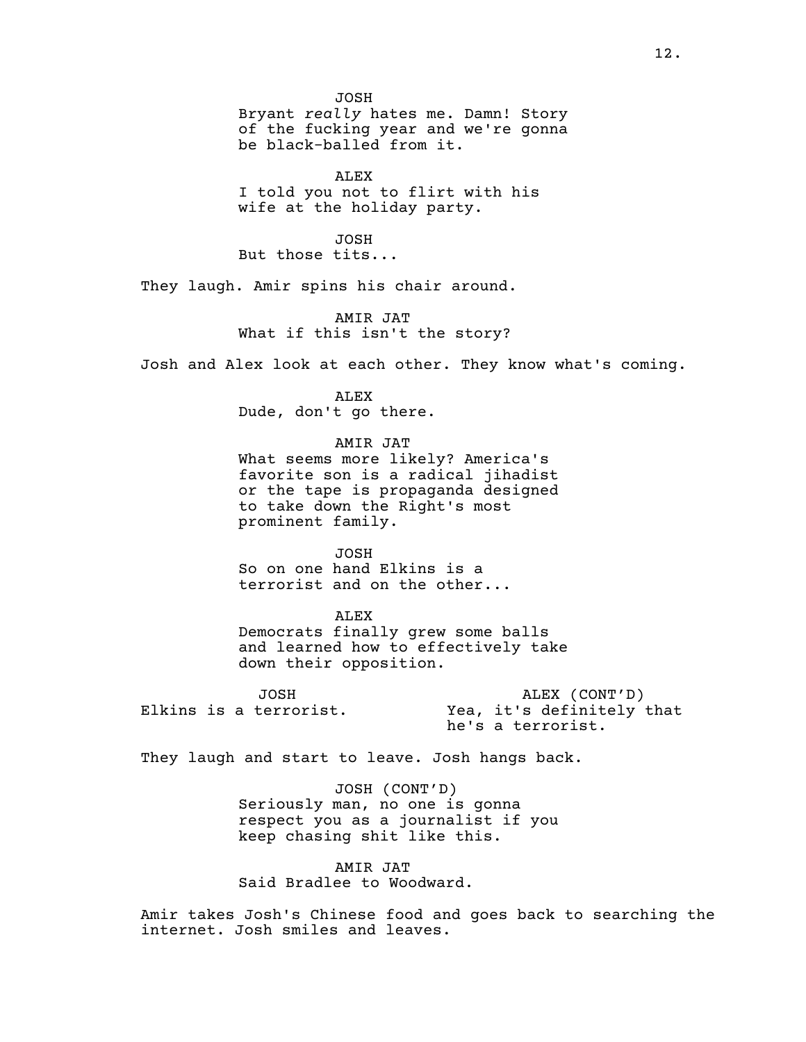JOSH Bryant *really* hates me. Damn! Story of the fucking year and we're gonna be black-balled from it.

ALEX

I told you not to flirt with his wife at the holiday party.

JOSH But those tits...

They laugh. Amir spins his chair around.

AMIR JAT What if this isn't the story?

Josh and Alex look at each other. They know what's coming.

ALEX Dude, don't go there.

AMIR JAT

What seems more likely? America's favorite son is a radical jihadist or the tape is propaganda designed to take down the Right's most prominent family.

JOSH So on one hand Elkins is a terrorist and on the other...

ALEX Democrats finally grew some balls and learned how to effectively take down their opposition.

JOSH Elkins is a terrorist.

ALEX (CONT'D) Yea, it's definitely that he's a terrorist.

They laugh and start to leave. Josh hangs back.

JOSH (CONT'D) Seriously man, no one is gonna respect you as a journalist if you keep chasing shit like this.

AMIR JAT Said Bradlee to Woodward.

Amir takes Josh's Chinese food and goes back to searching the internet. Josh smiles and leaves.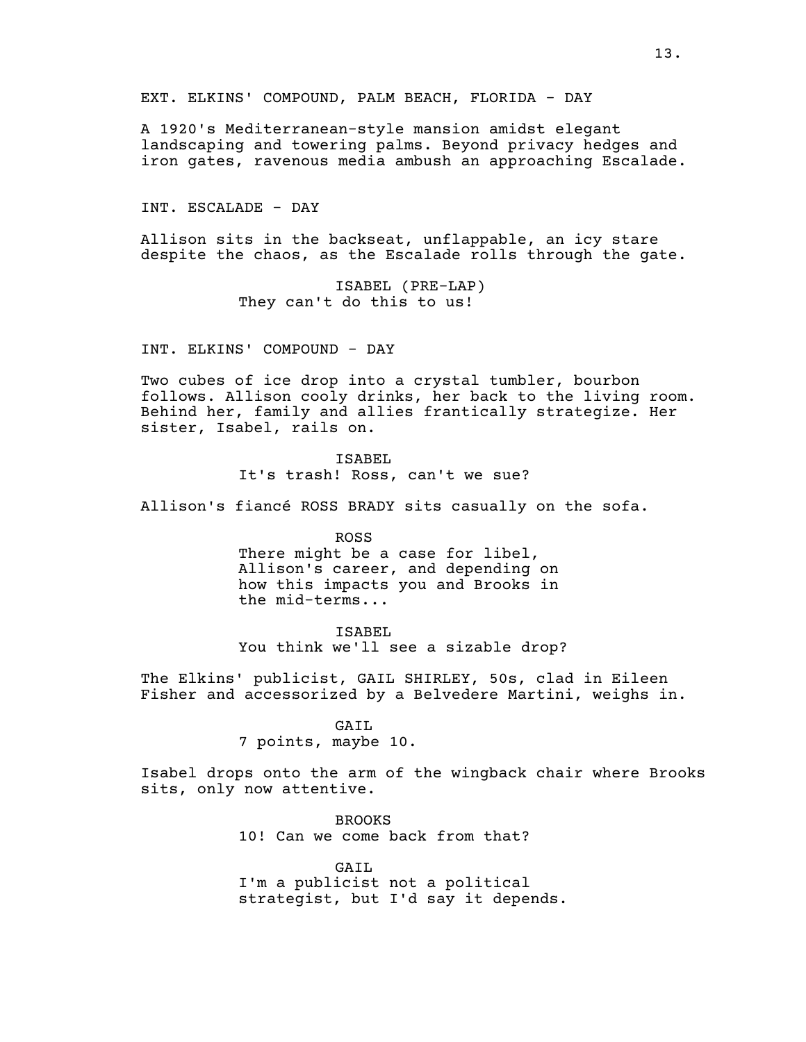EXT. ELKINS' COMPOUND, PALM BEACH, FLORIDA - DAY

A 1920's Mediterranean-style mansion amidst elegant landscaping and towering palms. Beyond privacy hedges and iron gates, ravenous media ambush an approaching Escalade.

INT. ESCALADE - DAY

Allison sits in the backseat, unflappable, an icy stare despite the chaos, as the Escalade rolls through the gate.

> ISABEL (PRE-LAP) They can't do this to us!

INT. ELKINS' COMPOUND - DAY

Two cubes of ice drop into a crystal tumbler, bourbon follows. Allison cooly drinks, her back to the living room. Behind her, family and allies frantically strategize. Her sister, Isabel, rails on.

> ISABEL It's trash! Ross, can't we sue?

Allison's fiancé ROSS BRADY sits casually on the sofa.

ROSS There might be a case for libel, Allison's career, and depending on how this impacts you and Brooks in the mid-terms...

ISABEL You think we'll see a sizable drop?

The Elkins' publicist, GAIL SHIRLEY, 50s, clad in Eileen Fisher and accessorized by a Belvedere Martini, weighs in.

#### GAIL

7 points, maybe 10.

Isabel drops onto the arm of the wingback chair where Brooks sits, only now attentive.

> BROOKS 10! Can we come back from that?

GAIL I'm a publicist not a political strategist, but I'd say it depends.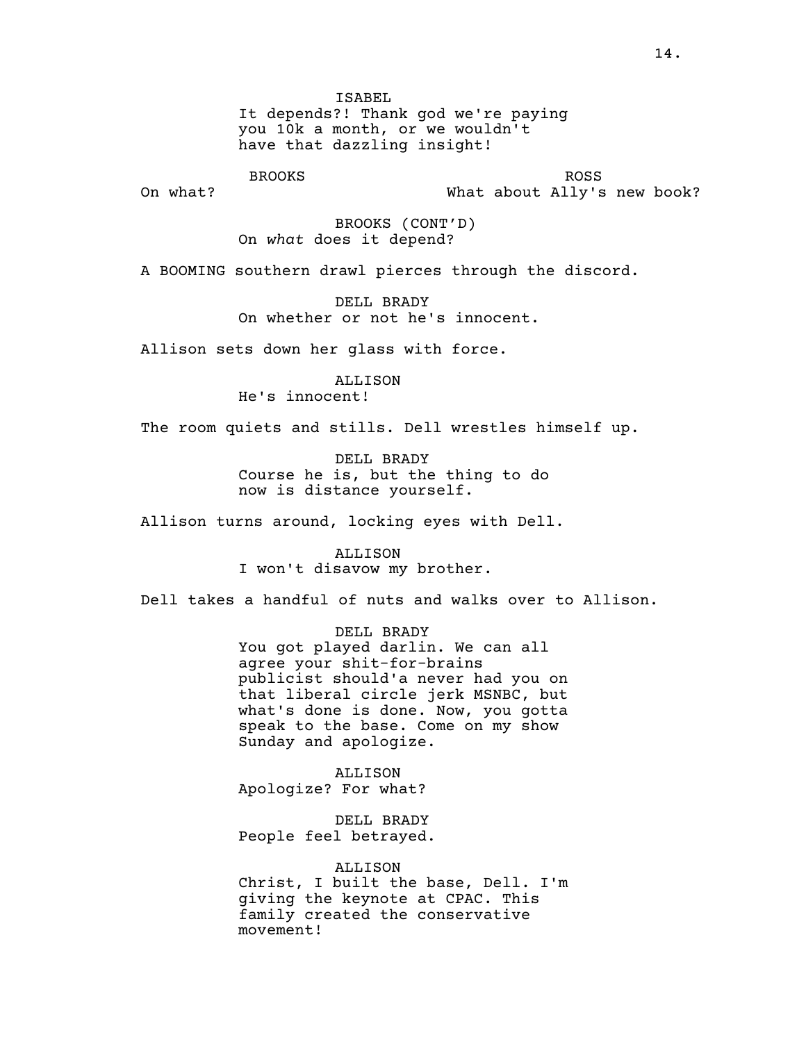ISABEL It depends?! Thank god we're paying you 10k a month, or we wouldn't have that dazzling insight!

BROOKS On what?

ROSS What about Ally's new book?

BROOKS (CONT'D) On *what* does it depend?

A BOOMING southern drawl pierces through the discord.

DELL BRADY On whether or not he's innocent.

Allison sets down her glass with force.

**ALLISON** 

He's innocent!

The room quiets and stills. Dell wrestles himself up.

DELL BRADY Course he is, but the thing to do now is distance yourself.

Allison turns around, locking eyes with Dell.

**ALLISON** I won't disavow my brother.

Dell takes a handful of nuts and walks over to Allison.

DELL BRADY You got played darlin. We can all agree your shit-for-brains publicist should'a never had you on that liberal circle jerk MSNBC, but what's done is done. Now, you gotta speak to the base. Come on my show Sunday and apologize.

ALLISON Apologize? For what?

DELL BRADY People feel betrayed.

ALLISON

Christ, I built the base, Dell. I'm giving the keynote at CPAC. This family created the conservative movement!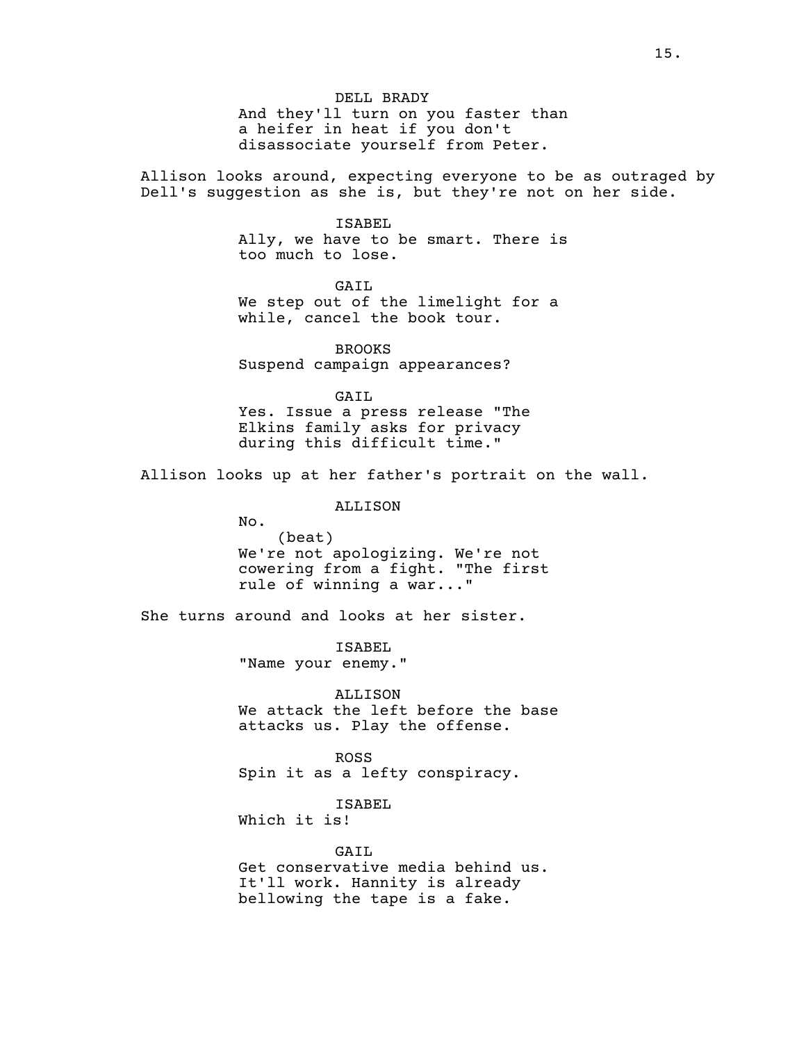And they'll turn on you faster than a heifer in heat if you don't disassociate yourself from Peter.

Allison looks around, expecting everyone to be as outraged by Dell's suggestion as she is, but they're not on her side.

### ISABEL

Ally, we have to be smart. There is too much to lose.

GAIL We step out of the limelight for a while, cancel the book tour.

BROOKS Suspend campaign appearances?

GAIL Yes. Issue a press release "The Elkins family asks for privacy during this difficult time."

Allison looks up at her father's portrait on the wall.

ALLISON

No.

(beat) We're not apologizing. We're not cowering from a fight. "The first rule of winning a war..."

She turns around and looks at her sister.

ISABEL "Name your enemy."

ALLISON We attack the left before the base attacks us. Play the offense.

ROSS Spin it as a lefty conspiracy.

ISABEL Which it is!

GAIL Get conservative media behind us. It'll work. Hannity is already bellowing the tape is a fake.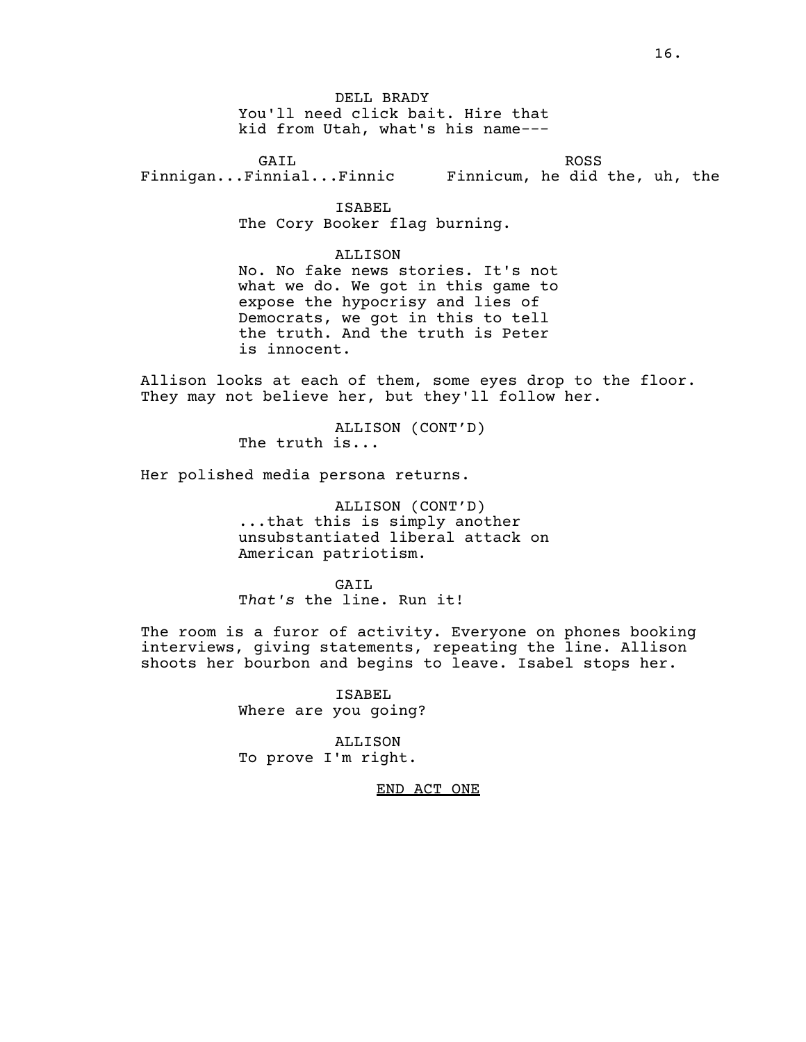DELL BRADY You'll need click bait. Hire that kid from Utah, what's his name---

GAIL Finnigan...Finnial...Finnic ROSS Finnicum, he did the, uh, the

ISABEL

The Cory Booker flag burning.

ALLISON

No. No fake news stories. It's not what we do. We got in this game to expose the hypocrisy and lies of Democrats, we got in this to tell the truth. And the truth is Peter is innocent.

Allison looks at each of them, some eyes drop to the floor. They may not believe her, but they'll follow her.

> ALLISON (CONT'D) The truth is...

Her polished media persona returns.

ALLISON (CONT'D) ...that this is simply another unsubstantiated liberal attack on American patriotism.

GAIL T*hat's* the line. Run it!

The room is a furor of activity. Everyone on phones booking interviews, giving statements, repeating the line. Allison shoots her bourbon and begins to leave. Isabel stops her.

> ISABEL Where are you going?

ALLISON To prove I'm right.

END ACT ONE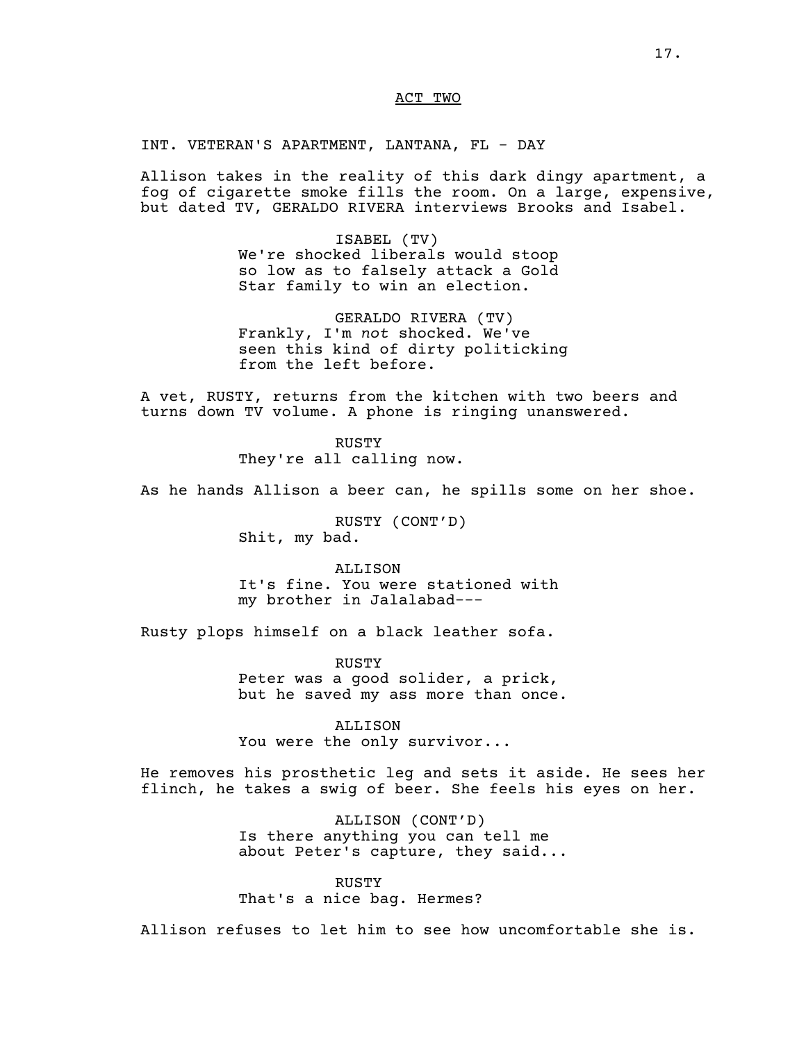## ACT TWO

INT. VETERAN'S APARTMENT, LANTANA, FL - DAY

Allison takes in the reality of this dark dingy apartment, a fog of cigarette smoke fills the room. On a large, expensive, but dated TV, GERALDO RIVERA interviews Brooks and Isabel.

> ISABEL (TV) We're shocked liberals would stoop so low as to falsely attack a Gold Star family to win an election.

GERALDO RIVERA (TV) Frankly, I'm *not* shocked. We've seen this kind of dirty politicking from the left before.

A vet, RUSTY, returns from the kitchen with two beers and turns down TV volume. A phone is ringing unanswered.

> RUSTY They're all calling now.

As he hands Allison a beer can, he spills some on her shoe.

RUSTY (CONT'D) Shit, my bad.

ALLISON It's fine. You were stationed with my brother in Jalalabad---

Rusty plops himself on a black leather sofa.

RUSTY Peter was a good solider, a prick, but he saved my ass more than once.

ALLISON You were the only survivor...

He removes his prosthetic leg and sets it aside. He sees her flinch, he takes a swig of beer. She feels his eyes on her.

> ALLISON (CONT'D) Is there anything you can tell me about Peter's capture, they said...

RUSTY That's a nice bag. Hermes?

Allison refuses to let him to see how uncomfortable she is.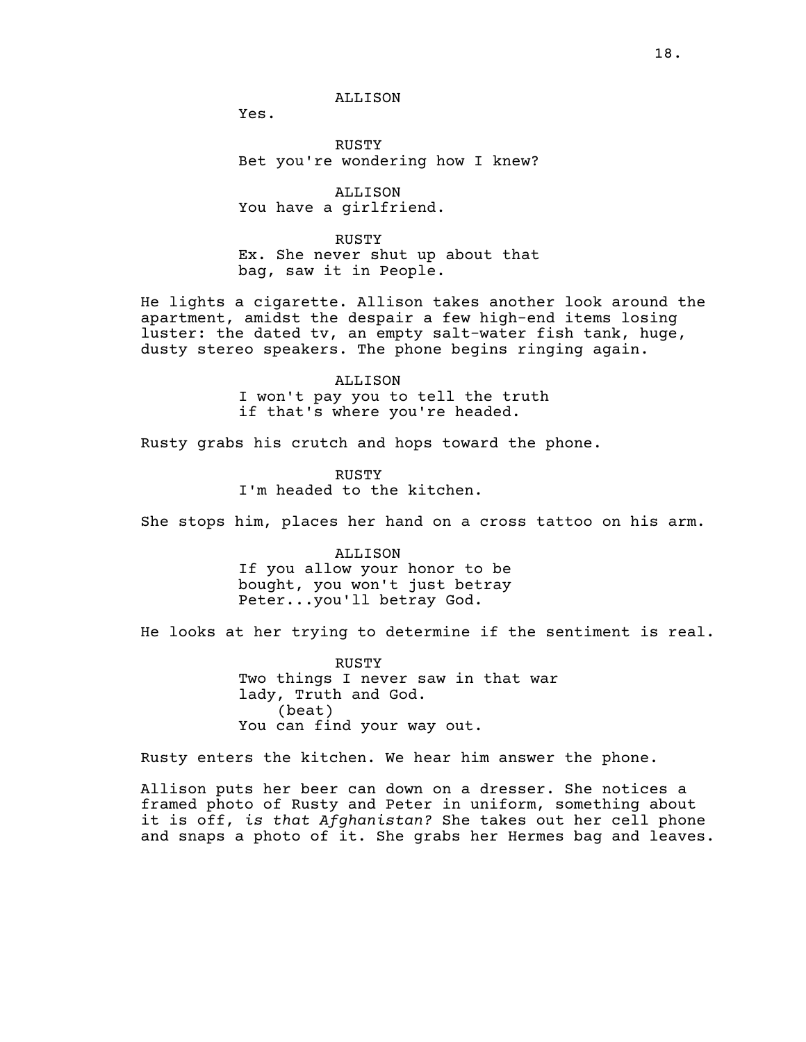Yes.

RUSTY Bet you're wondering how I knew?

ALLISON You have a girlfriend.

RUSTY Ex. She never shut up about that bag, saw it in People.

He lights a cigarette. Allison takes another look around the apartment, amidst the despair a few high-end items losing luster: the dated tv, an empty salt-water fish tank, huge, dusty stereo speakers. The phone begins ringing again.

> ALLISON I won't pay you to tell the truth if that's where you're headed.

Rusty grabs his crutch and hops toward the phone.

RUSTY I'm headed to the kitchen.

She stops him, places her hand on a cross tattoo on his arm.

ALLISON If you allow your honor to be bought, you won't just betray Peter...you'll betray God.

He looks at her trying to determine if the sentiment is real.

RUSTY Two things I never saw in that war lady, Truth and God. (beat) You can find your way out.

Rusty enters the kitchen. We hear him answer the phone.

Allison puts her beer can down on a dresser. She notices a framed photo of Rusty and Peter in uniform, something about it is off, *is that Afghanistan?* She takes out her cell phone and snaps a photo of it. She grabs her Hermes bag and leaves.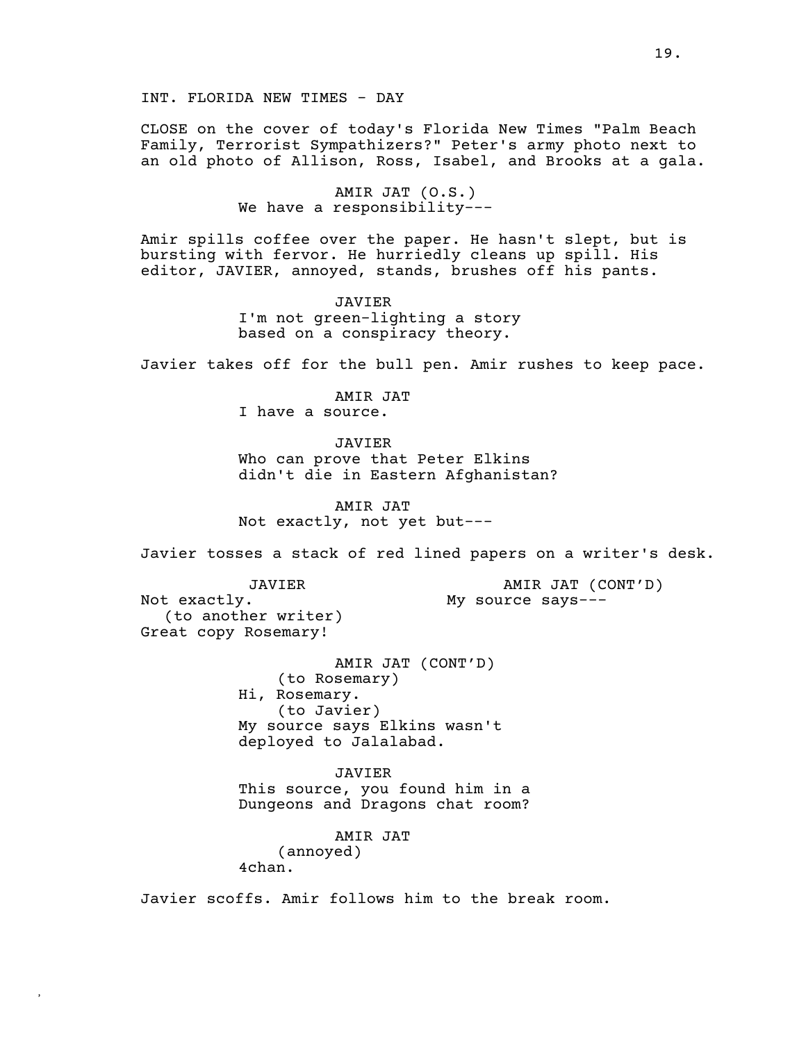INT. FLORIDA NEW TIMES - DAY

CLOSE on the cover of today's Florida New Times "Palm Beach Family, Terrorist Sympathizers?" Peter's army photo next to an old photo of Allison, Ross, Isabel, and Brooks at a gala.

> AMIR JAT (O.S.) We have a responsibility---

Amir spills coffee over the paper. He hasn't slept, but is bursting with fervor. He hurriedly cleans up spill. His editor, JAVIER, annoyed, stands, brushes off his pants.

> JAVIER I'm not green-lighting a story based on a conspiracy theory.

Javier takes off for the bull pen. Amir rushes to keep pace.

AMIR JAT I have a source.

JAVIER Who can prove that Peter Elkins didn't die in Eastern Afghanistan?

AMIR JAT Not exactly, not yet but---

Javier tosses a stack of red lined papers on a writer's desk.

JAVIER

AMIR JAT (CONT'D) My source says---

Not exactly. (to another writer) Great copy Rosemary!

> AMIR JAT (CONT'D) (to Rosemary) Hi, Rosemary. (to Javier) My source says Elkins wasn't deployed to Jalalabad.

JAVIER This source, you found him in a Dungeons and Dragons chat room?

AMIR JAT

(annoyed) 4chan.

**,**

Javier scoffs. Amir follows him to the break room.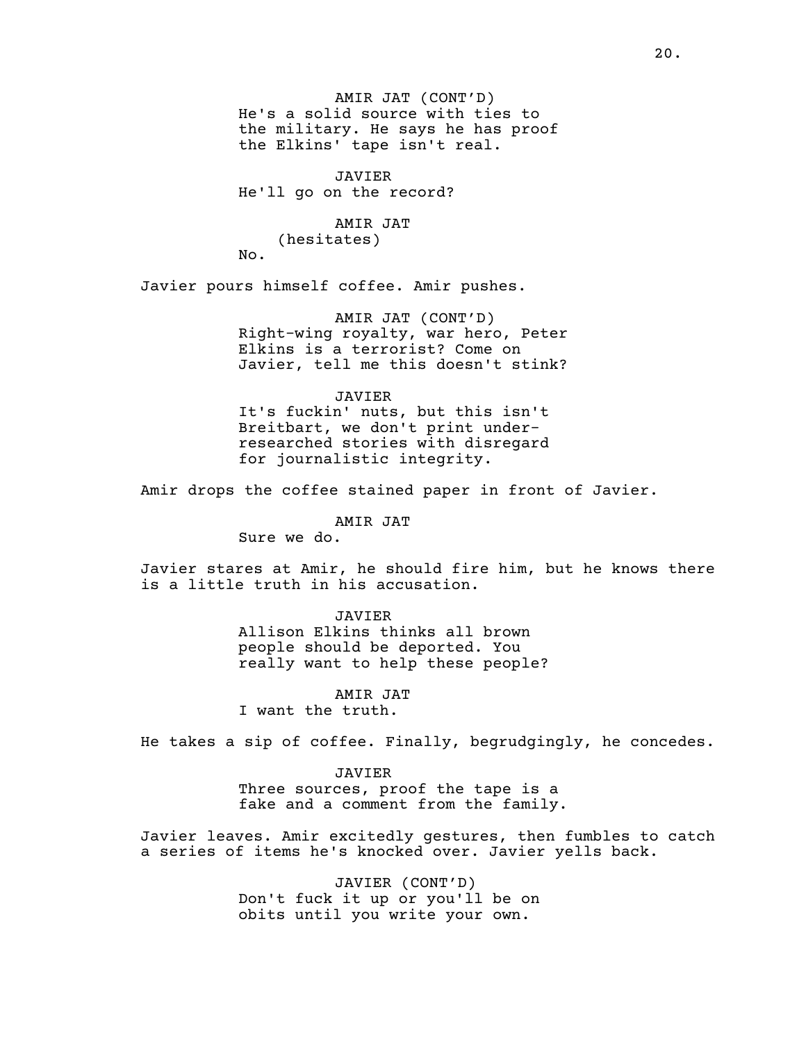AMIR JAT (CONT'D) He's a solid source with ties to the military. He says he has proof the Elkins' tape isn't real.

JAVIER He'll go on the record?

# AMIR JAT

(hesitates)

No.

Javier pours himself coffee. Amir pushes.

AMIR JAT (CONT'D) Right-wing royalty, war hero, Peter Elkins is a terrorist? Come on Javier, tell me this doesn't stink?

JAVIER It's fuckin' nuts, but this isn't Breitbart, we don't print underresearched stories with disregard for journalistic integrity.

Amir drops the coffee stained paper in front of Javier.

AMIR JAT

Sure we do.

Javier stares at Amir, he should fire him, but he knows there is a little truth in his accusation.

> JAVIER Allison Elkins thinks all brown people should be deported. You really want to help these people?

AMIR JAT I want the truth.

He takes a sip of coffee. Finally, begrudgingly, he concedes.

JAVIER

Three sources, proof the tape is a fake and a comment from the family.

Javier leaves. Amir excitedly gestures, then fumbles to catch a series of items he's knocked over. Javier yells back.

> JAVIER (CONT'D) Don't fuck it up or you'll be on obits until you write your own.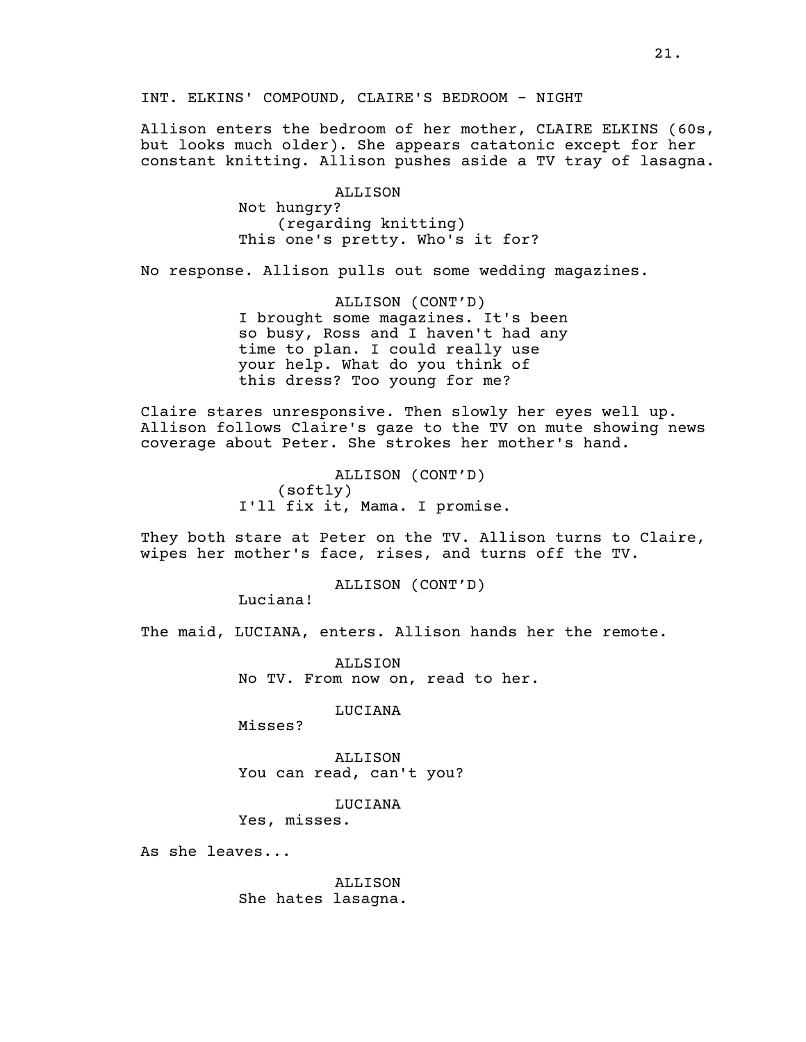INT. ELKINS' COMPOUND, CLAIRE'S BEDROOM - NIGHT

Allison enters the bedroom of her mother, CLAIRE ELKINS (60s, but looks much older). She appears catatonic except for her constant knitting. Allison pushes aside a TV tray of lasagna.

> ALLISON Not hungry? (regarding knitting) This one's pretty. Who's it for?

No response. Allison pulls out some wedding magazines.

ALLISON (CONT'D) I brought some magazines. It's been so busy, Ross and I haven't had any time to plan. I could really use your help. What do you think of this dress? Too young for me?

Claire stares unresponsive. Then slowly her eyes well up. Allison follows Claire's gaze to the TV on mute showing news coverage about Peter. She strokes her mother's hand.

> ALLISON (CONT'D) (softly) I'll fix it, Mama. I promise.

They both stare at Peter on the TV. Allison turns to Claire, wipes her mother's face, rises, and turns off the TV.

ALLISON (CONT'D)

Luciana!

The maid, LUCIANA, enters. Allison hands her the remote.

ALLSION No TV. From now on, read to her.

LUCIANA

Misses?

ALLISON You can read, can't you?

LUCIANA

Yes, misses.

As she leaves...

ALLISON She hates lasagna.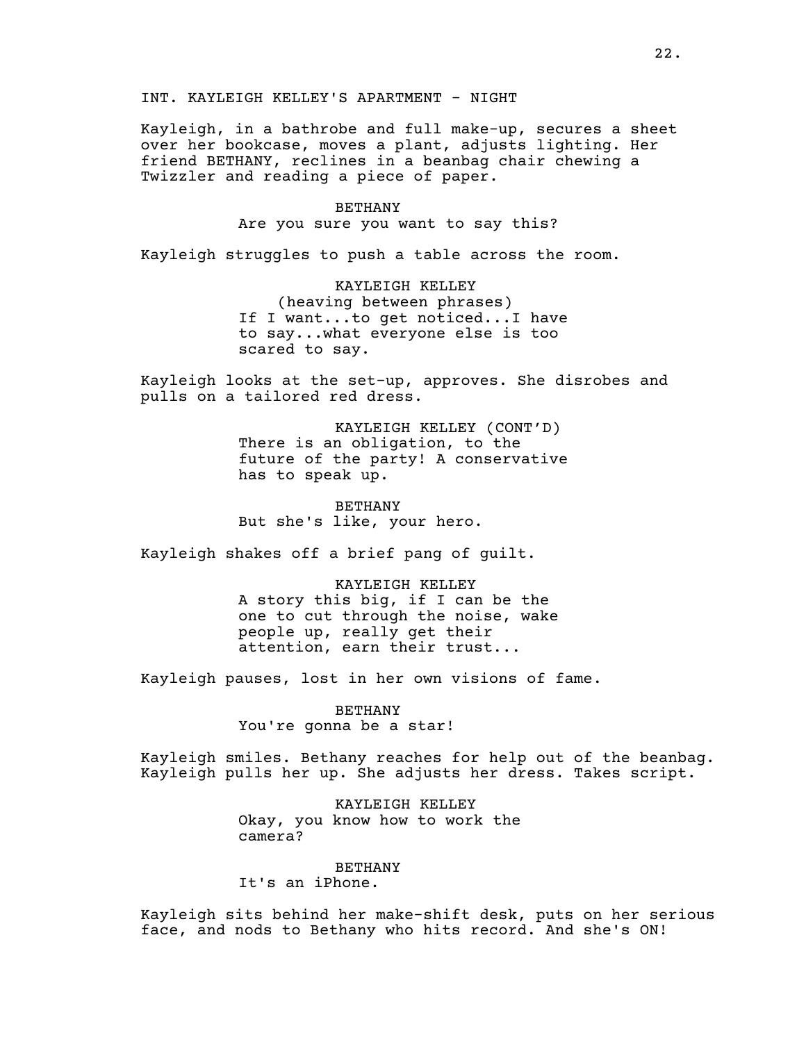INT. KAYLEIGH KELLEY'S APARTMENT - NIGHT

Kayleigh, in a bathrobe and full make-up, secures a sheet over her bookcase, moves a plant, adjusts lighting. Her friend BETHANY, reclines in a beanbag chair chewing a Twizzler and reading a piece of paper.

#### BETHANY

Are you sure you want to say this?

Kayleigh struggles to push a table across the room.

KAYLEIGH KELLEY (heaving between phrases) If I want...to get noticed...I have to say...what everyone else is too scared to say.

Kayleigh looks at the set-up, approves. She disrobes and pulls on a tailored red dress.

> KAYLEIGH KELLEY (CONT'D) There is an obligation, to the future of the party! A conservative has to speak up.

BETHANY But she's like, your hero.

Kayleigh shakes off a brief pang of guilt.

KAYLEIGH KELLEY A story this big, if I can be the one to cut through the noise, wake people up, really get their attention, earn their trust...

Kayleigh pauses, lost in her own visions of fame.

BETHANY You're gonna be a star!

Kayleigh smiles. Bethany reaches for help out of the beanbag. Kayleigh pulls her up. She adjusts her dress. Takes script.

> KAYLEIGH KELLEY Okay, you know how to work the camera?

> > BETHANY

It's an iPhone.

Kayleigh sits behind her make-shift desk, puts on her serious face, and nods to Bethany who hits record. And she's ON!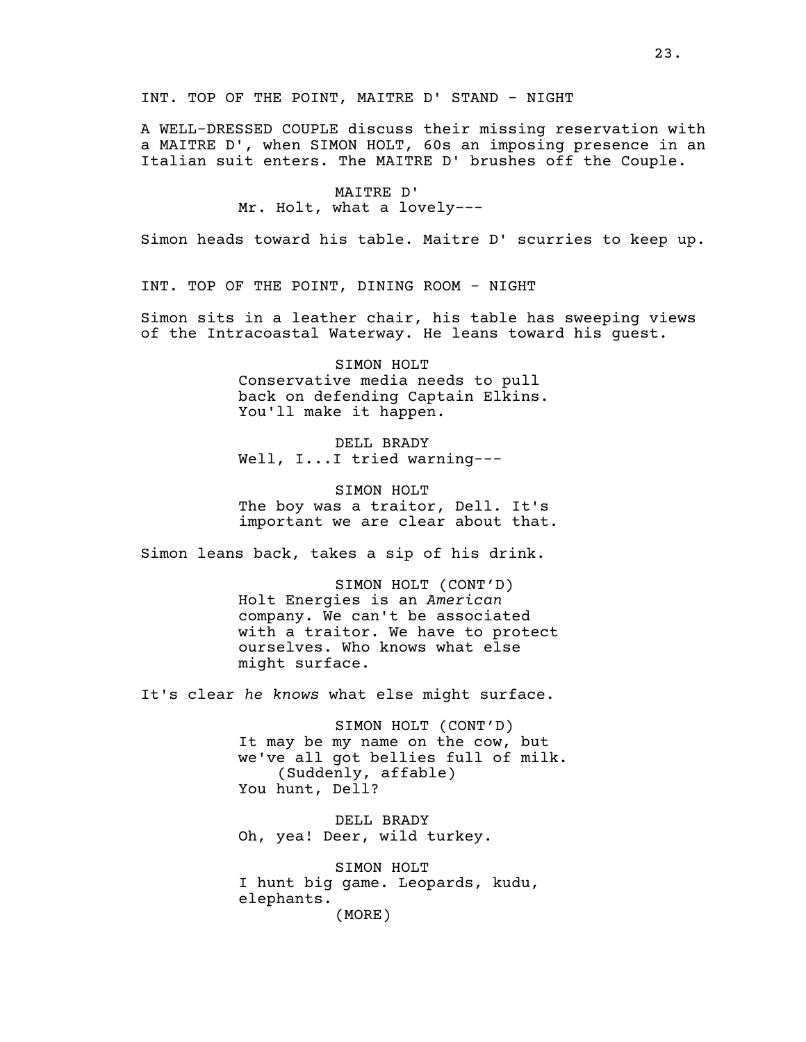A WELL-DRESSED COUPLE discuss their missing reservation with a MAITRE D', when SIMON HOLT, 60s an imposing presence in an Italian suit enters. The MAITRE D' brushes off the Couple.

> MAITRE D' Mr. Holt, what a lovely---

Simon heads toward his table. Maitre D' scurries to keep up.

INT. TOP OF THE POINT, DINING ROOM - NIGHT

Simon sits in a leather chair, his table has sweeping views of the Intracoastal Waterway. He leans toward his guest.

> SIMON HOLT Conservative media needs to pull back on defending Captain Elkins. You'll make it happen.

DELL BRADY Well, I...I tried warning---

SIMON HOLT The boy was a traitor, Dell. It's important we are clear about that.

Simon leans back, takes a sip of his drink.

SIMON HOLT (CONT'D) Holt Energies is an *American* company. We can't be associated with a traitor. We have to protect ourselves. Who knows what else might surface.

It's clear *he knows* what else might surface.

SIMON HOLT (CONT'D) It may be my name on the cow, but we've all got bellies full of milk. (Suddenly, affable) You hunt, Dell?

DELL BRADY Oh, yea! Deer, wild turkey.

SIMON HOLT I hunt big game. Leopards, kudu, elephants. (MORE)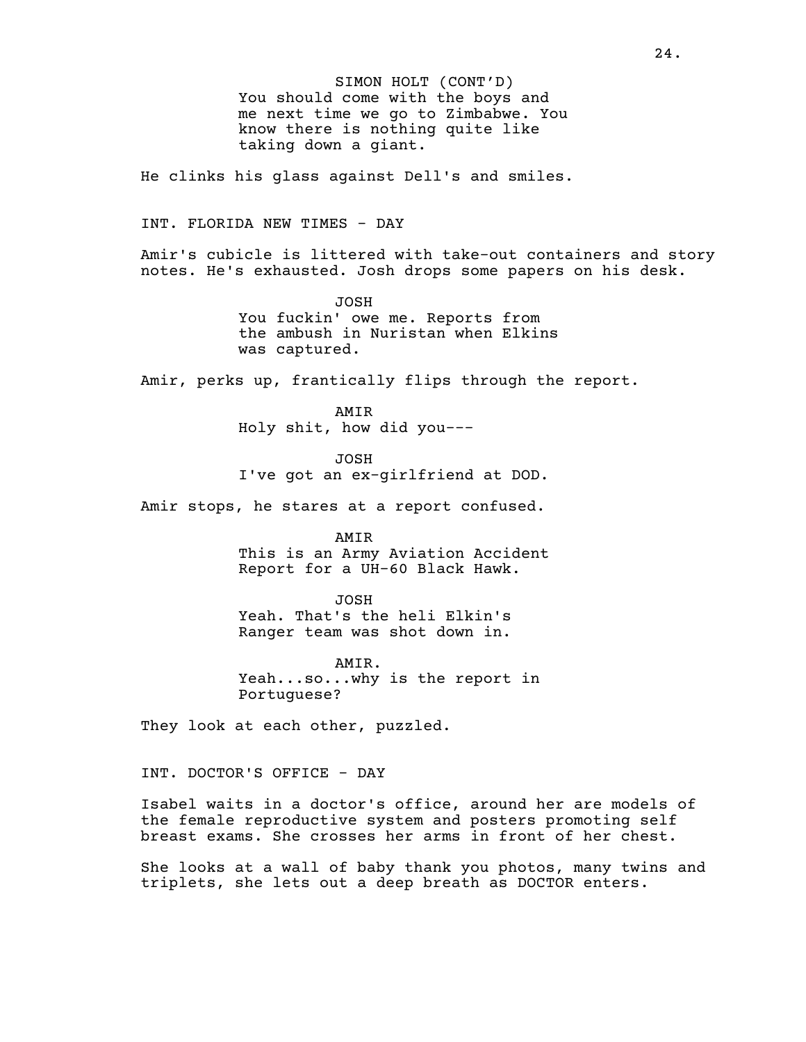SIMON HOLT (CONT'D) You should come with the boys and me next time we go to Zimbabwe. You know there is nothing quite like taking down a giant.

He clinks his glass against Dell's and smiles.

INT. FLORIDA NEW TIMES - DAY

Amir's cubicle is littered with take-out containers and story notes. He's exhausted. Josh drops some papers on his desk.

> JOSH You fuckin' owe me. Reports from the ambush in Nuristan when Elkins was captured.

Amir, perks up, frantically flips through the report.

AMIR Holy shit, how did you---

JOSH I've got an ex-girlfriend at DOD.

Amir stops, he stares at a report confused.

AMIR

This is an Army Aviation Accident Report for a UH-60 Black Hawk.

JOSH

Yeah. That's the heli Elkin's Ranger team was shot down in.

AMIR. Yeah...so...why is the report in Portuguese?

They look at each other, puzzled.

INT. DOCTOR'S OFFICE - DAY

Isabel waits in a doctor's office, around her are models of the female reproductive system and posters promoting self breast exams. She crosses her arms in front of her chest.

She looks at a wall of baby thank you photos, many twins and triplets, she lets out a deep breath as DOCTOR enters.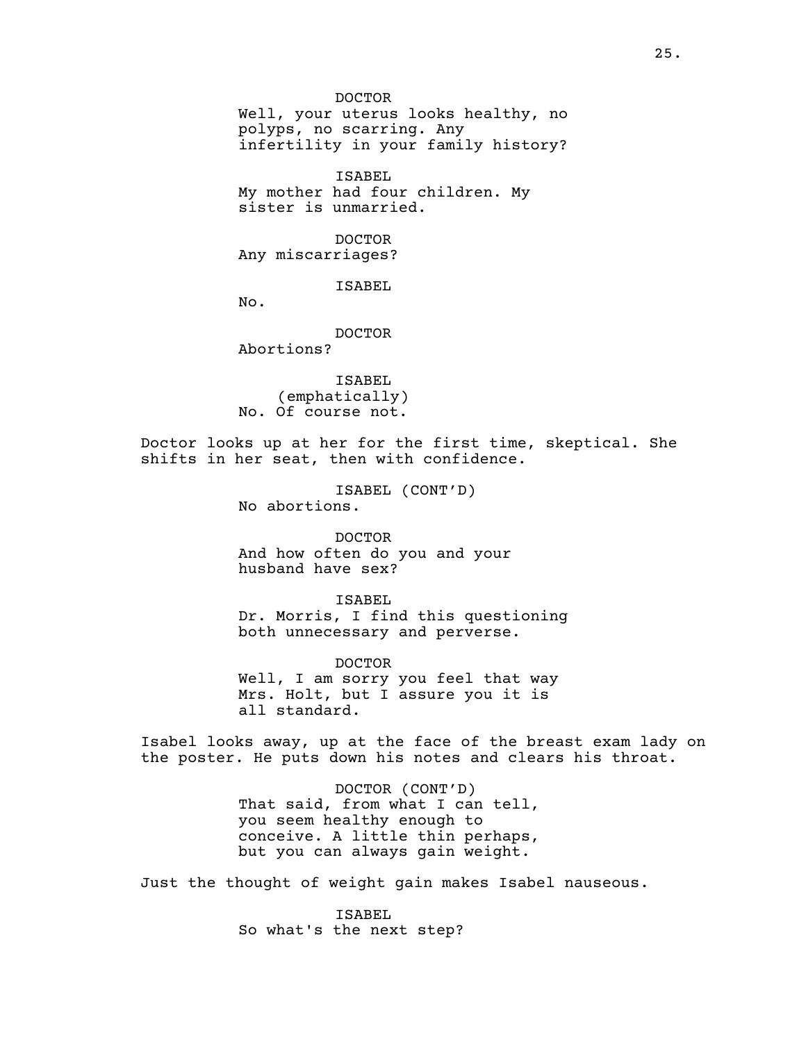DOCTOR Well, your uterus looks healthy, no polyps, no scarring. Any infertility in your family history?

ISABEL My mother had four children. My sister is unmarried.

DOCTOR Any miscarriages?

ISABEL

No.

DOCTOR

Abortions?

ISABEL (emphatically) No. Of course not.

Doctor looks up at her for the first time, skeptical. She shifts in her seat, then with confidence.

> ISABEL (CONT'D) No abortions.

DOCTOR And how often do you and your husband have sex?

ISABEL Dr. Morris, I find this questioning both unnecessary and perverse.

DOCTOR Well, I am sorry you feel that way Mrs. Holt, but I assure you it is all standard.

Isabel looks away, up at the face of the breast exam lady on the poster. He puts down his notes and clears his throat.

> DOCTOR (CONT'D) That said, from what I can tell, you seem healthy enough to conceive. A little thin perhaps, but you can always gain weight.

Just the thought of weight gain makes Isabel nauseous.

ISABEL So what's the next step?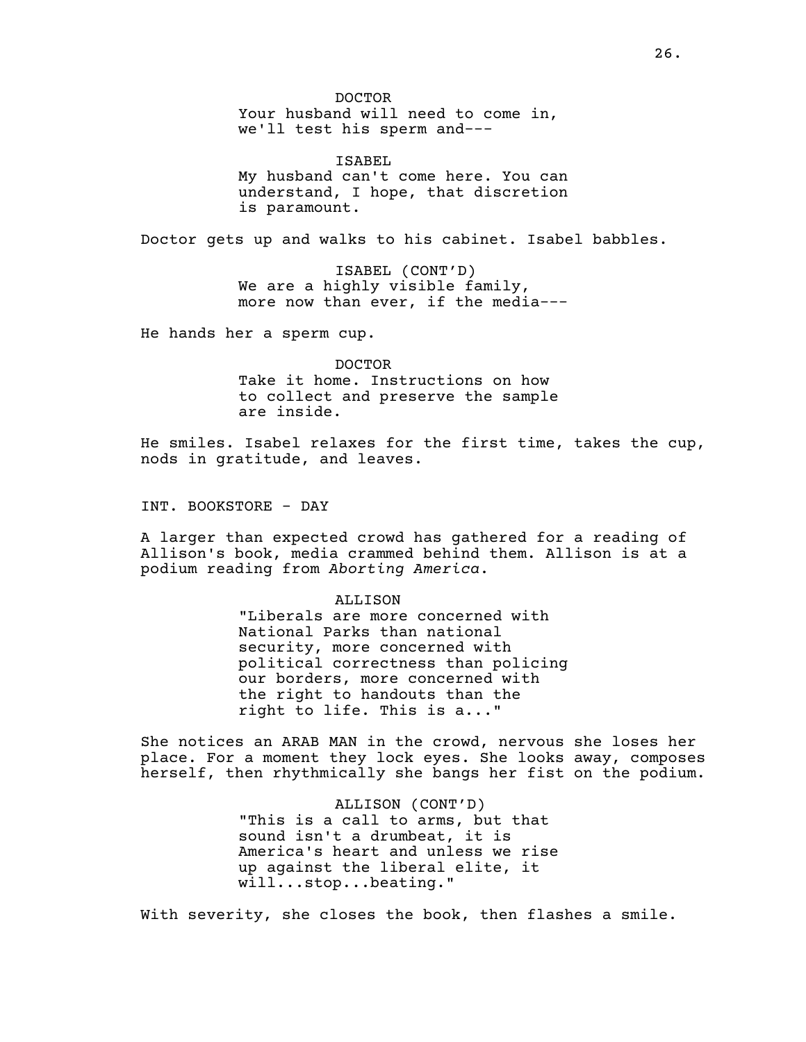DOCTOR Your husband will need to come in, we'll test his sperm and---

ISABEL My husband can't come here. You can understand, I hope, that discretion is paramount.

Doctor gets up and walks to his cabinet. Isabel babbles.

ISABEL (CONT'D) We are a highly visible family, more now than ever, if the media---

He hands her a sperm cup.

DOCTOR Take it home. Instructions on how to collect and preserve the sample are inside.

He smiles. Isabel relaxes for the first time, takes the cup, nods in gratitude, and leaves.

INT. BOOKSTORE - DAY

A larger than expected crowd has gathered for a reading of Allison's book, media crammed behind them. Allison is at a podium reading from *Aborting America*.

#### ALLISON

"Liberals are more concerned with National Parks than national security, more concerned with political correctness than policing our borders, more concerned with the right to handouts than the right to life. This is a..."

She notices an ARAB MAN in the crowd, nervous she loses her place. For a moment they lock eyes. She looks away, composes herself, then rhythmically she bangs her fist on the podium.

> ALLISON (CONT'D) "This is a call to arms, but that sound isn't a drumbeat, it is America's heart and unless we rise up against the liberal elite, it will...stop...beating."

With severity, she closes the book, then flashes a smile.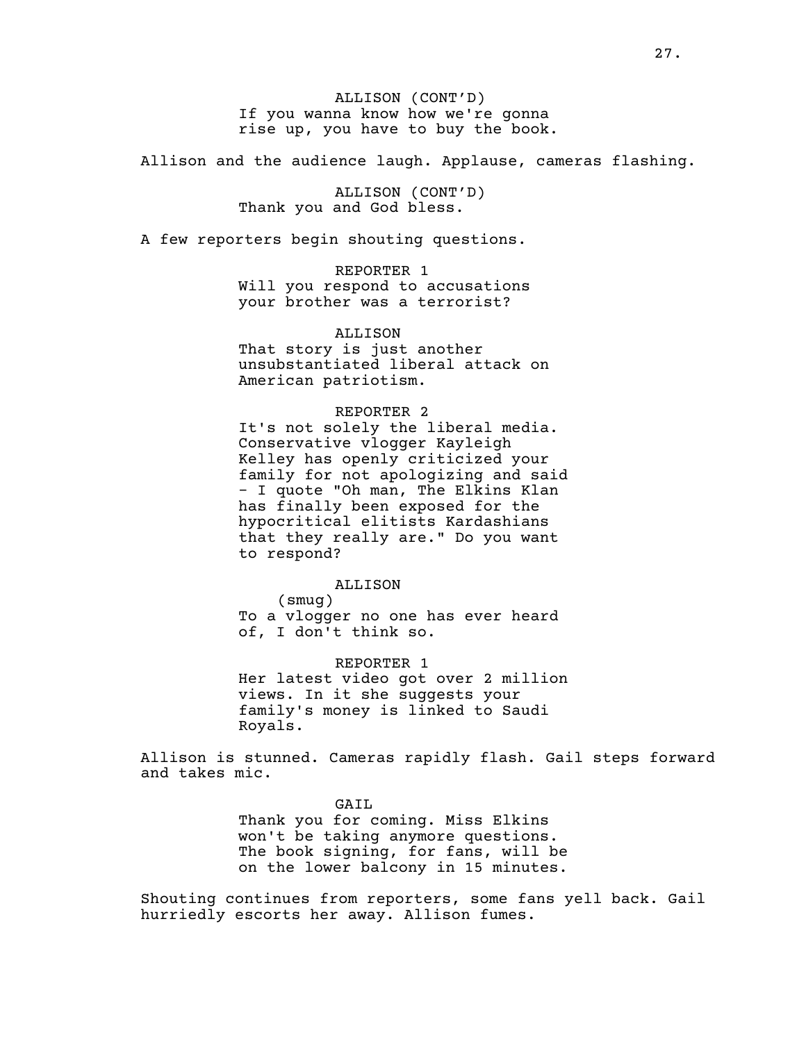ALLISON (CONT'D) If you wanna know how we're gonna rise up, you have to buy the book.

Allison and the audience laugh. Applause, cameras flashing.

ALLISON (CONT'D) Thank you and God bless.

A few reporters begin shouting questions.

REPORTER 1 Will you respond to accusations your brother was a terrorist?

ALLISON That story is just another unsubstantiated liberal attack on American patriotism.

### REPORTER 2

It's not solely the liberal media. Conservative vlogger Kayleigh Kelley has openly criticized your family for not apologizing and said - I quote "Oh man, The Elkins Klan has finally been exposed for the hypocritical elitists Kardashians that they really are." Do you want to respond?

## ALLISON

(smug) To a vlogger no one has ever heard of, I don't think so.

REPORTER 1 Her latest video got over 2 million views. In it she suggests your family's money is linked to Saudi Royals.

Allison is stunned. Cameras rapidly flash. Gail steps forward and takes mic.

GAIL

Thank you for coming. Miss Elkins won't be taking anymore questions. The book signing, for fans, will be on the lower balcony in 15 minutes.

Shouting continues from reporters, some fans yell back. Gail hurriedly escorts her away. Allison fumes.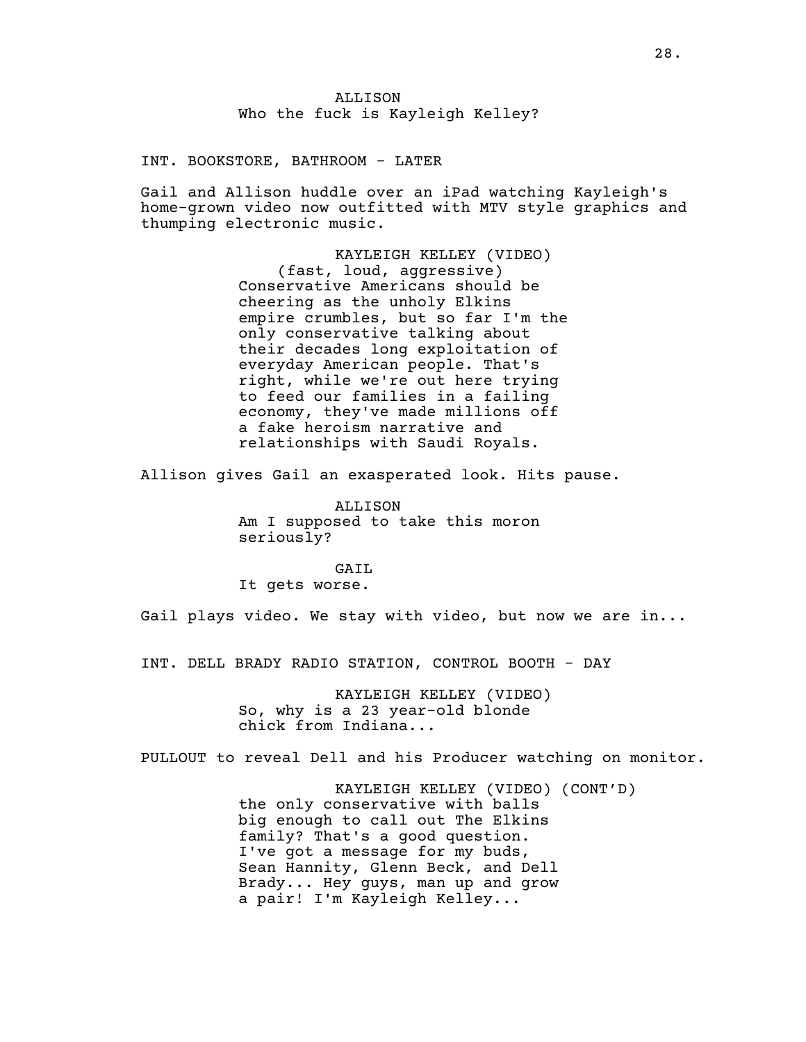# ALLISON Who the fuck is Kayleigh Kelley?

INT. BOOKSTORE, BATHROOM - LATER

Gail and Allison huddle over an iPad watching Kayleigh's home-grown video now outfitted with MTV style graphics and thumping electronic music.

> KAYLEIGH KELLEY (VIDEO) (fast, loud, aggressive) Conservative Americans should be cheering as the unholy Elkins empire crumbles, but so far I'm the only conservative talking about their decades long exploitation of everyday American people. That's right, while we're out here trying to feed our families in a failing economy, they've made millions off a fake heroism narrative and relationships with Saudi Royals.

Allison gives Gail an exasperated look. Hits pause.

ALLISON Am I supposed to take this moron seriously?

GATL It gets worse.

Gail plays video. We stay with video, but now we are in...

INT. DELL BRADY RADIO STATION, CONTROL BOOTH - DAY

KAYLEIGH KELLEY (VIDEO) So, why is a 23 year-old blonde chick from Indiana...

PULLOUT to reveal Dell and his Producer watching on monitor.

KAYLEIGH KELLEY (VIDEO) (CONT'D) the only conservative with balls big enough to call out The Elkins family? That's a good question. I've got a message for my buds, Sean Hannity, Glenn Beck, and Dell Brady... Hey guys, man up and grow a pair! I'm Kayleigh Kelley...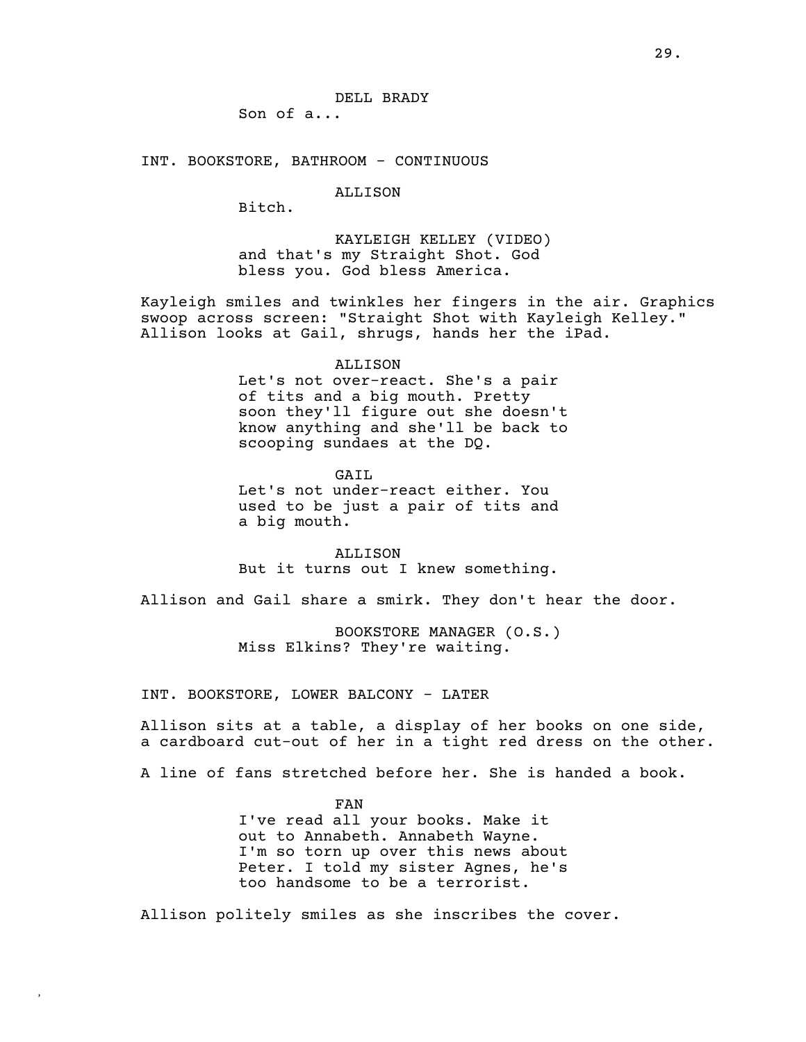Son of a...

INT. BOOKSTORE, BATHROOM - CONTINUOUS

# ALLISON

Bitch.

KAYLEIGH KELLEY (VIDEO) and that's my Straight Shot. God bless you. God bless America.

Kayleigh smiles and twinkles her fingers in the air. Graphics swoop across screen: "Straight Shot with Kayleigh Kelley." Allison looks at Gail, shrugs, hands her the iPad.

#### ALLISON

Let's not over-react. She's a pair of tits and a big mouth. Pretty soon they'll figure out she doesn't know anything and she'll be back to scooping sundaes at the DQ.

GAIL Let's not under-react either. You used to be just a pair of tits and a big mouth.

**ALLISON** But it turns out I knew something.

Allison and Gail share a smirk. They don't hear the door.

BOOKSTORE MANAGER (O.S.) Miss Elkins? They're waiting.

INT. BOOKSTORE, LOWER BALCONY - LATER

**,**

Allison sits at a table, a display of her books on one side, a cardboard cut-out of her in a tight red dress on the other.

A line of fans stretched before her. She is handed a book.

FAN I've read all your books. Make it out to Annabeth. Annabeth Wayne. I'm so torn up over this news about Peter. I told my sister Agnes, he's too handsome to be a terrorist.

Allison politely smiles as she inscribes the cover.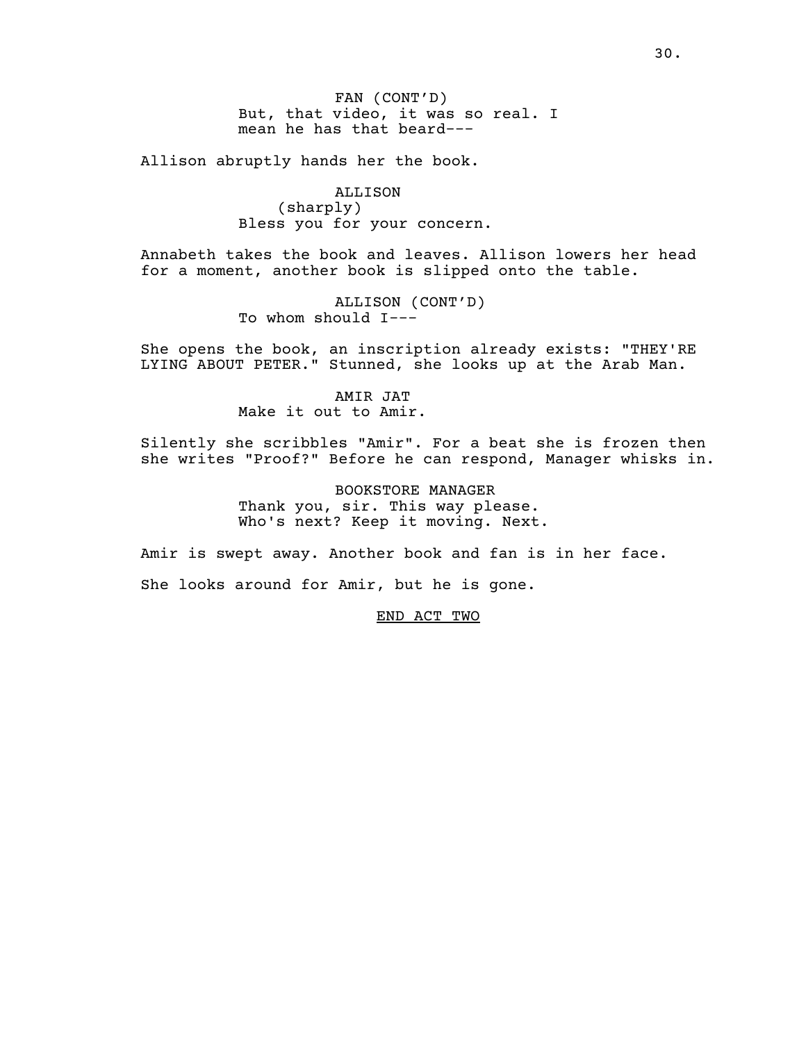FAN (CONT'D) But, that video, it was so real. I mean he has that beard---

Allison abruptly hands her the book.

ALLISON (sharply) Bless you for your concern.

Annabeth takes the book and leaves. Allison lowers her head for a moment, another book is slipped onto the table.

> ALLISON (CONT'D) To whom should I---

She opens the book, an inscription already exists: "THEY'RE LYING ABOUT PETER." Stunned, she looks up at the Arab Man.

> AMIR JAT Make it out to Amir.

Silently she scribbles "Amir". For a beat she is frozen then she writes "Proof?" Before he can respond, Manager whisks in.

> BOOKSTORE MANAGER Thank you, sir. This way please. Who's next? Keep it moving. Next.

Amir is swept away. Another book and fan is in her face.

She looks around for Amir, but he is gone.

END ACT TWO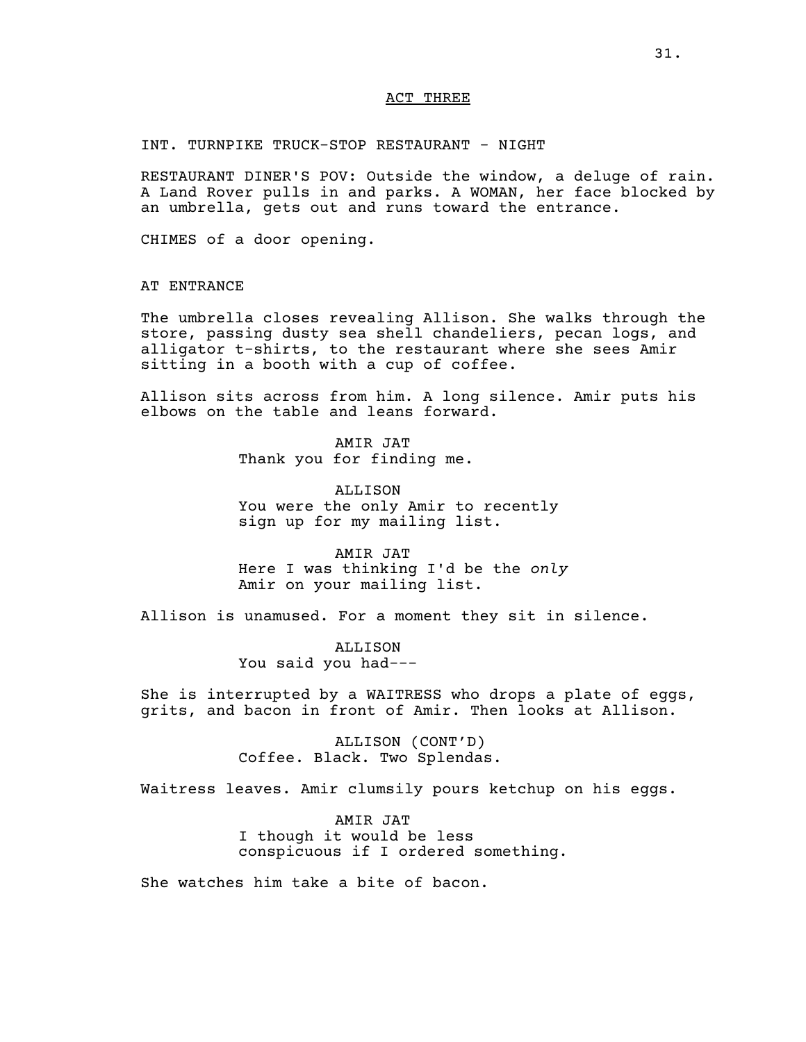### ACT THREE

INT. TURNPIKE TRUCK-STOP RESTAURANT - NIGHT

RESTAURANT DINER'S POV: Outside the window, a deluge of rain. A Land Rover pulls in and parks. A WOMAN, her face blocked by an umbrella, gets out and runs toward the entrance.

CHIMES of a door opening.

AT ENTRANCE

The umbrella closes revealing Allison. She walks through the store, passing dusty sea shell chandeliers, pecan logs, and alligator t-shirts, to the restaurant where she sees Amir sitting in a booth with a cup of coffee.

Allison sits across from him. A long silence. Amir puts his elbows on the table and leans forward.

> AMIR JAT Thank you for finding me.

ALLISON You were the only Amir to recently sign up for my mailing list.

AMIR JAT Here I was thinking I'd be the *only* Amir on your mailing list.

Allison is unamused. For a moment they sit in silence.

ALLISON You said you had---

She is interrupted by a WAITRESS who drops a plate of eggs, grits, and bacon in front of Amir. Then looks at Allison.

> ALLISON (CONT'D) Coffee. Black. Two Splendas.

Waitress leaves. Amir clumsily pours ketchup on his eggs.

AMIR JAT I though it would be less conspicuous if I ordered something.

She watches him take a bite of bacon.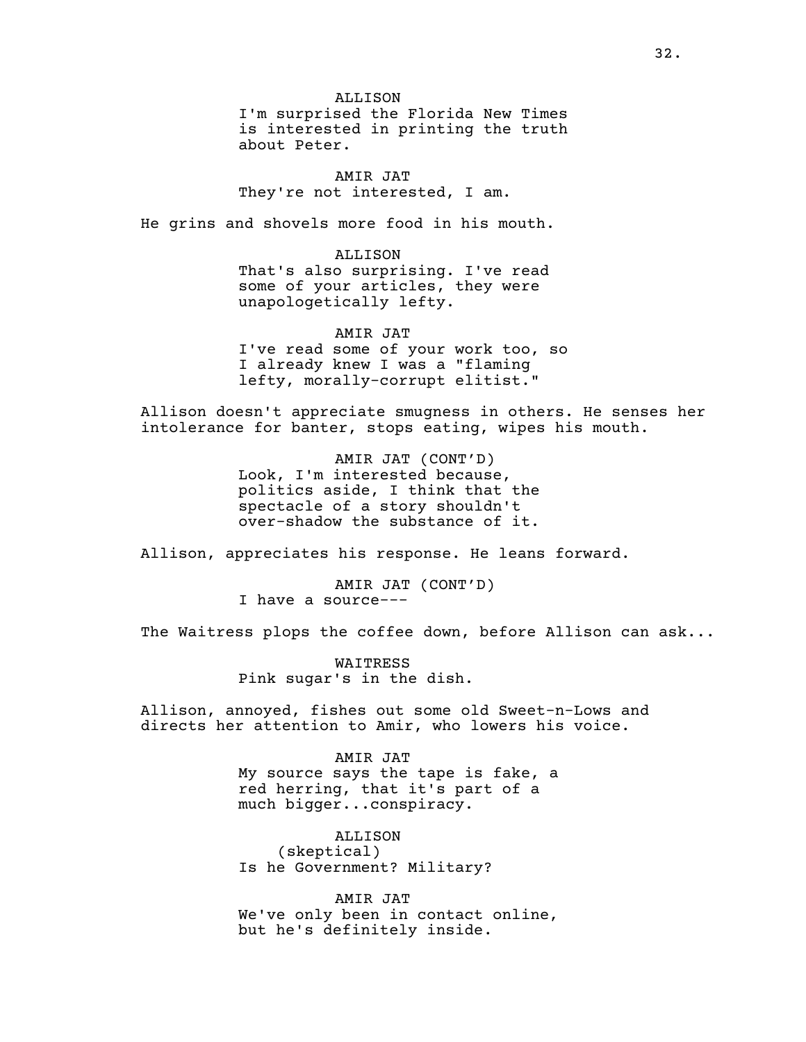ALLISON I'm surprised the Florida New Times is interested in printing the truth about Peter.

AMIR JAT They're not interested, I am.

He grins and shovels more food in his mouth.

### ALLISON

That's also surprising. I've read some of your articles, they were unapologetically lefty.

AMIR JAT I've read some of your work too, so I already knew I was a "flaming lefty, morally-corrupt elitist."

Allison doesn't appreciate smugness in others. He senses her intolerance for banter, stops eating, wipes his mouth.

> AMIR JAT (CONT'D) Look, I'm interested because, politics aside, I think that the spectacle of a story shouldn't over-shadow the substance of it.

Allison, appreciates his response. He leans forward.

AMIR JAT (CONT'D) I have a source---

The Waitress plops the coffee down, before Allison can ask...

WAITRESS Pink sugar's in the dish.

Allison, annoyed, fishes out some old Sweet-n-Lows and directs her attention to Amir, who lowers his voice.

# AMIR JAT

My source says the tape is fake, a red herring, that it's part of a much bigger...conspiracy.

ALLISON (skeptical) Is he Government? Military?

AMIR JAT We've only been in contact online, but he's definitely inside.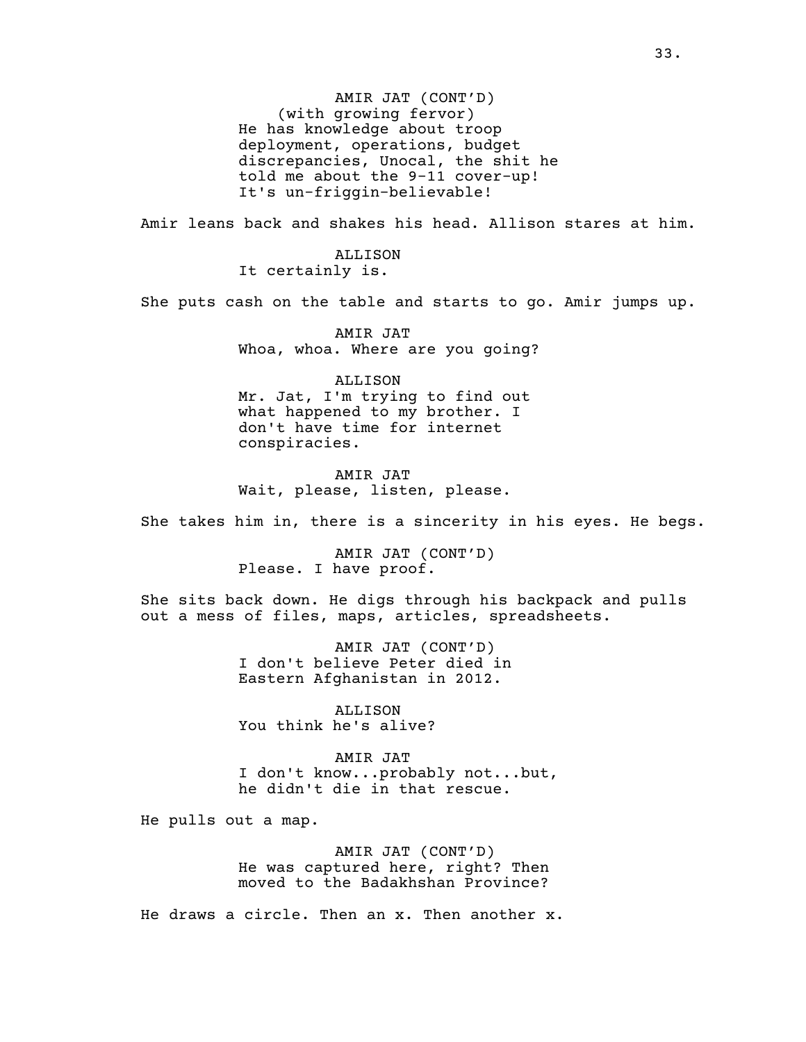AMIR JAT (CONT'D) (with growing fervor) He has knowledge about troop deployment, operations, budget discrepancies, Unocal, the shit he told me about the 9-11 cover-up! It's un-friggin-believable!

Amir leans back and shakes his head. Allison stares at him.

ALLISON It certainly is.

She puts cash on the table and starts to go. Amir jumps up.

AMIR JAT Whoa, whoa. Where are you going?

ALLISON Mr. Jat, I'm trying to find out what happened to my brother. I don't have time for internet conspiracies.

AMIR JAT Wait, please, listen, please.

She takes him in, there is a sincerity in his eyes. He begs.

AMIR JAT (CONT'D) Please. I have proof.

She sits back down. He digs through his backpack and pulls out a mess of files, maps, articles, spreadsheets.

> AMIR JAT (CONT'D) I don't believe Peter died in Eastern Afghanistan in 2012.

ALLISON You think he's alive?

AMIR JAT I don't know...probably not...but, he didn't die in that rescue.

He pulls out a map.

AMIR JAT (CONT'D) He was captured here, right? Then moved to the Badakhshan Province?

He draws a circle. Then an x. Then another x.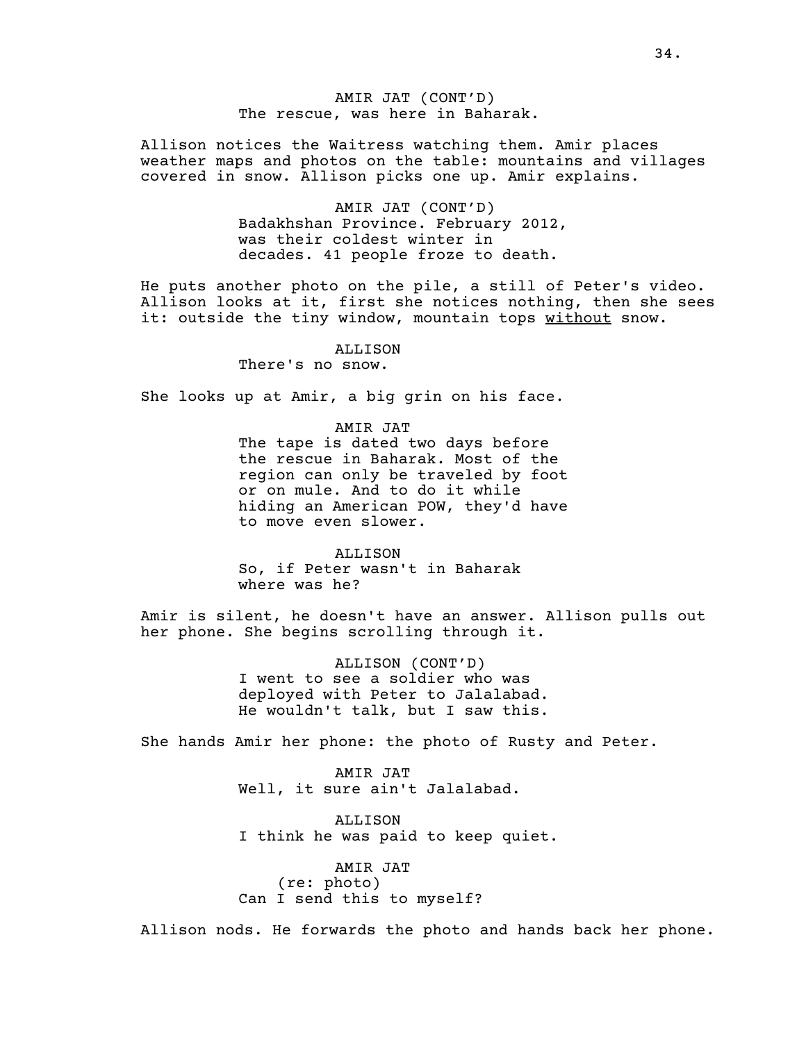# AMIR JAT (CONT'D) The rescue, was here in Baharak.

Allison notices the Waitress watching them. Amir places weather maps and photos on the table: mountains and villages covered in snow. Allison picks one up. Amir explains.

> AMIR JAT (CONT'D) Badakhshan Province. February 2012, was their coldest winter in decades. 41 people froze to death.

He puts another photo on the pile, a still of Peter's video. Allison looks at it, first she notices nothing, then she sees it: outside the tiny window, mountain tops without snow.

#### ALLISON There's no snow.

She looks up at Amir, a big grin on his face.

# AMIR JAT

The tape is dated two days before the rescue in Baharak. Most of the region can only be traveled by foot or on mule. And to do it while hiding an American POW, they'd have to move even slower.

ALLISON So, if Peter wasn't in Baharak where was he?

Amir is silent, he doesn't have an answer. Allison pulls out her phone. She begins scrolling through it.

> ALLISON (CONT'D) I went to see a soldier who was deployed with Peter to Jalalabad. He wouldn't talk, but I saw this.

She hands Amir her phone: the photo of Rusty and Peter.

AMIR JAT Well, it sure ain't Jalalabad.

ALLISON I think he was paid to keep quiet.

AMIR JAT (re: photo) Can I send this to myself?

Allison nods. He forwards the photo and hands back her phone.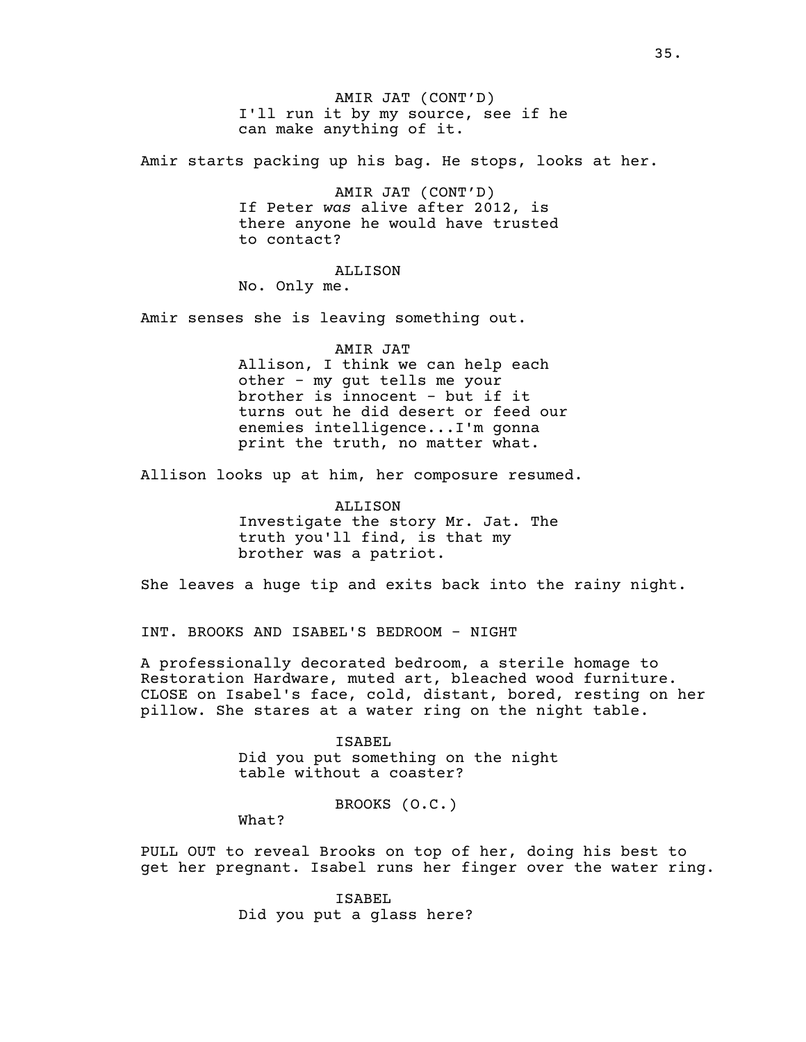AMIR JAT (CONT'D) I'll run it by my source, see if he can make anything of it.

Amir starts packing up his bag. He stops, looks at her.

AMIR JAT (CONT'D) If Peter *was* alive after 2012, is there anyone he would have trusted to contact?

ALLISON

No. Only me.

Amir senses she is leaving something out.

AMIR JAT

Allison, I think we can help each other - my gut tells me your brother is innocent - but if it turns out he did desert or feed our enemies intelligence...I'm gonna print the truth, no matter what.

Allison looks up at him, her composure resumed.

ALLISON Investigate the story Mr. Jat. The truth you'll find, is that my brother was a patriot.

She leaves a huge tip and exits back into the rainy night.

INT. BROOKS AND ISABEL'S BEDROOM - NIGHT

A professionally decorated bedroom, a sterile homage to Restoration Hardware, muted art, bleached wood furniture. CLOSE on Isabel's face, cold, distant, bored, resting on her pillow. She stares at a water ring on the night table.

> ISABEL Did you put something on the night table without a coaster?

> > BROOKS (O.C.)

What?

PULL OUT to reveal Brooks on top of her, doing his best to get her pregnant. Isabel runs her finger over the water ring.

> ISABEL Did you put a glass here?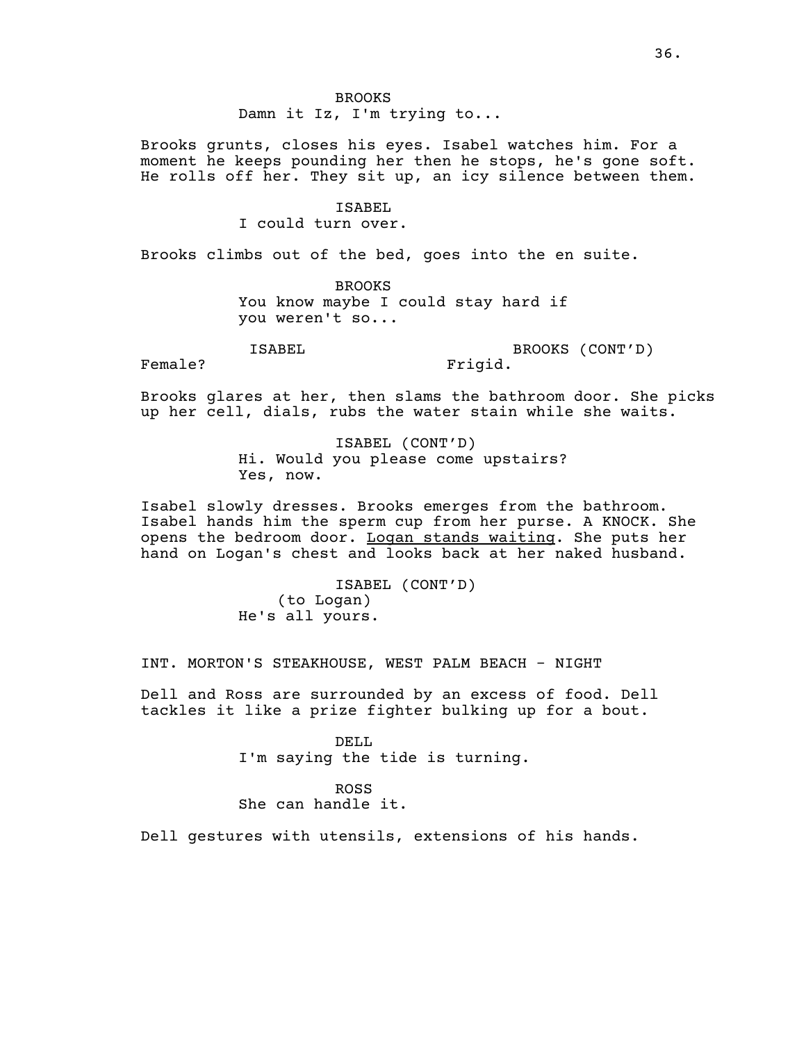BROOKS Damn it Iz, I'm trying to...

Brooks grunts, closes his eyes. Isabel watches him. For a moment he keeps pounding her then he stops, he's gone soft. He rolls off her. They sit up, an icy silence between them.

### ISABEL

I could turn over.

Brooks climbs out of the bed, goes into the en suite.

BROOKS You know maybe I could stay hard if you weren't so...

ISABEL

BROOKS (CONT'D) Frigid.

Female?

Brooks glares at her, then slams the bathroom door. She picks up her cell, dials, rubs the water stain while she waits.

> ISABEL (CONT'D) Hi. Would you please come upstairs? Yes, now.

Isabel slowly dresses. Brooks emerges from the bathroom. Isabel hands him the sperm cup from her purse. A KNOCK. She opens the bedroom door. Logan stands waiting. She puts her hand on Logan's chest and looks back at her naked husband.

> ISABEL (CONT'D) (to Logan) He's all yours.

INT. MORTON'S STEAKHOUSE, WEST PALM BEACH - NIGHT

Dell and Ross are surrounded by an excess of food. Dell tackles it like a prize fighter bulking up for a bout.

> DELL. I'm saying the tide is turning.

ROSS She can handle it.

Dell gestures with utensils, extensions of his hands.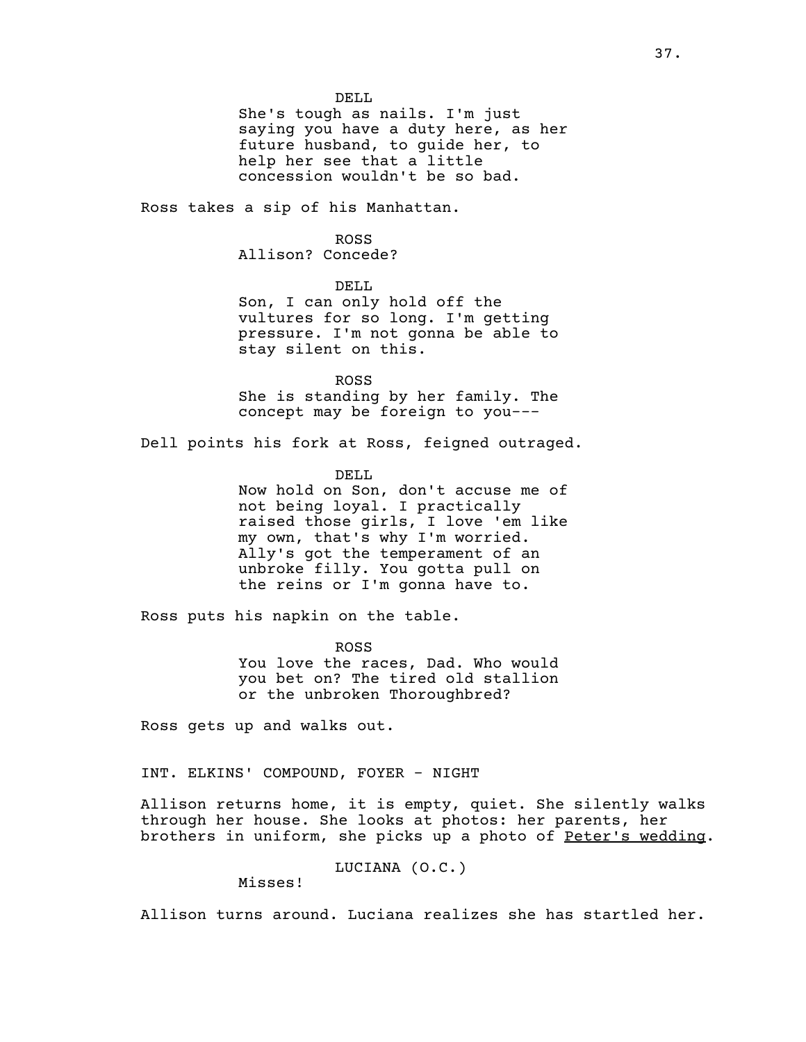DELL She's tough as nails. I'm just saying you have a duty here, as her future husband, to guide her, to help her see that a little concession wouldn't be so bad.

Ross takes a sip of his Manhattan.

ROSS

Allison? Concede?

DELL

Son, I can only hold off the vultures for so long. I'm getting pressure. I'm not gonna be able to stay silent on this.

ROSS She is standing by her family. The concept may be foreign to you---

Dell points his fork at Ross, feigned outraged.

DELL

Now hold on Son, don't accuse me of not being loyal. I practically raised those girls, I love 'em like my own, that's why I'm worried. Ally's got the temperament of an unbroke filly. You gotta pull on the reins or I'm gonna have to.

Ross puts his napkin on the table.

ROSS You love the races, Dad. Who would you bet on? The tired old stallion or the unbroken Thoroughbred?

Ross gets up and walks out.

INT. ELKINS' COMPOUND, FOYER - NIGHT

Allison returns home, it is empty, quiet. She silently walks through her house. She looks at photos: her parents, her brothers in uniform, she picks up a photo of Peter's wedding.

LUCIANA (O.C.)

Misses!

Allison turns around. Luciana realizes she has startled her.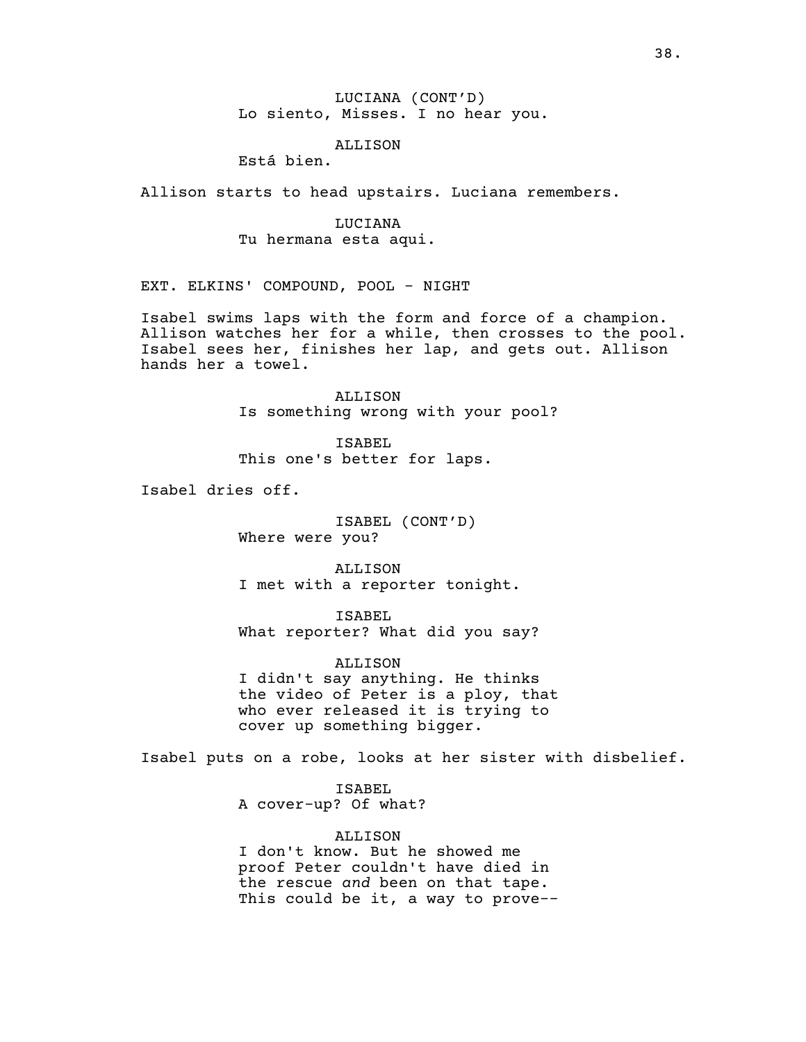# LUCIANA (CONT'D) Lo siento, Misses. I no hear you.

# ALLISON

Está bien.

Allison starts to head upstairs. Luciana remembers.

LUCIANA Tu hermana esta aqui.

EXT. ELKINS' COMPOUND, POOL - NIGHT

Isabel swims laps with the form and force of a champion. Allison watches her for a while, then crosses to the pool. Isabel sees her, finishes her lap, and gets out. Allison hands her a towel.

> ALLISON Is something wrong with your pool?

ISABEL This one's better for laps.

Isabel dries off.

ISABEL (CONT'D) Where were you?

ALLISON I met with a reporter tonight.

ISABEL What reporter? What did you say?

ALLISON I didn't say anything. He thinks the video of Peter is a ploy, that who ever released it is trying to cover up something bigger.

Isabel puts on a robe, looks at her sister with disbelief.

ISABEL A cover-up? Of what?

ALLISON I don't know. But he showed me proof Peter couldn't have died in the rescue *and* been on that tape. This could be it, a way to prove--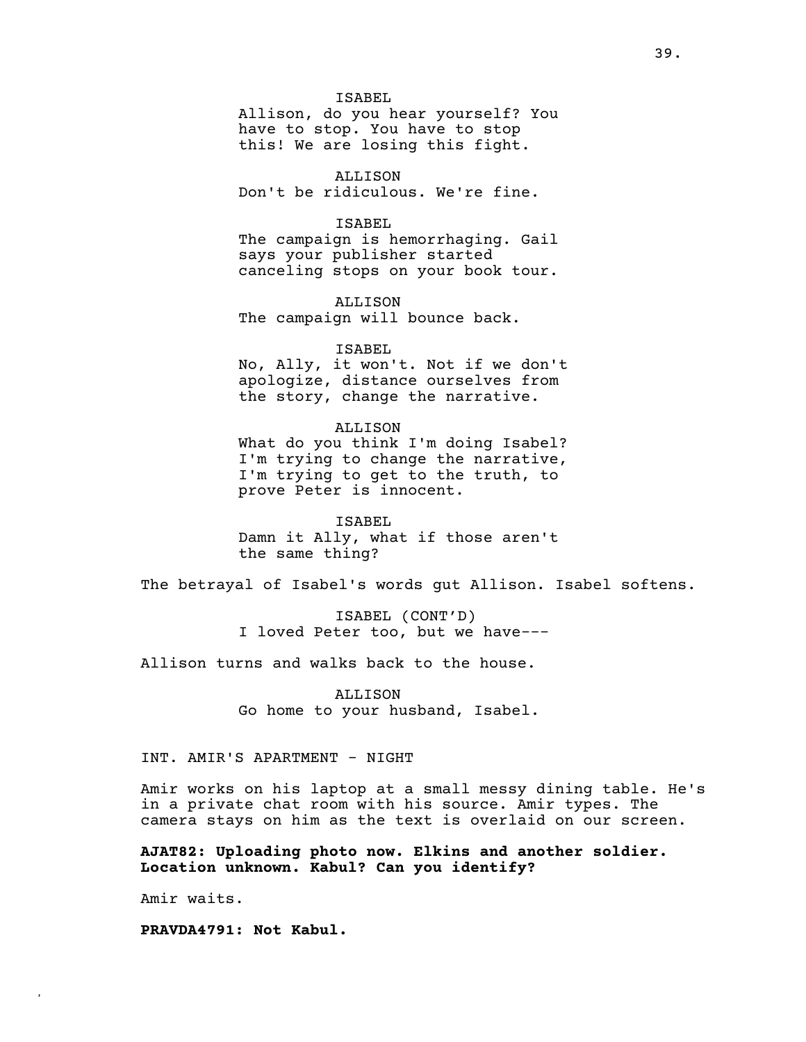ISABEL Allison, do you hear yourself? You have to stop. You have to stop this! We are losing this fight.

ALLISON Don't be ridiculous. We're fine.

# ISABEL

The campaign is hemorrhaging. Gail says your publisher started canceling stops on your book tour.

ALLISON The campaign will bounce back.

ISABEL

No, Ally, it won't. Not if we don't apologize, distance ourselves from the story, change the narrative.

### ALLISON

What do you think I'm doing Isabel? I'm trying to change the narrative, I'm trying to get to the truth, to prove Peter is innocent.

ISABEL Damn it Ally, what if those aren't the same thing?

The betrayal of Isabel's words gut Allison. Isabel softens.

ISABEL (CONT'D) I loved Peter too, but we have---

Allison turns and walks back to the house.

ALLISON Go home to your husband, Isabel.

# INT. AMIR'S APARTMENT - NIGHT

Amir works on his laptop at a small messy dining table. He's in a private chat room with his source. Amir types. The camera stays on him as the text is overlaid on our screen.

**AJAT82: Uploading photo now. Elkins and another soldier. Location unknown. Kabul? Can you identify?**

Amir waits.

**,**

**PRAVDA4791: Not Kabul.**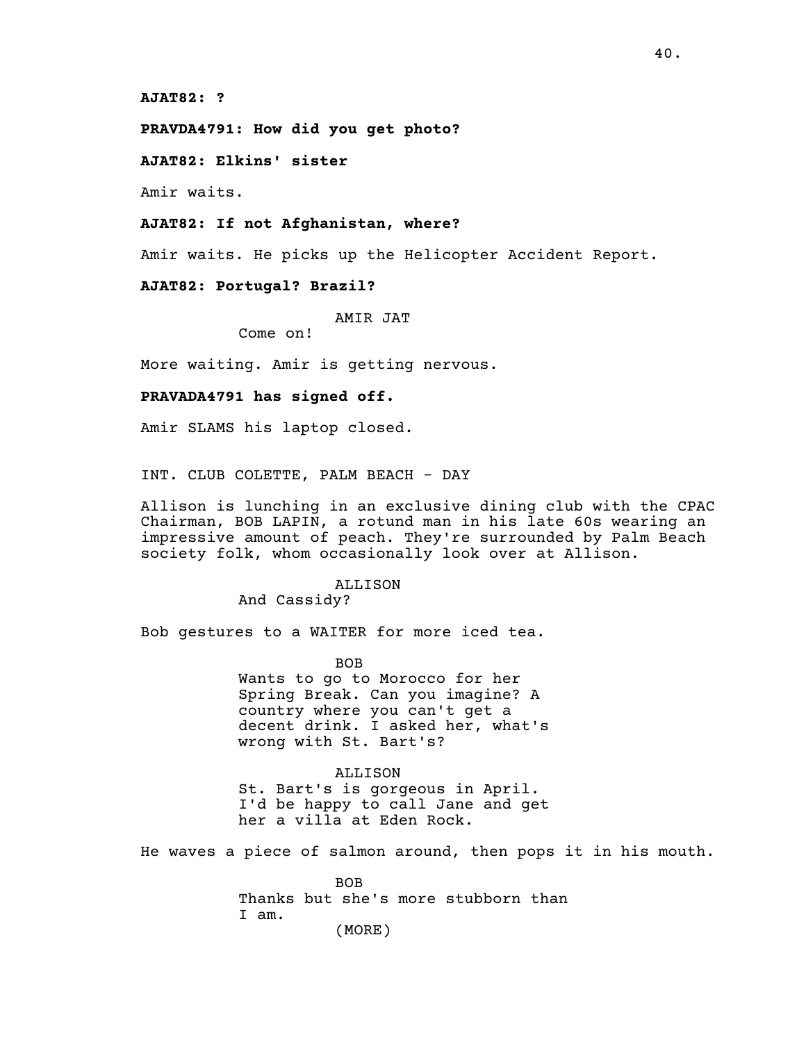**AJAT82: ?**

**PRAVDA4791: How did you get photo?**

**AJAT82: Elkins' sister**

Amir waits.

## **AJAT82: If not Afghanistan, where?**

Amir waits. He picks up the Helicopter Accident Report.

# **AJAT82: Portugal? Brazil?**

AMIR JAT

Come on!

More waiting. Amir is getting nervous.

### **PRAVADA4791 has signed off.**

Amir SLAMS his laptop closed.

INT. CLUB COLETTE, PALM BEACH - DAY

Allison is lunching in an exclusive dining club with the CPAC Chairman, BOB LAPIN, a rotund man in his late 60s wearing an impressive amount of peach. They're surrounded by Palm Beach society folk, whom occasionally look over at Allison.

# ALLISON

And Cassidy?

Bob gestures to a WAITER for more iced tea.

BOB Wants to go to Morocco for her Spring Break. Can you imagine? A country where you can't get a decent drink. I asked her, what's wrong with St. Bart's?

ALLISON St. Bart's is gorgeous in April. I'd be happy to call Jane and get her a villa at Eden Rock.

He waves a piece of salmon around, then pops it in his mouth.

**BOB** Thanks but she's more stubborn than I am. (MORE)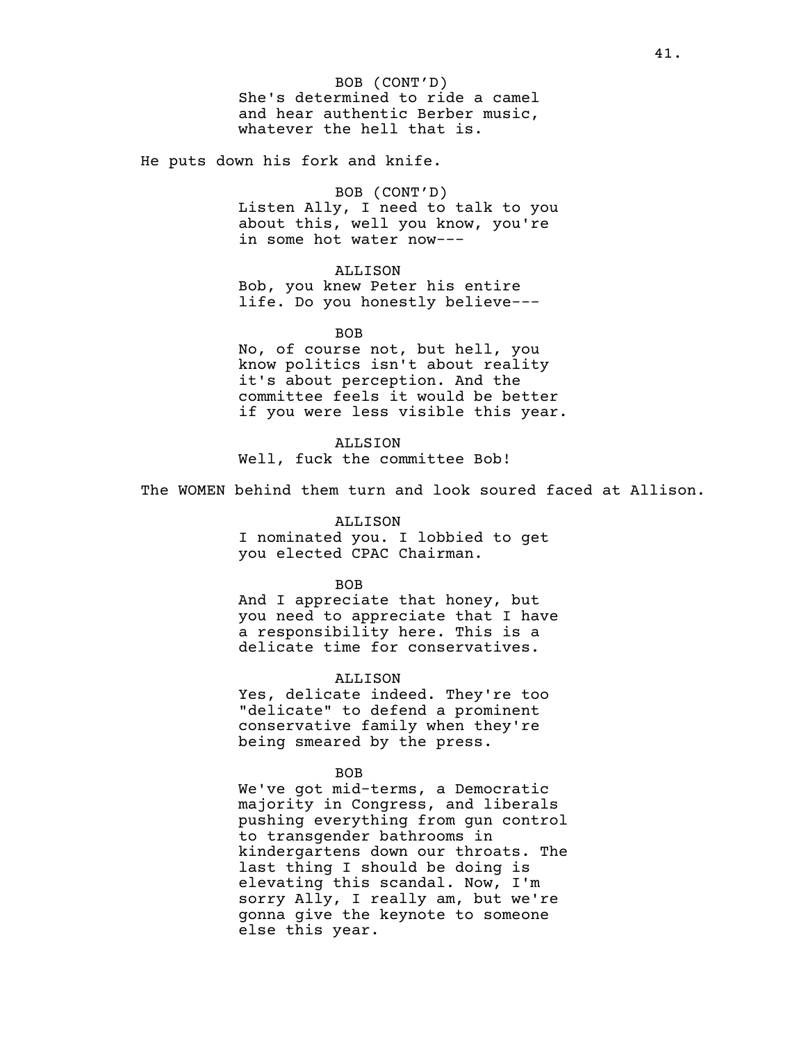He puts down his fork and knife.

BOB (CONT'D) Listen Ally, I need to talk to you about this, well you know, you're in some hot water now---

### ALLISON

Bob, you knew Peter his entire life. Do you honestly believe---

BOB

No, of course not, but hell, you know politics isn't about reality it's about perception. And the committee feels it would be better if you were less visible this year.

ALLSION Well, fuck the committee Bob!

The WOMEN behind them turn and look soured faced at Allison.

### ALLISON

I nominated you. I lobbied to get you elected CPAC Chairman.

### BOB

And I appreciate that honey, but you need to appreciate that I have a responsibility here. This is a delicate time for conservatives.

## ALLISON

Yes, delicate indeed. They're too "delicate" to defend a prominent conservative family when they're being smeared by the press.

### BOB

We've got mid-terms, a Democratic majority in Congress, and liberals pushing everything from gun control to transgender bathrooms in kindergartens down our throats. The last thing I should be doing is elevating this scandal. Now, I'm sorry Ally, I really am, but we're gonna give the keynote to someone else this year.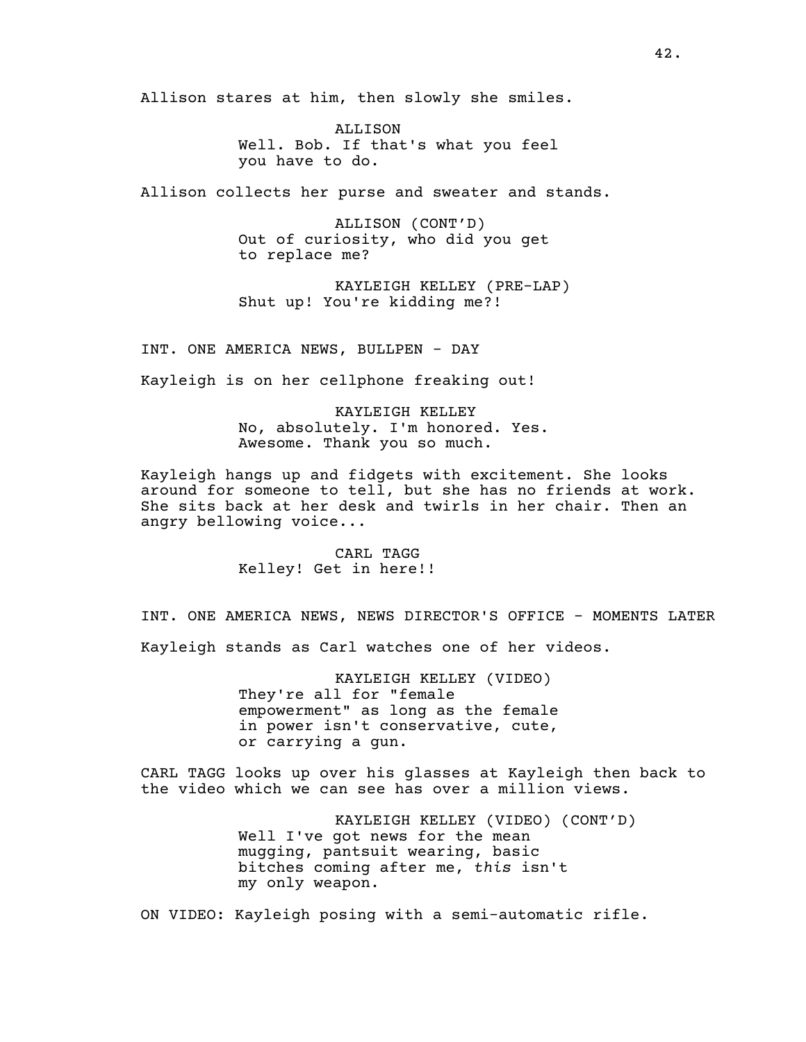Allison stares at him, then slowly she smiles.

ALLISON Well. Bob. If that's what you feel you have to do.

Allison collects her purse and sweater and stands.

ALLISON (CONT'D) Out of curiosity, who did you get to replace me?

KAYLEIGH KELLEY (PRE-LAP) Shut up! You're kidding me?!

INT. ONE AMERICA NEWS, BULLPEN - DAY

Kayleigh is on her cellphone freaking out!

KAYLEIGH KELLEY No, absolutely. I'm honored. Yes. Awesome. Thank you so much.

Kayleigh hangs up and fidgets with excitement. She looks around for someone to tell, but she has no friends at work. She sits back at her desk and twirls in her chair. Then an angry bellowing voice...

> CARL TAGG Kelley! Get in here!!

INT. ONE AMERICA NEWS, NEWS DIRECTOR'S OFFICE - MOMENTS LATER Kayleigh stands as Carl watches one of her videos.

> KAYLEIGH KELLEY (VIDEO) They're all for "female empowerment" as long as the female in power isn't conservative, cute, or carrying a gun.

CARL TAGG looks up over his glasses at Kayleigh then back to the video which we can see has over a million views.

> KAYLEIGH KELLEY (VIDEO) (CONT'D) Well I've got news for the mean mugging, pantsuit wearing, basic bitches coming after me, *this* isn't my only weapon.

ON VIDEO: Kayleigh posing with a semi-automatic rifle.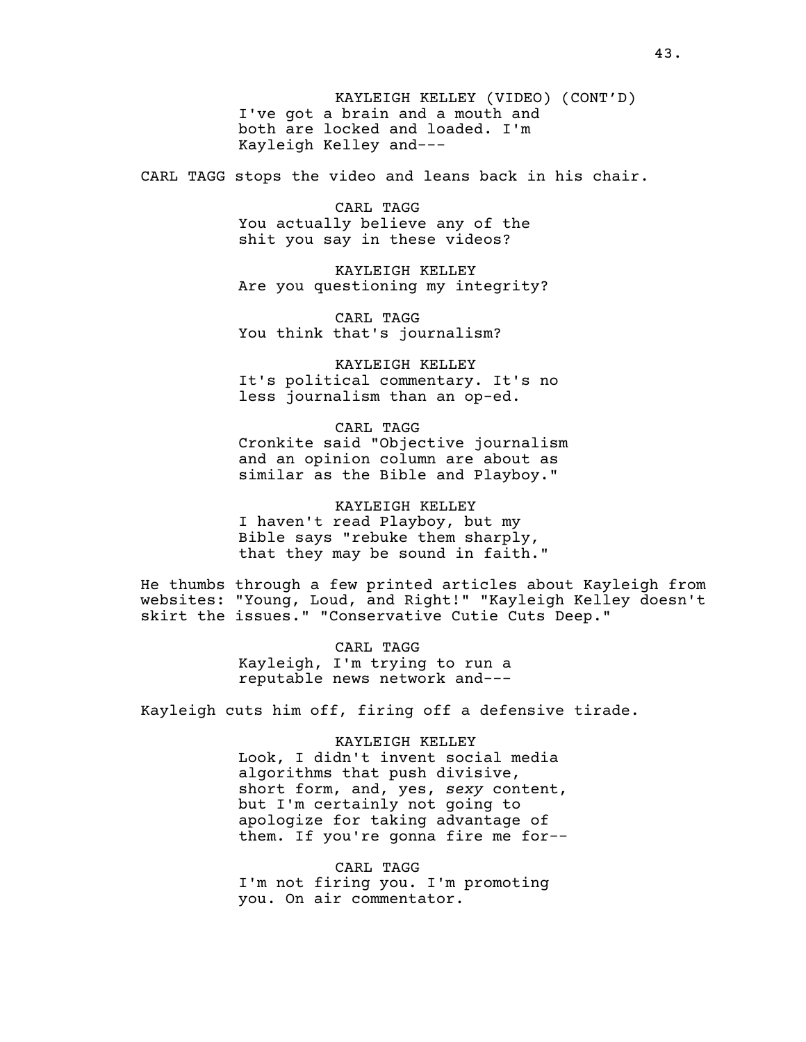KAYLEIGH KELLEY (VIDEO) (CONT'D) I've got a brain and a mouth and both are locked and loaded. I'm Kayleigh Kelley and---

CARL TAGG stops the video and leans back in his chair.

CARL TAGG You actually believe any of the shit you say in these videos?

KAYLEIGH KELLEY Are you questioning my integrity?

CARL TAGG You think that's journalism?

KAYLEIGH KELLEY It's political commentary. It's no less journalism than an op-ed.

CARL TAGG Cronkite said "Objective journalism and an opinion column are about as similar as the Bible and Playboy."

KAYLEIGH KELLEY I haven't read Playboy, but my Bible says "rebuke them sharply, that they may be sound in faith."

He thumbs through a few printed articles about Kayleigh from websites: "Young, Loud, and Right!" "Kayleigh Kelley doesn't skirt the issues." "Conservative Cutie Cuts Deep."

> CARL TAGG Kayleigh, I'm trying to run a reputable news network and---

Kayleigh cuts him off, firing off a defensive tirade.

KAYLEIGH KELLEY Look, I didn't invent social media algorithms that push divisive, short form, and, yes, *sexy* content, but I'm certainly not going to apologize for taking advantage of them. If you're gonna fire me for--

CARL TAGG I'm not firing you. I'm promoting you. On air commentator.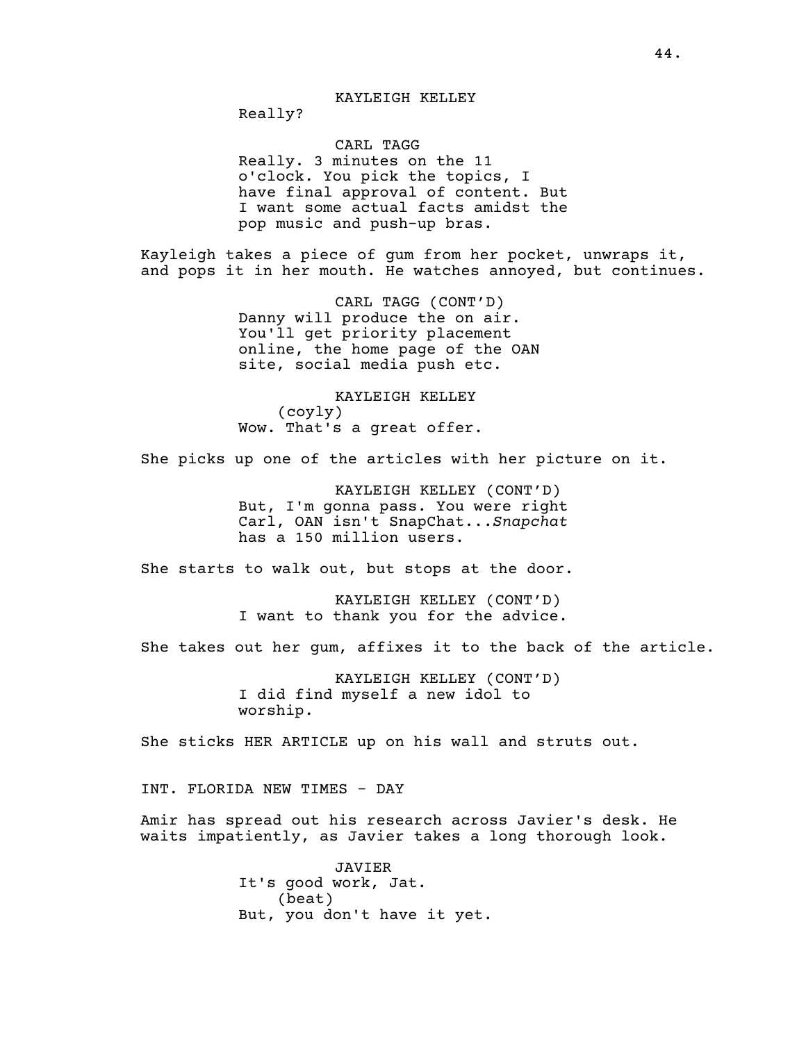Really?

# CARL TAGG

Really. 3 minutes on the 11 o'clock. You pick the topics, I have final approval of content. But I want some actual facts amidst the pop music and push-up bras.

Kayleigh takes a piece of gum from her pocket, unwraps it, and pops it in her mouth. He watches annoyed, but continues.

> CARL TAGG (CONT'D) Danny will produce the on air. You'll get priority placement online, the home page of the OAN site, social media push etc.

KAYLEIGH KELLEY (coyly) Wow. That's a great offer.

She picks up one of the articles with her picture on it.

KAYLEIGH KELLEY (CONT'D) But, I'm gonna pass. You were right Carl, OAN isn't SnapChat...*Snapchat* has a 150 million users.

She starts to walk out, but stops at the door.

KAYLEIGH KELLEY (CONT'D) I want to thank you for the advice.

She takes out her gum, affixes it to the back of the article.

KAYLEIGH KELLEY (CONT'D) I did find myself a new idol to worship.

She sticks HER ARTICLE up on his wall and struts out.

INT. FLORIDA NEW TIMES - DAY

Amir has spread out his research across Javier's desk. He waits impatiently, as Javier takes a long thorough look.

> JAVIER It's good work, Jat. (beat) But, you don't have it yet.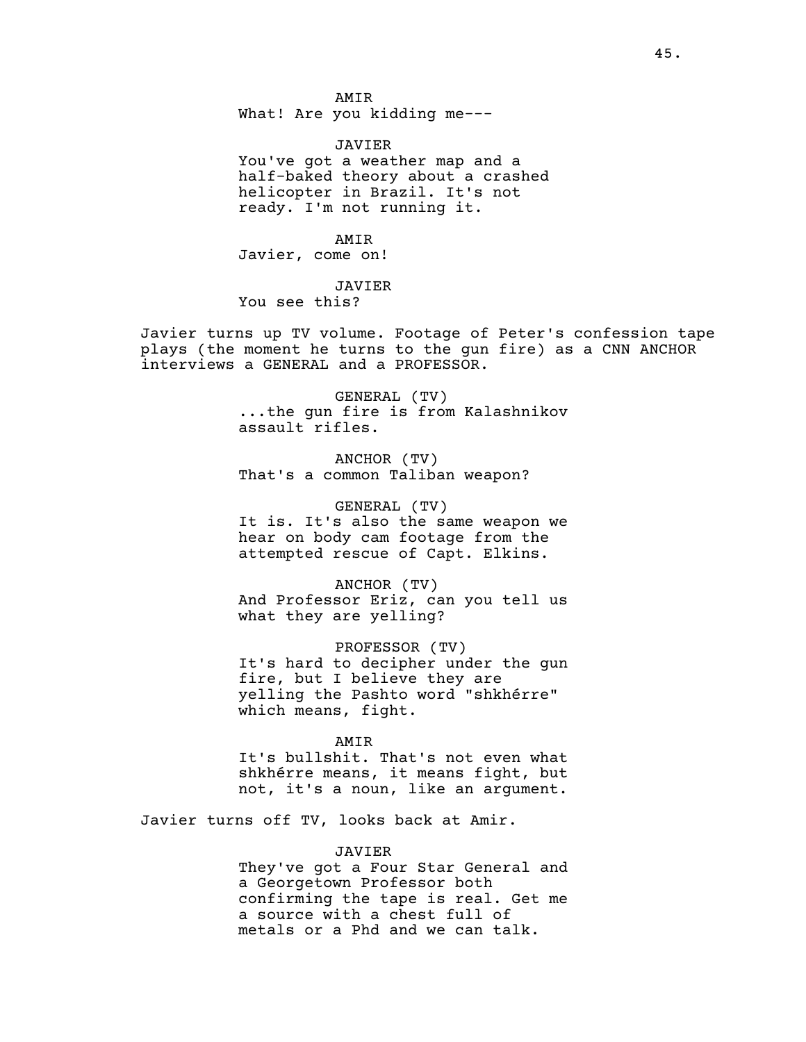AMIR What! Are you kidding me---

JAVIER You've got a weather map and a half-baked theory about a crashed helicopter in Brazil. It's not ready. I'm not running it.

AMIR Javier, come on!

JAVIER

You see this?

Javier turns up TV volume. Footage of Peter's confession tape plays (the moment he turns to the gun fire) as a CNN ANCHOR interviews a GENERAL and a PROFESSOR.

> GENERAL (TV) ...the gun fire is from Kalashnikov assault rifles.

ANCHOR (TV) That's a common Taliban weapon?

GENERAL (TV) It is. It's also the same weapon we hear on body cam footage from the attempted rescue of Capt. Elkins.

ANCHOR (TV) And Professor Eriz, can you tell us what they are yelling?

PROFESSOR (TV) It's hard to decipher under the gun fire, but I believe they are yelling the Pashto word "shkhérre" which means, fight.

AMIR

It's bullshit. That's not even what shkhérre means, it means fight, but not, it's a noun, like an argument.

Javier turns off TV, looks back at Amir.

JAVIER

They've got a Four Star General and a Georgetown Professor both confirming the tape is real. Get me a source with a chest full of metals or a Phd and we can talk.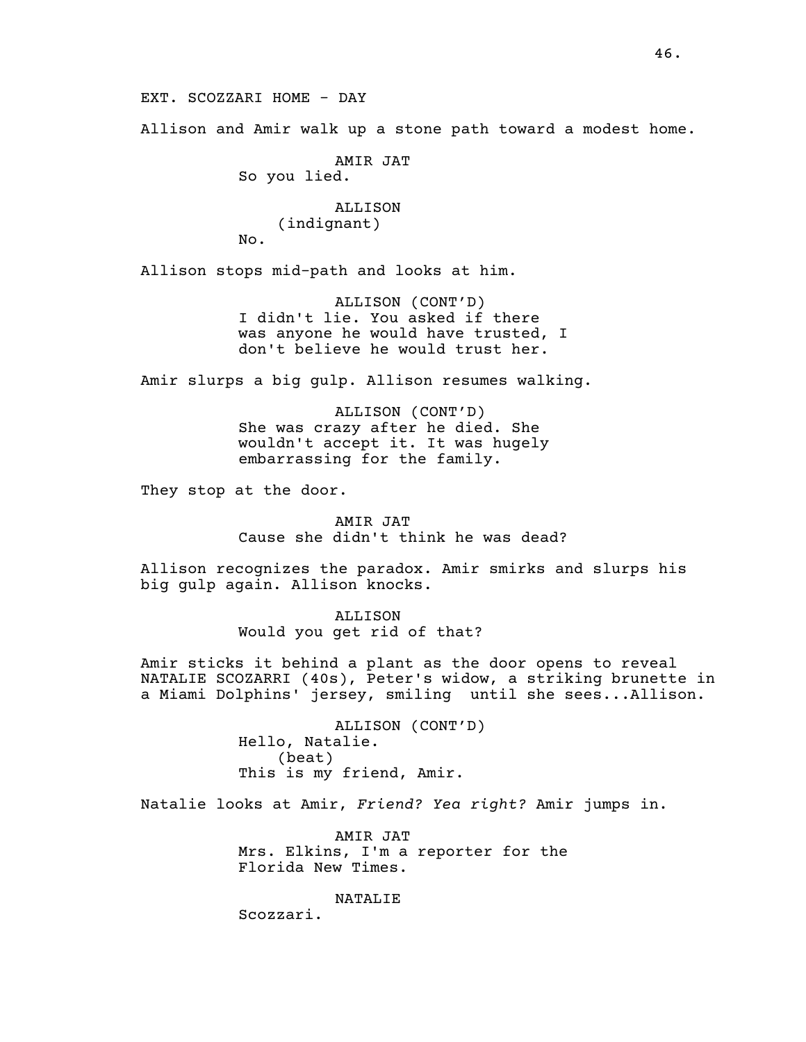EXT. SCOZZARI HOME - DAY

Allison and Amir walk up a stone path toward a modest home.

AMIR JAT So you lied. ALLISON (indignant) No.

Allison stops mid-path and looks at him.

ALLISON (CONT'D) I didn't lie. You asked if there was anyone he would have trusted, I don't believe he would trust her.

Amir slurps a big gulp. Allison resumes walking.

ALLISON (CONT'D) She was crazy after he died. She wouldn't accept it. It was hugely embarrassing for the family.

They stop at the door.

AMIR JAT Cause she didn't think he was dead?

Allison recognizes the paradox. Amir smirks and slurps his big gulp again. Allison knocks.

> ALLISON Would you get rid of that?

Amir sticks it behind a plant as the door opens to reveal NATALIE SCOZARRI (40s), Peter's widow, a striking brunette in a Miami Dolphins' jersey, smiling until she sees...Allison.

> ALLISON (CONT'D) Hello, Natalie. (beat) This is my friend, Amir.

Natalie looks at Amir, *Friend? Yea right?* Amir jumps in.

AMIR JAT Mrs. Elkins, I'm a reporter for the Florida New Times.

NATALIE

Scozzari.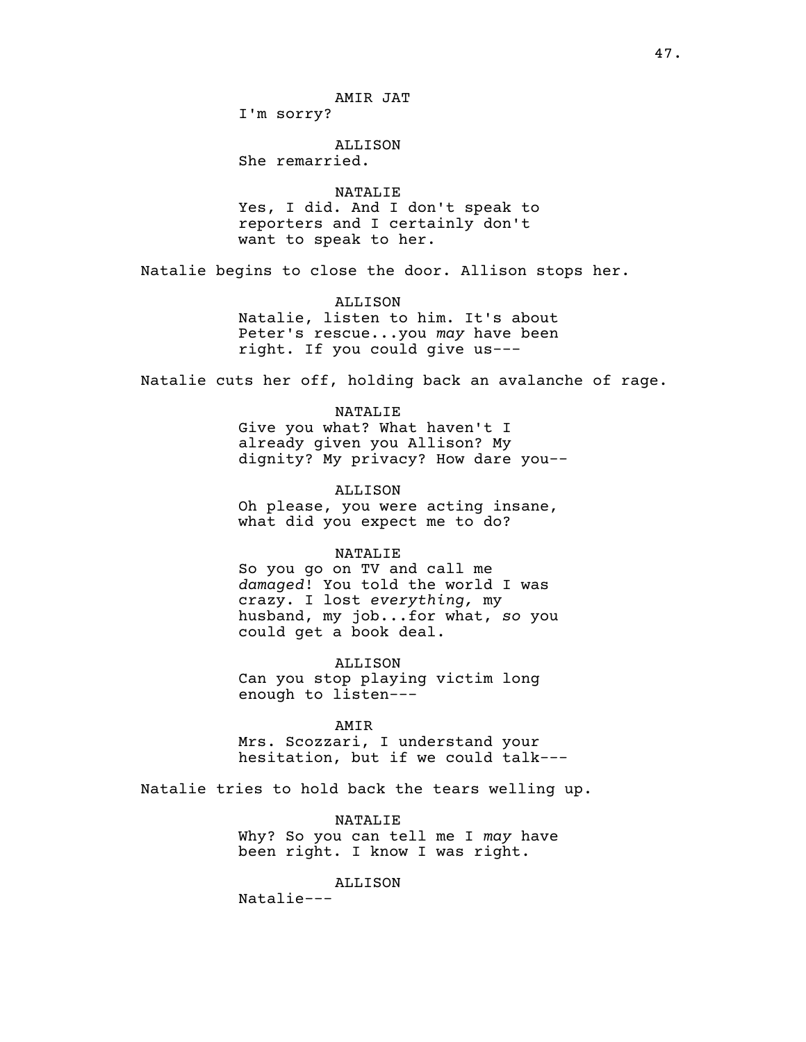I'm sorry?

# ALLISON

She remarried.

## NATALIE

Yes, I did. And I don't speak to reporters and I certainly don't want to speak to her.

Natalie begins to close the door. Allison stops her.

# ALLISON

Natalie, listen to him. It's about Peter's rescue...you *may* have been right. If you could give us---

Natalie cuts her off, holding back an avalanche of rage.

# NATALIE

Give you what? What haven't I already given you Allison? My dignity? My privacy? How dare you--

### ALLISON

Oh please, you were acting insane, what did you expect me to do?

# NATALIE

So you go on TV and call me *damaged*! You told the world I was crazy. I lost *everything,* my husband, my job...for what, *so* you could get a book deal.

ALLISON Can you stop playing victim long enough to listen---

#### AMIR

Mrs. Scozzari, I understand your hesitation, but if we could talk---

Natalie tries to hold back the tears welling up.

# NATALIE

Why? So you can tell me I *may* have been right. I know I was right.

# ALLISON

Natalie---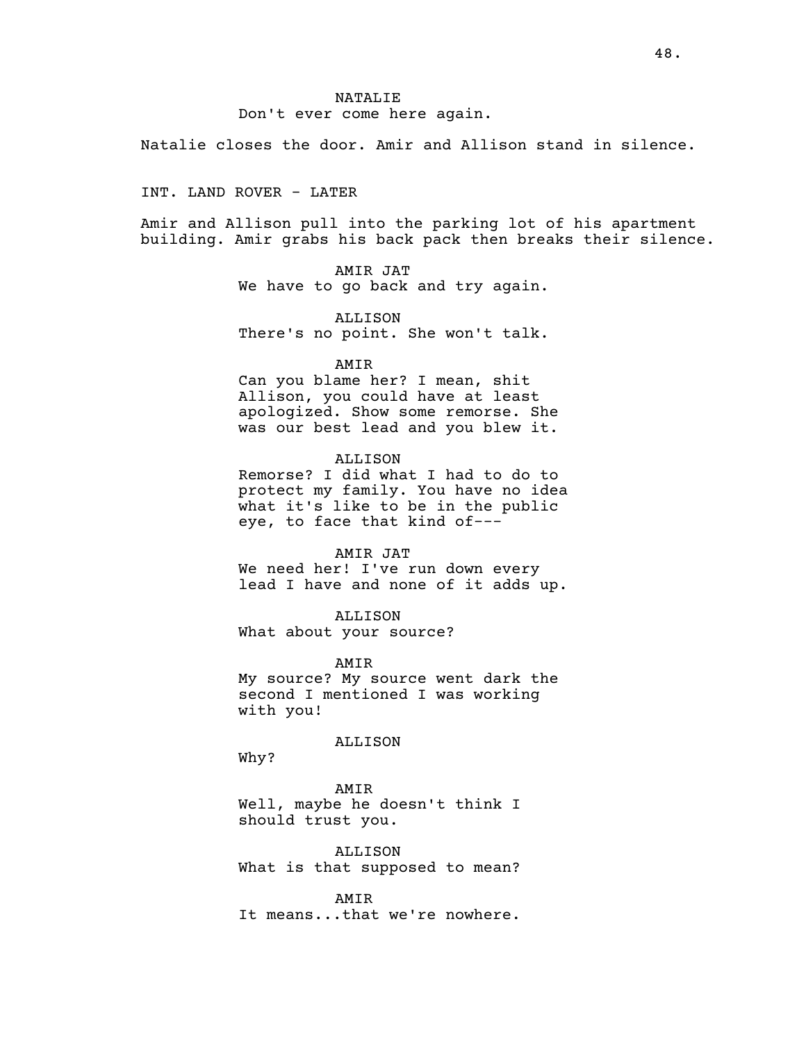# NATALIE Don't ever come here again.

Natalie closes the door. Amir and Allison stand in silence.

INT. LAND ROVER - LATER

Amir and Allison pull into the parking lot of his apartment building. Amir grabs his back pack then breaks their silence.

> AMIR JAT We have to go back and try again.

> ALLISON There's no point. She won't talk.

> > AMIR

Can you blame her? I mean, shit Allison, you could have at least apologized. Show some remorse. She was our best lead and you blew it.

#### ALLISON

Remorse? I did what I had to do to protect my family. You have no idea what it's like to be in the public eye, to face that kind of---

## AMIR JAT

We need her! I've run down every lead I have and none of it adds up.

ALLISON

What about your source?

AMIR

My source? My source went dark the second I mentioned I was working with you!

ALLISON

Why?

AMIR Well, maybe he doesn't think I should trust you.

ALLISON What is that supposed to mean?

AMIR It means...that we're nowhere.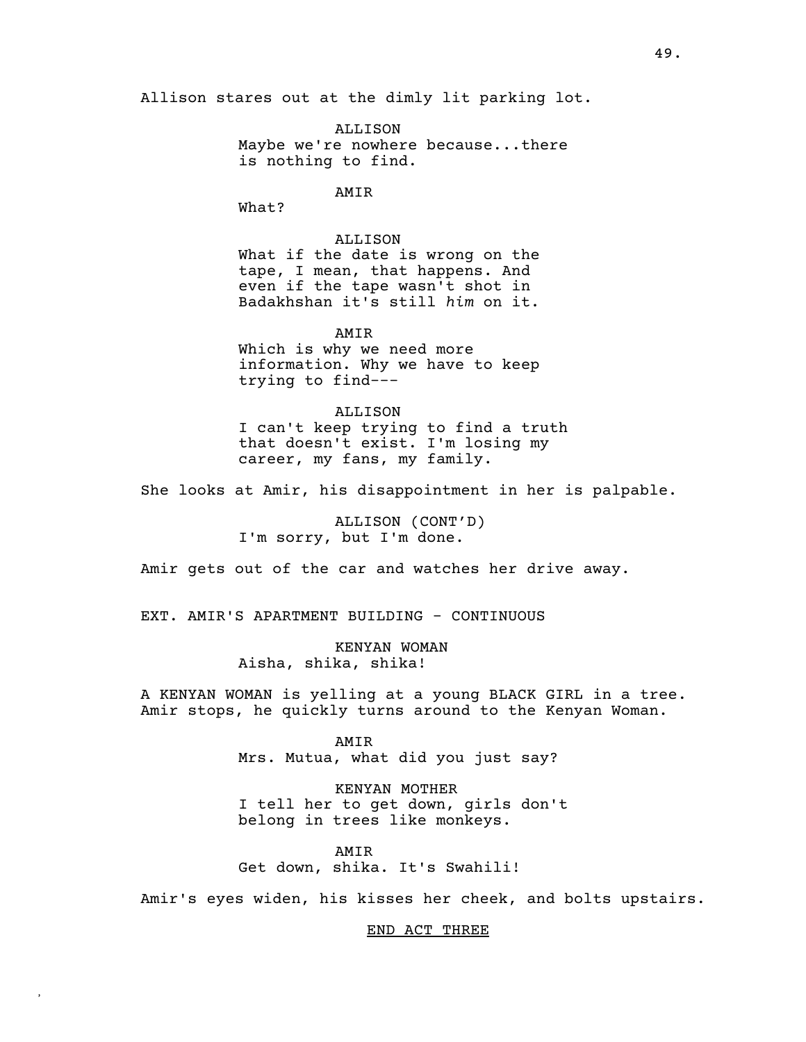Allison stares out at the dimly lit parking lot.

ALLISON Maybe we're nowhere because...there is nothing to find.

AMIR

What?

ALLISON What if the date is wrong on the tape, I mean, that happens. And even if the tape wasn't shot in Badakhshan it's still *him* on it.

AMIR Which is why we need more information. Why we have to keep trying to find---

ALLISON I can't keep trying to find a truth that doesn't exist. I'm losing my career, my fans, my family.

She looks at Amir, his disappointment in her is palpable.

ALLISON (CONT'D) I'm sorry, but I'm done.

Amir gets out of the car and watches her drive away.

EXT. AMIR'S APARTMENT BUILDING - CONTINUOUS

KENYAN WOMAN Aisha, shika, shika!

A KENYAN WOMAN is yelling at a young BLACK GIRL in a tree. Amir stops, he quickly turns around to the Kenyan Woman.

> AMIR Mrs. Mutua, what did you just say?

KENYAN MOTHER I tell her to get down, girls don't belong in trees like monkeys.

AMIR Get down, shika. It's Swahili!

**,**

Amir's eyes widen, his kisses her cheek, and bolts upstairs.

END ACT THREE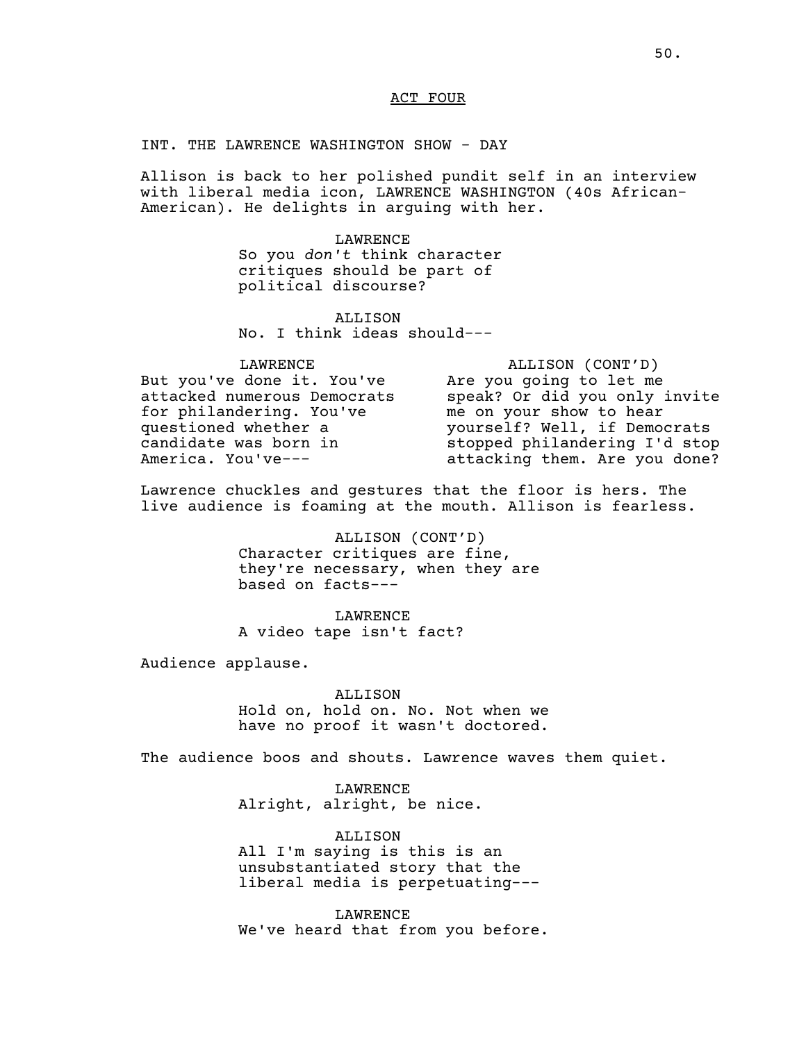### ACT FOUR

INT. THE LAWRENCE WASHINGTON SHOW - DAY

Allison is back to her polished pundit self in an interview with liberal media icon, LAWRENCE WASHINGTON (40s African-American). He delights in arguing with her.

> LAWRENCE So you *don't* think character critiques should be part of political discourse?

ALLISON No. I think ideas should---

LAWRENCE But you've done it. You've attacked numerous Democrats for philandering. You've questioned whether a candidate was born in America. You've---

ALLISON (CONT'D) Are you going to let me speak? Or did you only invite me on your show to hear yourself? Well, if Democrats stopped philandering I'd stop attacking them. Are you done?

Lawrence chuckles and gestures that the floor is hers. The live audience is foaming at the mouth. Allison is fearless.

> ALLISON (CONT'D) Character critiques are fine, they're necessary, when they are based on facts---

LAWRENCE A video tape isn't fact?

Audience applause.

ALLISON

Hold on, hold on. No. Not when we have no proof it wasn't doctored.

The audience boos and shouts. Lawrence waves them quiet.

LAWRENCE Alright, alright, be nice.

ALLISON All I'm saying is this is an unsubstantiated story that the liberal media is perpetuating---

LAWRENCE We've heard that from you before.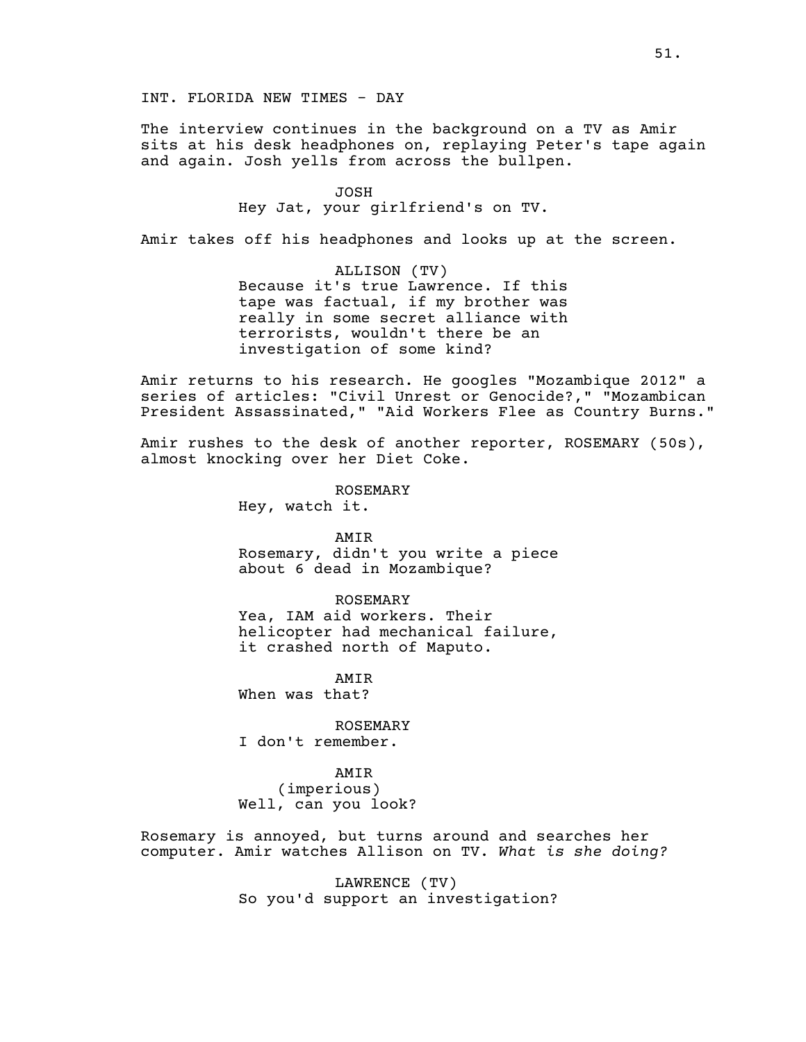# INT. FLORIDA NEW TIMES - DAY

The interview continues in the background on a TV as Amir sits at his desk headphones on, replaying Peter's tape again and again. Josh yells from across the bullpen.

> JOSH Hey Jat, your girlfriend's on TV.

Amir takes off his headphones and looks up at the screen.

ALLISON (TV) Because it's true Lawrence. If this tape was factual, if my brother was really in some secret alliance with terrorists, wouldn't there be an investigation of some kind?

Amir returns to his research. He googles "Mozambique 2012" a series of articles: "Civil Unrest or Genocide?," "Mozambican President Assassinated," "Aid Workers Flee as Country Burns."

Amir rushes to the desk of another reporter, ROSEMARY (50s), almost knocking over her Diet Coke.

ROSEMARY

Hey, watch it.

AMIR

Rosemary, didn't you write a piece about 6 dead in Mozambique?

### ROSEMARY

Yea, IAM aid workers. Their helicopter had mechanical failure, it crashed north of Maputo.

AMIR When was that?

ROSEMARY

I don't remember.

### AMIR

(imperious) Well, can you look?

Rosemary is annoyed, but turns around and searches her computer. Amir watches Allison on TV. *What is she doing?*

> LAWRENCE (TV) So you'd support an investigation?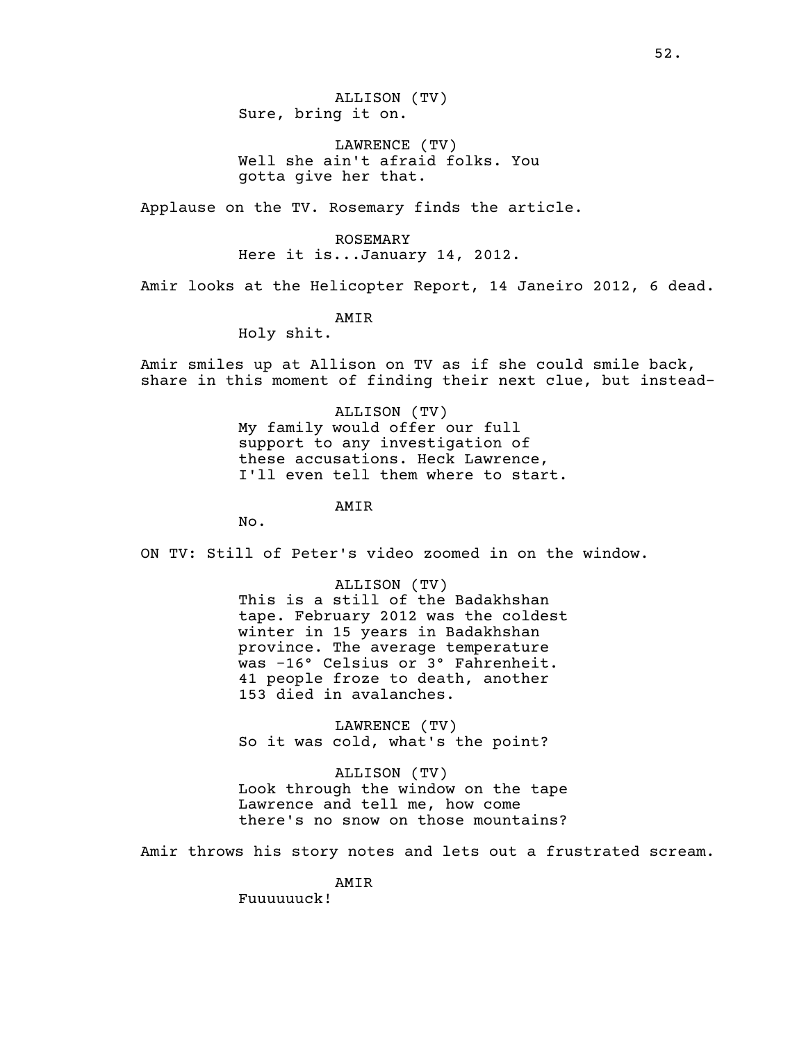ALLISON (TV) Sure, bring it on.

LAWRENCE (TV) Well she ain't afraid folks. You gotta give her that.

Applause on the TV. Rosemary finds the article.

ROSEMARY Here it is...January 14, 2012.

Amir looks at the Helicopter Report, 14 Janeiro 2012, 6 dead.

AMIR

Holy shit.

Amir smiles up at Allison on TV as if she could smile back, share in this moment of finding their next clue, but instead-

> ALLISON (TV) My family would offer our full support to any investigation of these accusations. Heck Lawrence, I'll even tell them where to start.

> > AMIR

No.

ON TV: Still of Peter's video zoomed in on the window.

ALLISON (TV) This is a still of the Badakhshan tape. February 2012 was the coldest winter in 15 years in Badakhshan province. The average temperature was -16° Celsius or 3° Fahrenheit. 41 people froze to death, another 153 died in avalanches.

LAWRENCE (TV) So it was cold, what's the point?

ALLISON (TV) Look through the window on the tape Lawrence and tell me, how come there's no snow on those mountains?

Amir throws his story notes and lets out a frustrated scream.

AMIR

Fuuuuuuck!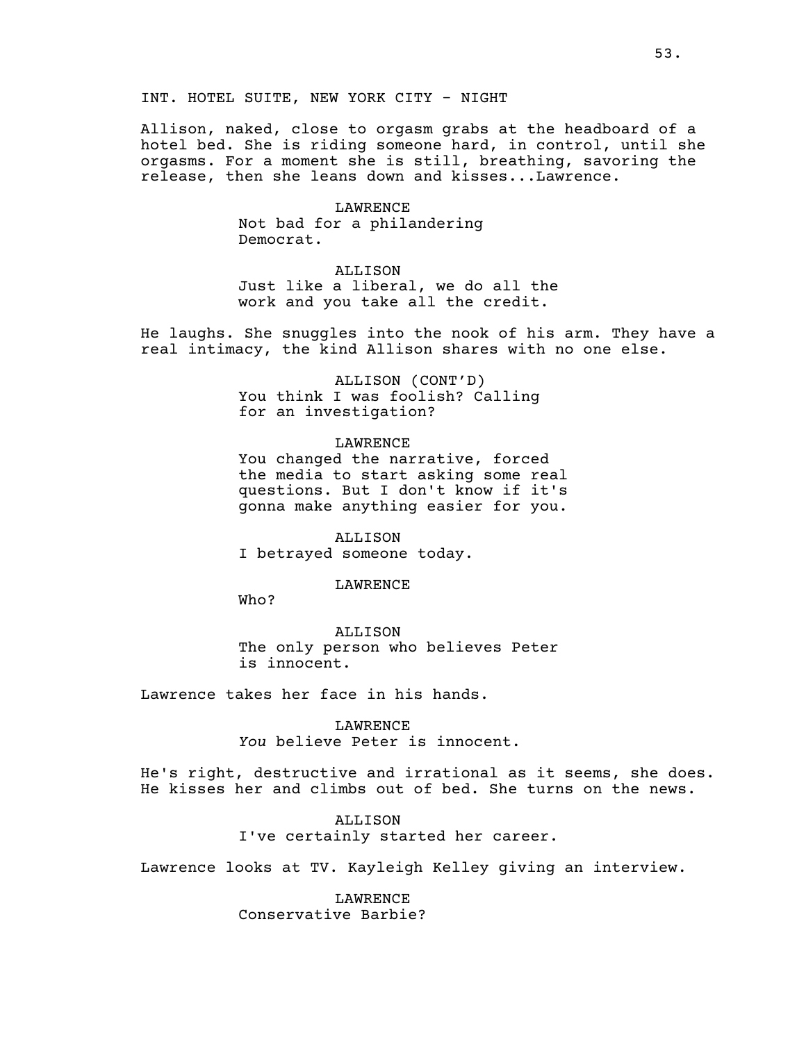Allison, naked, close to orgasm grabs at the headboard of a hotel bed. She is riding someone hard, in control, until she orgasms. For a moment she is still, breathing, savoring the release, then she leans down and kisses...Lawrence.

> LAWRENCE Not bad for a philandering Democrat.

ALLISON Just like a liberal, we do all the work and you take all the credit.

He laughs. She snuggles into the nook of his arm. They have a real intimacy, the kind Allison shares with no one else.

> ALLISON (CONT'D) You think I was foolish? Calling for an investigation?

LAWRENCE You changed the narrative, forced the media to start asking some real questions. But I don't know if it's gonna make anything easier for you.

ALLISON I betrayed someone today.

LAWRENCE

Who?

ALLISON The only person who believes Peter is innocent.

Lawrence takes her face in his hands.

LAWRENCE *You* believe Peter is innocent.

He's right, destructive and irrational as it seems, she does. He kisses her and climbs out of bed. She turns on the news.

> ALLISON I've certainly started her career.

Lawrence looks at TV. Kayleigh Kelley giving an interview.

LAWRENCE Conservative Barbie?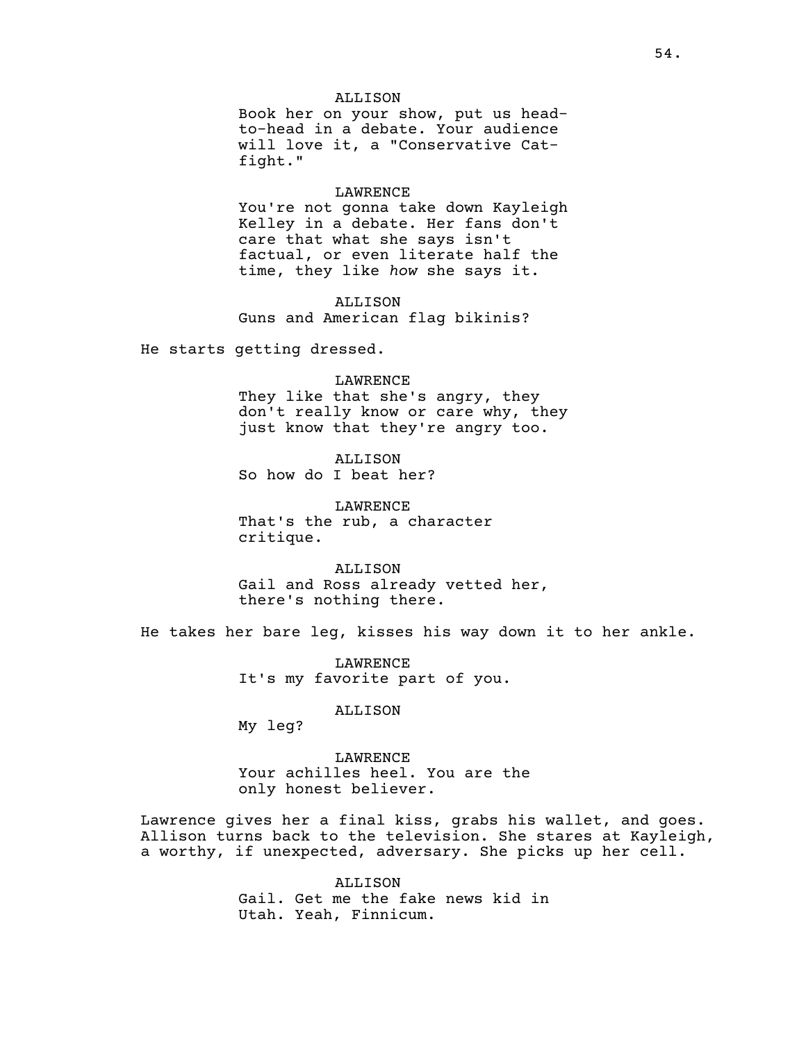### ALLISON

Book her on your show, put us headto-head in a debate. Your audience will love it, a "Conservative Catfight."

#### LAWRENCE

You're not gonna take down Kayleigh Kelley in a debate. Her fans don't care that what she says isn't factual, or even literate half the time, they like *how* she says it.

ALLISON Guns and American flag bikinis?

He starts getting dressed.

#### LAWRENCE

They like that she's angry, they don't really know or care why, they just know that they're angry too.

ALLISON So how do I beat her?

LAWRENCE That's the rub, a character critique.

ALLISON Gail and Ross already vetted her, there's nothing there.

He takes her bare leg, kisses his way down it to her ankle.

LAWRENCE It's my favorite part of you.

ALLISON

My leg?

LAWRENCE Your achilles heel. You are the only honest believer.

Lawrence gives her a final kiss, grabs his wallet, and goes. Allison turns back to the television. She stares at Kayleigh, a worthy, if unexpected, adversary. She picks up her cell.

> ALLISON Gail. Get me the fake news kid in Utah. Yeah, Finnicum.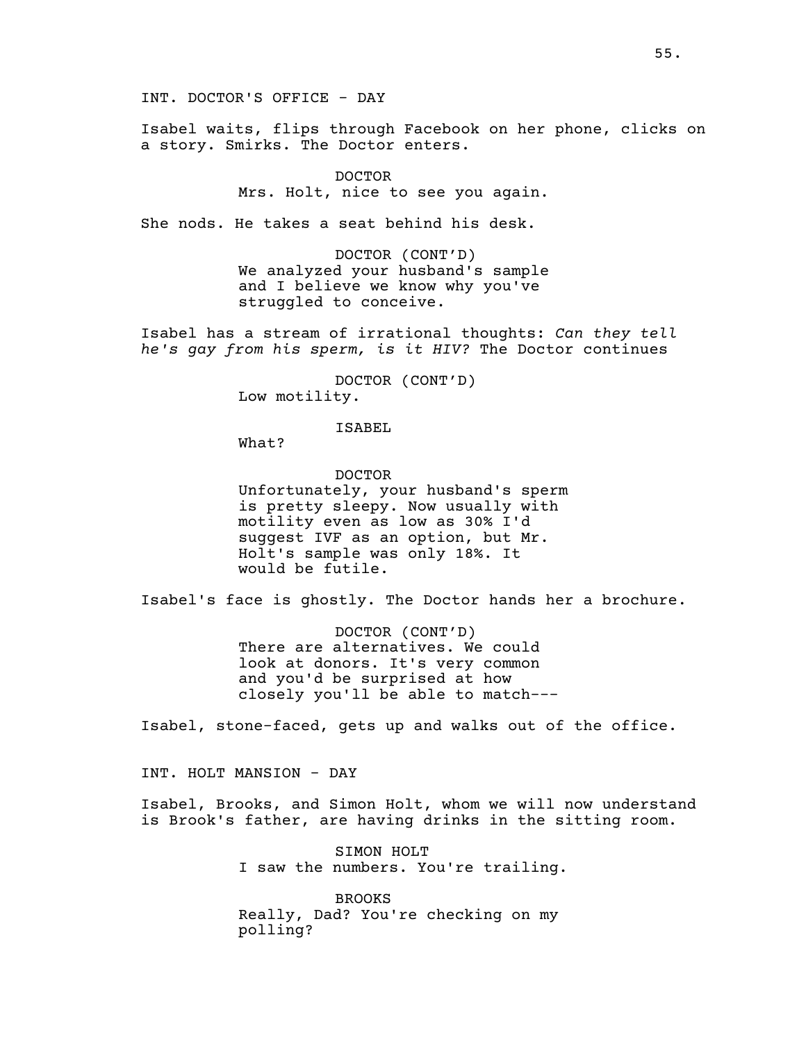Isabel waits, flips through Facebook on her phone, clicks on a story. Smirks. The Doctor enters.

> DOCTOR Mrs. Holt, nice to see you again.

She nods. He takes a seat behind his desk.

DOCTOR (CONT'D) We analyzed your husband's sample and I believe we know why you've struggled to conceive.

Isabel has a stream of irrational thoughts: *Can they tell he's gay from his sperm, is it HIV?* The Doctor continues

> DOCTOR (CONT'D) Low motility.

# ISABEL

What?

DOCTOR Unfortunately, your husband's sperm is pretty sleepy. Now usually with motility even as low as 30% I'd suggest IVF as an option, but Mr. Holt's sample was only 18%. It would be futile.

Isabel's face is ghostly. The Doctor hands her a brochure.

DOCTOR (CONT'D) There are alternatives. We could look at donors. It's very common and you'd be surprised at how closely you'll be able to match---

Isabel, stone-faced, gets up and walks out of the office.

INT. HOLT MANSION - DAY

Isabel, Brooks, and Simon Holt, whom we will now understand is Brook's father, are having drinks in the sitting room.

> SIMON HOLT I saw the numbers. You're trailing.

BROOKS Really, Dad? You're checking on my polling?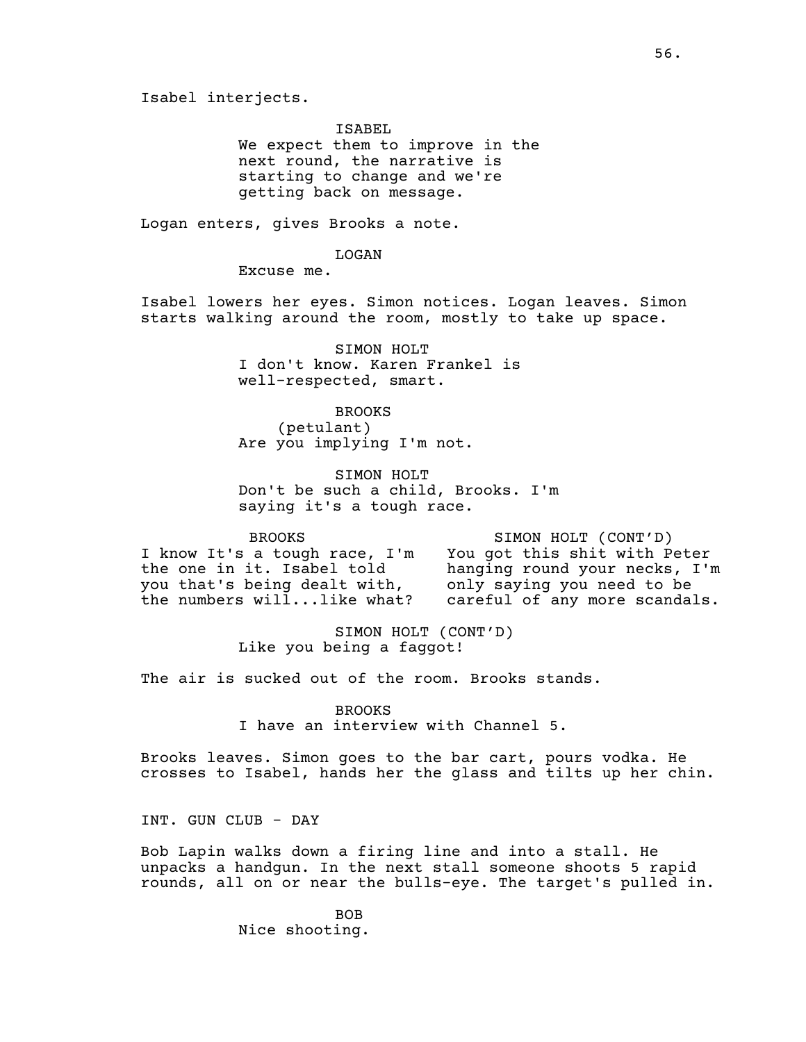Isabel interjects.

ISABEL

We expect them to improve in the next round, the narrative is starting to change and we're getting back on message.

Logan enters, gives Brooks a note.

LOGAN

Excuse me.

Isabel lowers her eyes. Simon notices. Logan leaves. Simon starts walking around the room, mostly to take up space.

> SIMON HOLT I don't know. Karen Frankel is well-respected, smart.

BROOKS (petulant) Are you implying I'm not.

SIMON HOLT Don't be such a child, Brooks. I'm saying it's a tough race.

BROOKS I know It's a tough race, I'm the one in it. Isabel told you that's being dealt with, the numbers will...like what?

SIMON HOLT (CONT'D) You got this shit with Peter<br>hanging round your necks, I'm hanging round your necks, I'm only saying you need to be careful of any more scandals.

SIMON HOLT (CONT'D) Like you being a faggot!

The air is sucked out of the room. Brooks stands.

BROOKS I have an interview with Channel 5.

Brooks leaves. Simon goes to the bar cart, pours vodka. He crosses to Isabel, hands her the glass and tilts up her chin.

INT. GUN CLUB - DAY

Bob Lapin walks down a firing line and into a stall. He unpacks a handgun. In the next stall someone shoots 5 rapid rounds, all on or near the bulls-eye. The target's pulled in.

> BOB Nice shooting.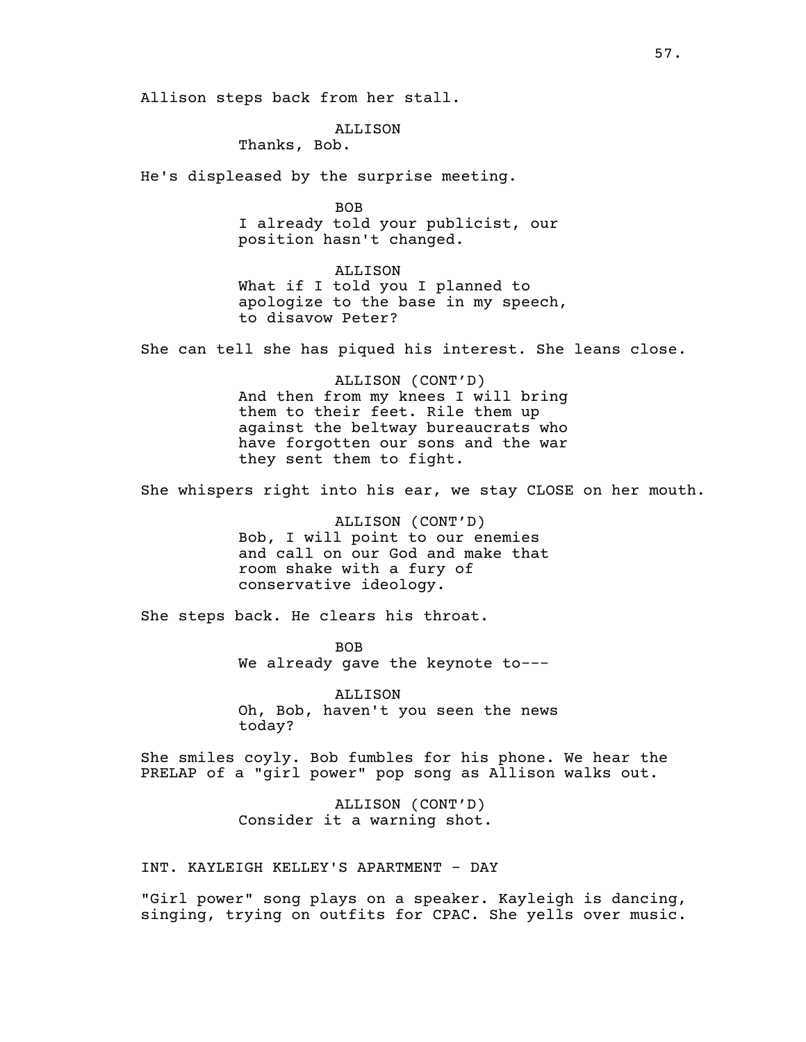Allison steps back from her stall.

# ALLISON

Thanks, Bob.

He's displeased by the surprise meeting.

BOB I already told your publicist, our position hasn't changed.

ALLISON What if I told you I planned to apologize to the base in my speech, to disavow Peter?

She can tell she has piqued his interest. She leans close.

ALLISON (CONT'D) And then from my knees I will bring them to their feet. Rile them up against the beltway bureaucrats who have forgotten our sons and the war they sent them to fight.

She whispers right into his ear, we stay CLOSE on her mouth.

ALLISON (CONT'D) Bob, I will point to our enemies and call on our God and make that room shake with a fury of conservative ideology.

She steps back. He clears his throat.

BOB We already gave the keynote to---

ALLISON Oh, Bob, haven't you seen the news today?

She smiles coyly. Bob fumbles for his phone. We hear the PRELAP of a "girl power" pop song as Allison walks out.

> ALLISON (CONT'D) Consider it a warning shot.

INT. KAYLEIGH KELLEY'S APARTMENT - DAY

"Girl power" song plays on a speaker. Kayleigh is dancing, singing, trying on outfits for CPAC. She yells over music.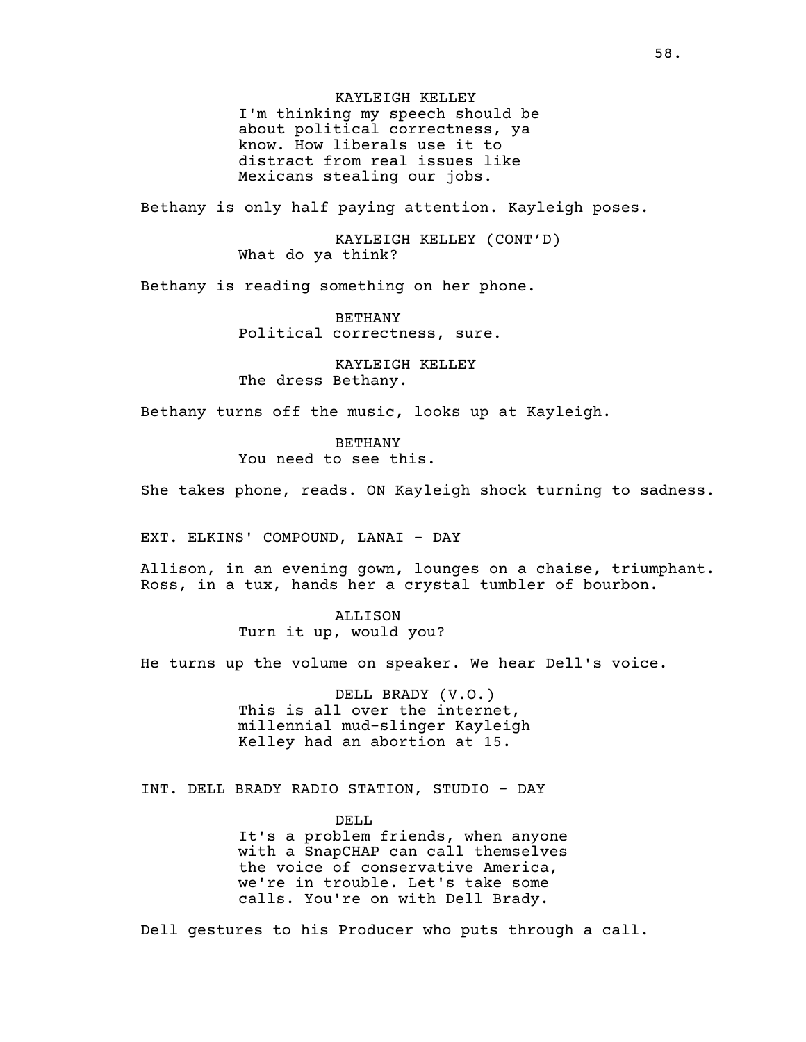KAYLEIGH KELLEY I'm thinking my speech should be about political correctness, ya know. How liberals use it to distract from real issues like Mexicans stealing our jobs.

Bethany is only half paying attention. Kayleigh poses.

KAYLEIGH KELLEY (CONT'D) What do ya think?

Bethany is reading something on her phone.

BETHANY Political correctness, sure.

KAYLEIGH KELLEY The dress Bethany.

Bethany turns off the music, looks up at Kayleigh.

BETHANY You need to see this.

She takes phone, reads. ON Kayleigh shock turning to sadness.

EXT. ELKINS' COMPOUND, LANAI - DAY

Allison, in an evening gown, lounges on a chaise, triumphant. Ross, in a tux, hands her a crystal tumbler of bourbon.

> ALLISON Turn it up, would you?

He turns up the volume on speaker. We hear Dell's voice.

DELL BRADY (V.O.) This is all over the internet, millennial mud-slinger Kayleigh Kelley had an abortion at 15.

INT. DELL BRADY RADIO STATION, STUDIO - DAY

DELL It's a problem friends, when anyone with a SnapCHAP can call themselves the voice of conservative America, we're in trouble. Let's take some calls. You're on with Dell Brady.

Dell gestures to his Producer who puts through a call.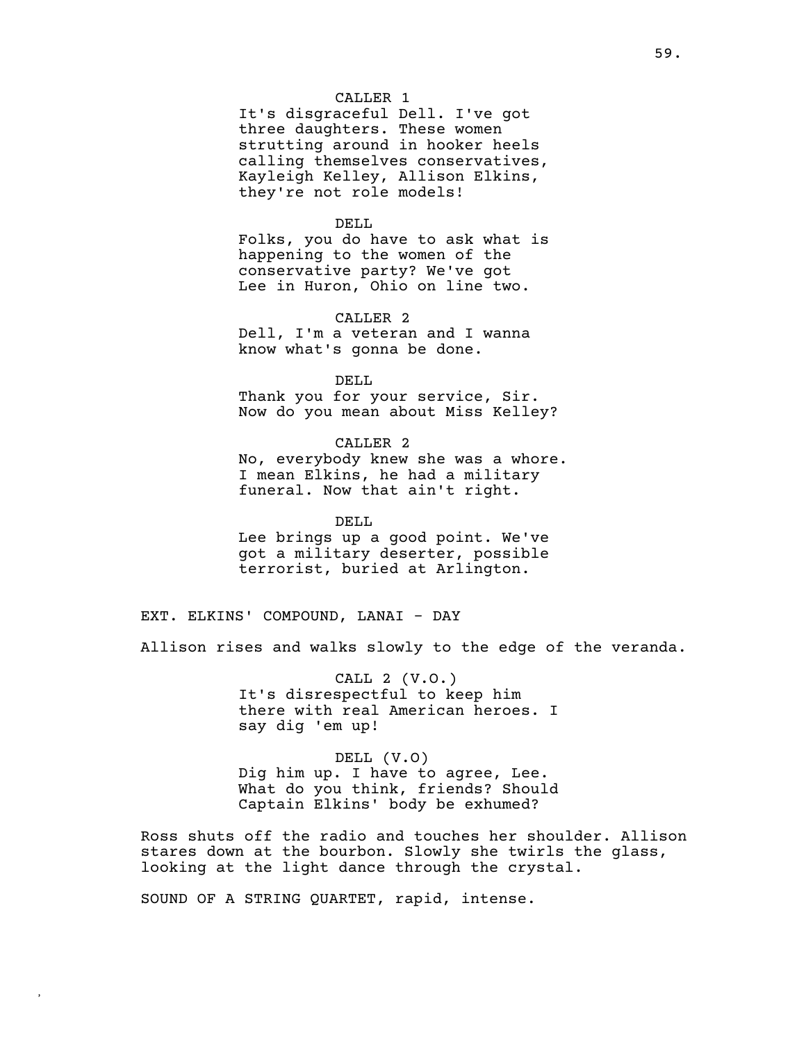# CALLER 1

It's disgraceful Dell. I've got three daughters. These women strutting around in hooker heels calling themselves conservatives, Kayleigh Kelley, Allison Elkins, they're not role models!

### DELL

Folks, you do have to ask what is happening to the women of the conservative party? We've got Lee in Huron, Ohio on line two.

CALLER 2

Dell, I'm a veteran and I wanna know what's gonna be done.

DELL Thank you for your service, Sir. Now do you mean about Miss Kelley?

CALLER 2 No, everybody knew she was a whore. I mean Elkins, he had a military funeral. Now that ain't right.

DELL Lee brings up a good point. We've got a military deserter, possible terrorist, buried at Arlington.

EXT. ELKINS' COMPOUND, LANAI - DAY

Allison rises and walks slowly to the edge of the veranda.

CALL 2 (V.O.) It's disrespectful to keep him there with real American heroes. I say dig 'em up!

DELL (V.O)

Dig him up. I have to agree, Lee. What do you think, friends? Should Captain Elkins' body be exhumed?

Ross shuts off the radio and touches her shoulder. Allison stares down at the bourbon. Slowly she twirls the glass, looking at the light dance through the crystal.

SOUND OF A STRING QUARTET, rapid, intense.

**,**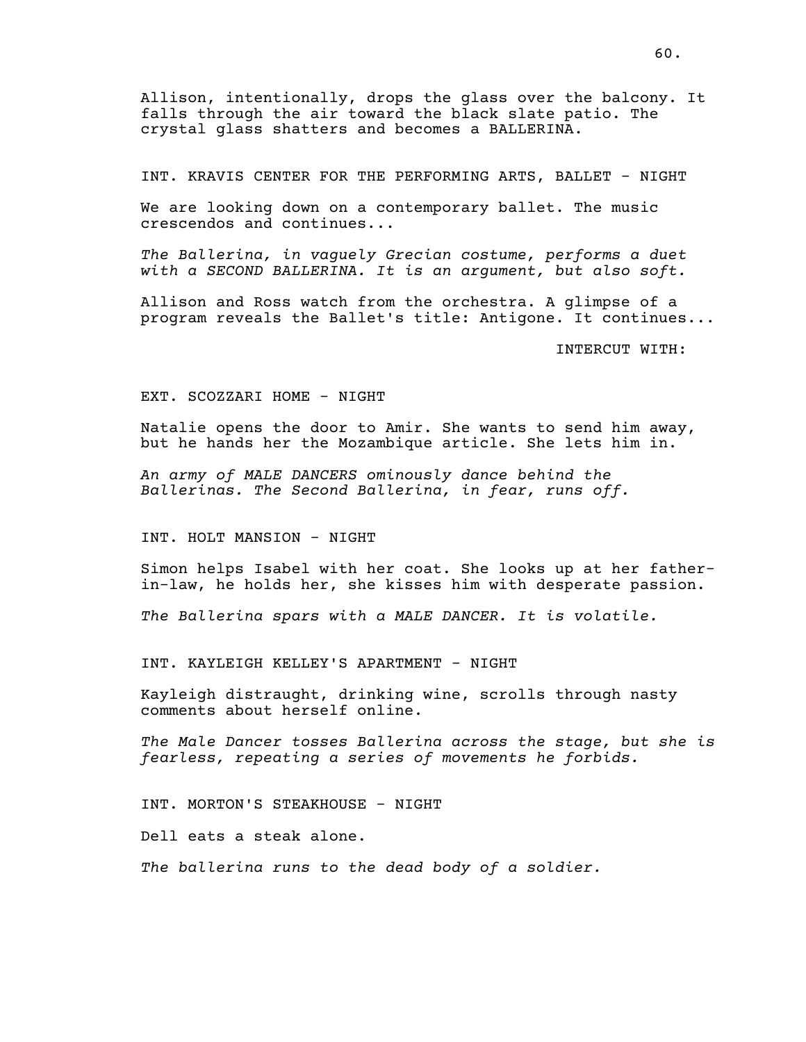Allison, intentionally, drops the glass over the balcony. It falls through the air toward the black slate patio. The crystal glass shatters and becomes a BALLERINA.

INT. KRAVIS CENTER FOR THE PERFORMING ARTS, BALLET - NIGHT

We are looking down on a contemporary ballet. The music crescendos and continues...

*The Ballerina, in vaguely Grecian costume, performs a duet with a SECOND BALLERINA. It is an argument, but also soft.*

Allison and Ross watch from the orchestra. A glimpse of a program reveals the Ballet's title: Antigone. It continues...

INTERCUT WITH:

#### EXT. SCOZZARI HOME - NIGHT

Natalie opens the door to Amir. She wants to send him away, but he hands her the Mozambique article. She lets him in.

*An army of MALE DANCERS ominously dance behind the Ballerinas. The Second Ballerina, in fear, runs off.*

INT. HOLT MANSION - NIGHT

Simon helps Isabel with her coat. She looks up at her fatherin-law, he holds her, she kisses him with desperate passion.

*The Ballerina spars with a MALE DANCER. It is volatile.*

INT. KAYLEIGH KELLEY'S APARTMENT - NIGHT

Kayleigh distraught, drinking wine, scrolls through nasty comments about herself online.

*The Male Dancer tosses Ballerina across the stage, but she is fearless, repeating a series of movements he forbids.*

INT. MORTON'S STEAKHOUSE - NIGHT

Dell eats a steak alone.

*The ballerina runs to the dead body of a soldier.*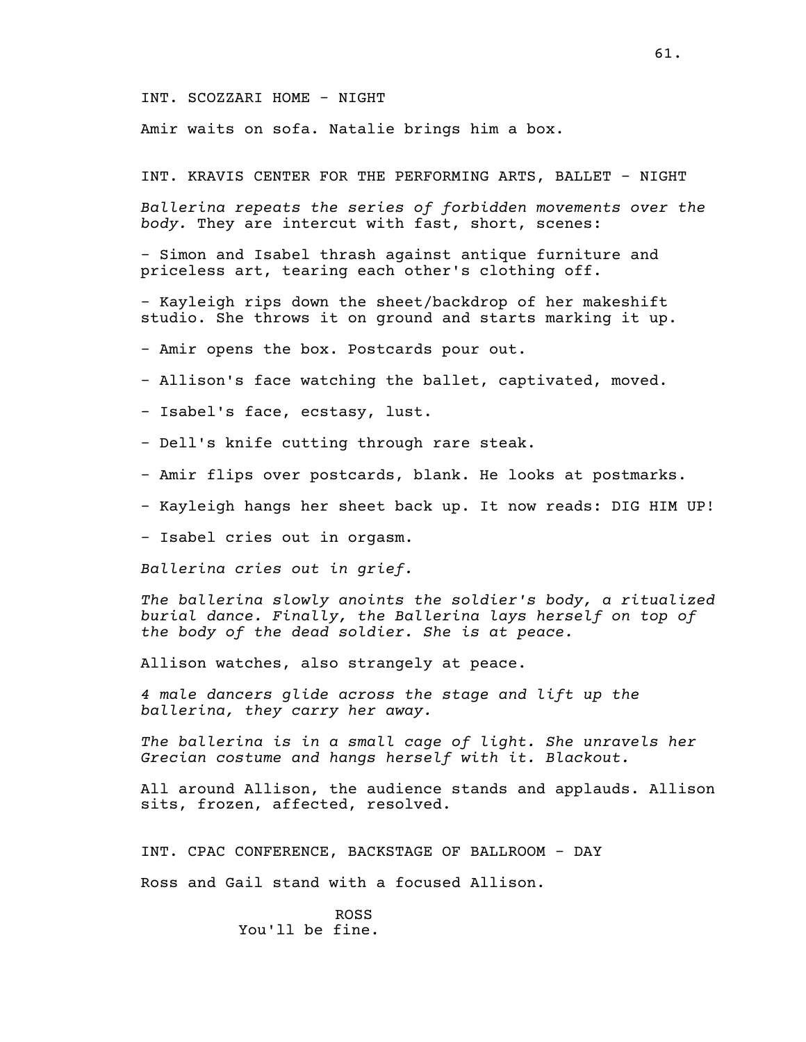INT. SCOZZARI HOME - NIGHT

Amir waits on sofa. Natalie brings him a box.

INT. KRAVIS CENTER FOR THE PERFORMING ARTS, BALLET - NIGHT

*Ballerina repeats the series of forbidden movements over the body.* They are intercut with fast, short, scenes:

- Simon and Isabel thrash against antique furniture and priceless art, tearing each other's clothing off.

- Kayleigh rips down the sheet/backdrop of her makeshift studio. She throws it on ground and starts marking it up.

- Amir opens the box. Postcards pour out.

- Allison's face watching the ballet, captivated, moved.

- Isabel's face, ecstasy, lust.

- Dell's knife cutting through rare steak.

- Amir flips over postcards, blank. He looks at postmarks.

- Kayleigh hangs her sheet back up. It now reads: DIG HIM UP!

- Isabel cries out in orgasm.

*Ballerina cries out in grief.*

*The ballerina slowly anoints the soldier's body, a ritualized burial dance. Finally, the Ballerina lays herself on top of the body of the dead soldier. She is at peace.*

Allison watches, also strangely at peace.

*4 male dancers glide across the stage and lift up the ballerina, they carry her away.*

*The ballerina is in a small cage of light. She unravels her Grecian costume and hangs herself with it. Blackout.*

All around Allison, the audience stands and applauds. Allison sits, frozen, affected, resolved.

INT. CPAC CONFERENCE, BACKSTAGE OF BALLROOM - DAY

Ross and Gail stand with a focused Allison.

ROSS You'll be fine.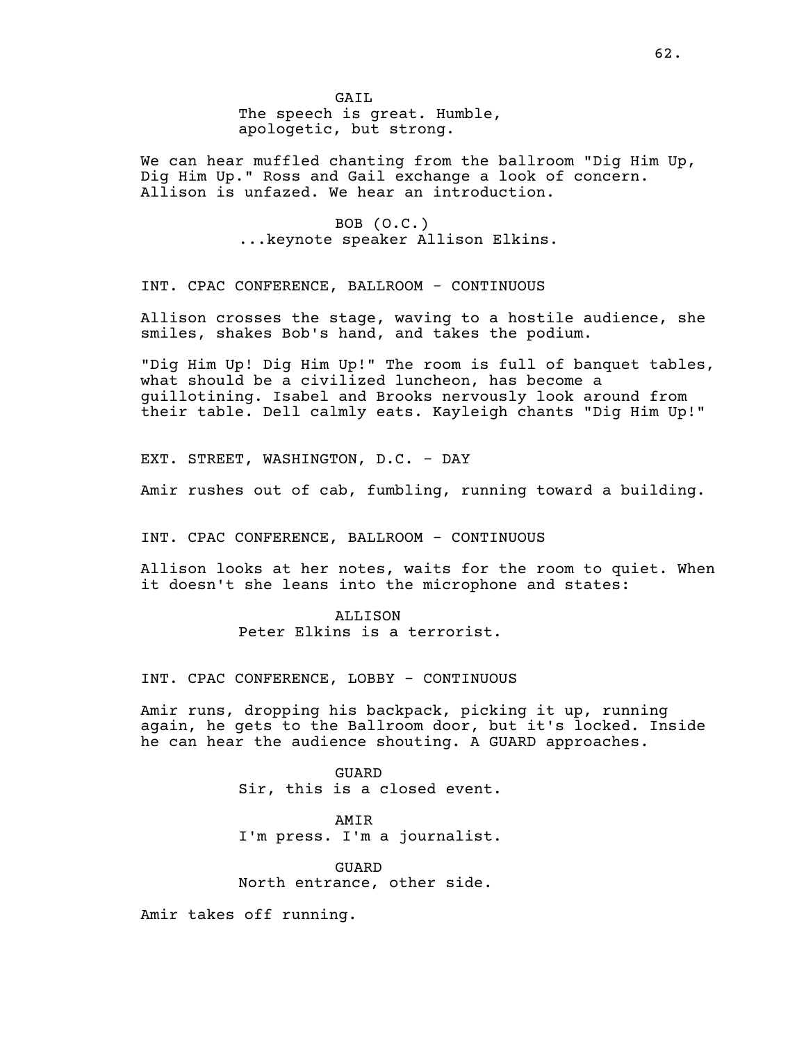We can hear muffled chanting from the ballroom "Dig Him Up, Dig Him Up." Ross and Gail exchange a look of concern. Allison is unfazed. We hear an introduction.

> BOB (O.C.) ...keynote speaker Allison Elkins.

INT. CPAC CONFERENCE, BALLROOM - CONTINUOUS

Allison crosses the stage, waving to a hostile audience, she smiles, shakes Bob's hand, and takes the podium.

"Dig Him Up! Dig Him Up!" The room is full of banquet tables, what should be a civilized luncheon, has become a guillotining. Isabel and Brooks nervously look around from their table. Dell calmly eats. Kayleigh chants "Dig Him Up!"

EXT. STREET, WASHINGTON, D.C. - DAY

Amir rushes out of cab, fumbling, running toward a building.

INT. CPAC CONFERENCE, BALLROOM - CONTINUOUS

Allison looks at her notes, waits for the room to quiet. When it doesn't she leans into the microphone and states:

> ALLISON Peter Elkins is a terrorist.

INT. CPAC CONFERENCE, LOBBY - CONTINUOUS

Amir runs, dropping his backpack, picking it up, running again, he gets to the Ballroom door, but it's locked. Inside he can hear the audience shouting. A GUARD approaches.

> GUARD Sir, this is a closed event.

> AMIR I'm press. I'm a journalist.

GUARD North entrance, other side.

Amir takes off running.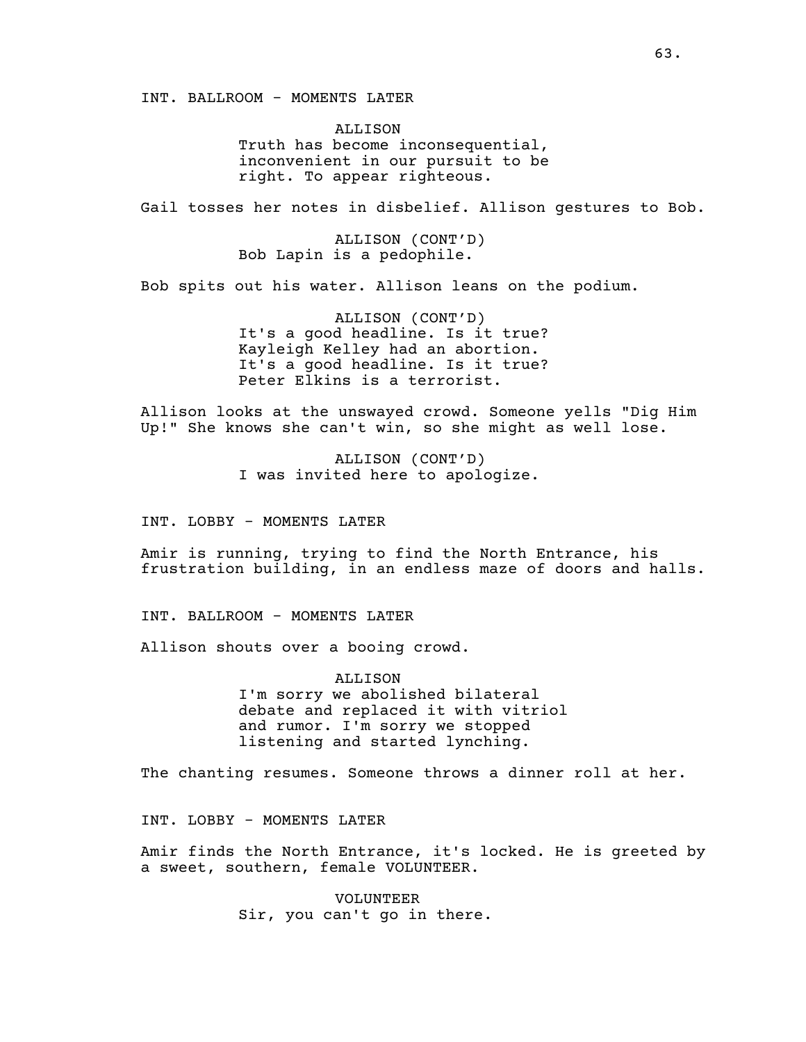INT. BALLROOM - MOMENTS LATER

ALLISON Truth has become inconsequential, inconvenient in our pursuit to be right. To appear righteous.

Gail tosses her notes in disbelief. Allison gestures to Bob.

ALLISON (CONT'D) Bob Lapin is a pedophile.

Bob spits out his water. Allison leans on the podium.

ALLISON (CONT'D) It's a good headline. Is it true? Kayleigh Kelley had an abortion. It's a good headline. Is it true? Peter Elkins is a terrorist.

Allison looks at the unswayed crowd. Someone yells "Dig Him Up!" She knows she can't win, so she might as well lose.

> ALLISON (CONT'D) I was invited here to apologize.

INT. LOBBY - MOMENTS LATER

Amir is running, trying to find the North Entrance, his frustration building, in an endless maze of doors and halls.

INT. BALLROOM - MOMENTS LATER

Allison shouts over a booing crowd.

ALLISON I'm sorry we abolished bilateral debate and replaced it with vitriol and rumor. I'm sorry we stopped listening and started lynching.

The chanting resumes. Someone throws a dinner roll at her.

INT. LOBBY - MOMENTS LATER

Amir finds the North Entrance, it's locked. He is greeted by a sweet, southern, female VOLUNTEER.

> VOLUNTEER Sir, you can't go in there.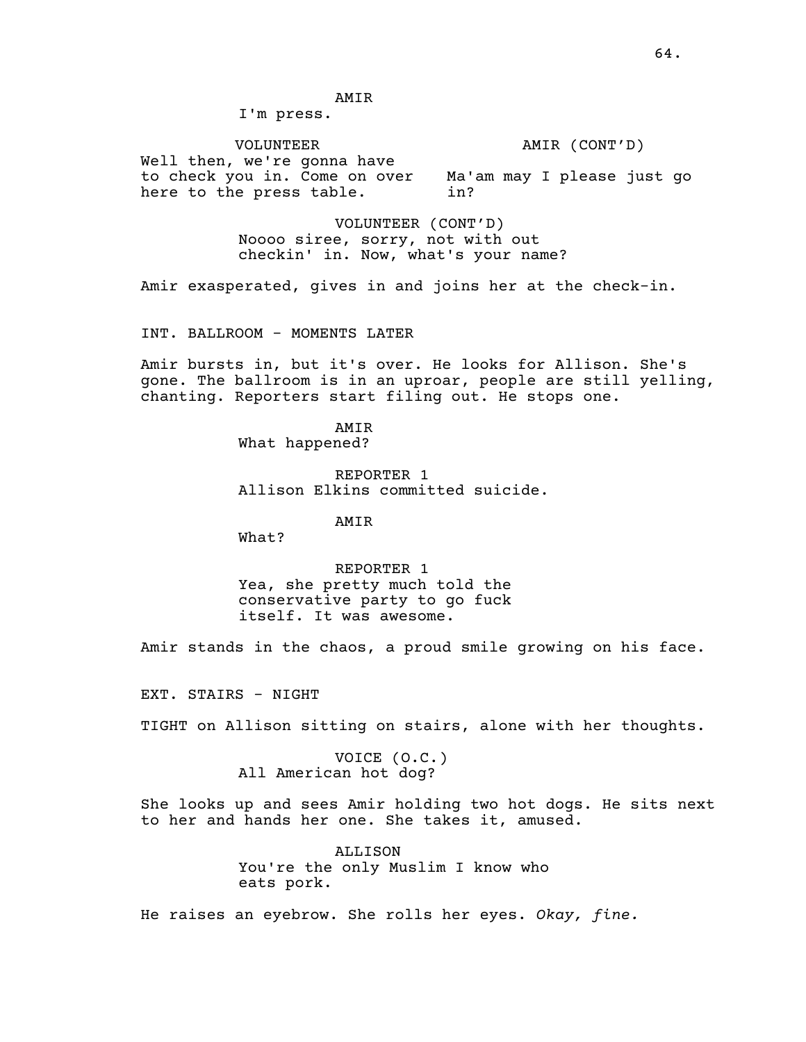# AMIR

I'm press.

VOLUNTEER Well then, we're gonna have to check you in. Come on over Ma'am may I please just go here to the press table. AMIR (CONT'D) in?

> VOLUNTEER (CONT'D) Noooo siree, sorry, not with out checkin' in. Now, what's your name?

Amir exasperated, gives in and joins her at the check-in.

INT. BALLROOM - MOMENTS LATER

Amir bursts in, but it's over. He looks for Allison. She's gone. The ballroom is in an uproar, people are still yelling, chanting. Reporters start filing out. He stops one.

> AMIR What happened?

REPORTER 1 Allison Elkins committed suicide.

AMIR

What?

REPORTER 1 Yea, she pretty much told the conservative party to go fuck itself. It was awesome.

Amir stands in the chaos, a proud smile growing on his face.

EXT. STAIRS - NIGHT

TIGHT on Allison sitting on stairs, alone with her thoughts.

VOICE (O.C.) All American hot dog?

She looks up and sees Amir holding two hot dogs. He sits next to her and hands her one. She takes it, amused.

> ALLISON You're the only Muslim I know who eats pork.

He raises an eyebrow. She rolls her eyes. *Okay, fine.*